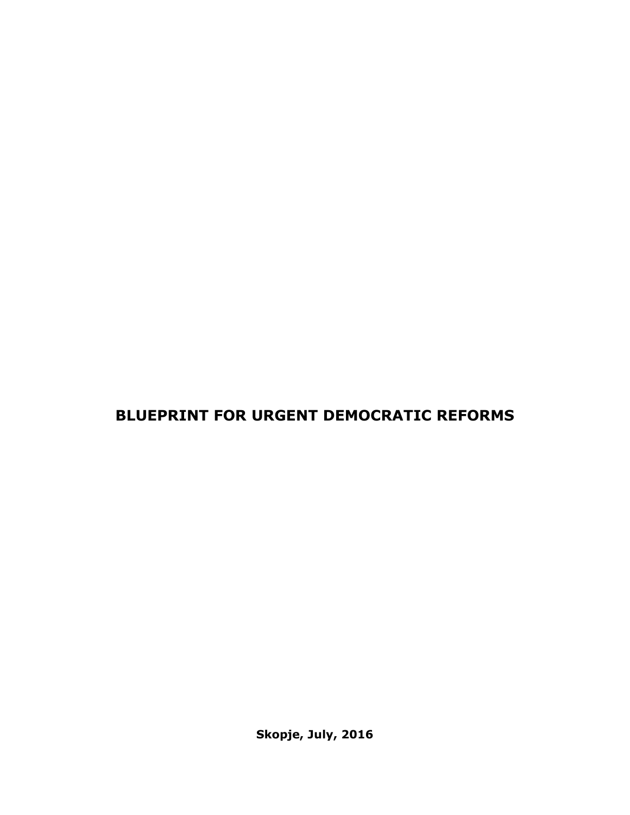# **BLUEPRINT FOR URGENT DEMOCRATIC REFORMS**

**Skopje, July, 2016**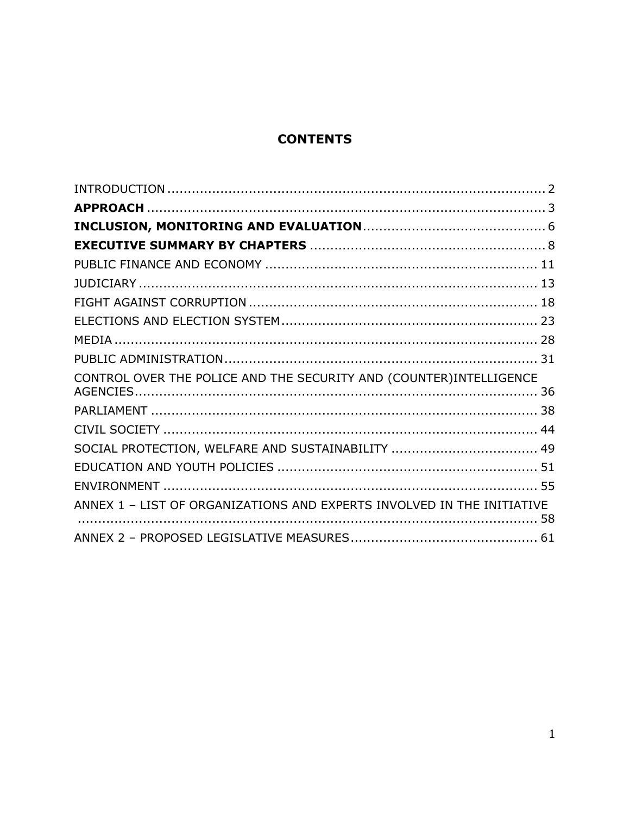# **CONTENTS**

| CONTROL OVER THE POLICE AND THE SECURITY AND (COUNTER) INTELLIGENCE    |  |
|------------------------------------------------------------------------|--|
|                                                                        |  |
|                                                                        |  |
| SOCIAL PROTECTION, WELFARE AND SUSTAINABILITY  49                      |  |
|                                                                        |  |
|                                                                        |  |
| ANNEX 1 - LIST OF ORGANIZATIONS AND EXPERTS INVOLVED IN THE INITIATIVE |  |
|                                                                        |  |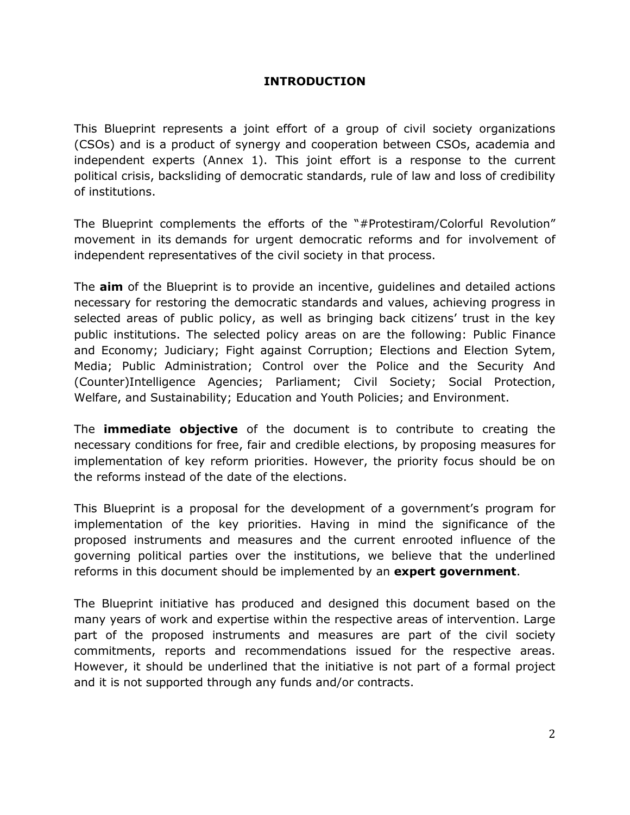#### **INTRODUCTION**

<span id="page-2-0"></span>This Blueprint represents a joint effort of a group of civil society organizations (CSOs) and is a product of synergy and cooperation between CSOs, academia and independent experts (Annex 1). This joint effort is a response to the current political crisis, backsliding of democratic standards, rule of law and loss of credibility of institutions.

The Blueprint complements the efforts of the "#Protestiram/Colorful Revolution" movement in its demands for urgent democratic reforms and for involvement of independent representatives of the civil society in that process.

The **aim** of the Blueprint is to provide an incentive, guidelines and detailed actions necessary for restoring the democratic standards and values, achieving progress in selected areas of public policy, as well as bringing back citizens' trust in the key public institutions. The selected policy areas on are the following: Public Finance and Economy; Judiciary; Fight against Corruption; Elections and Election Sytem, Media; Public Administration; Control over the Police and the Security And (Counter)Intelligence Agencies; Parliament; Civil Society; Social Protection, Welfare, and Sustainability; Education and Youth Policies; and Environment.

The **immediate objective** of the document is to contribute to creating the necessary conditions for free, fair and credible elections, by proposing measures for implementation of key reform priorities. However, the priority focus should be on the reforms instead of the date of the elections.

This Blueprint is a proposal for the development of a government's program for implementation of the key priorities. Having in mind the significance of the proposed instruments and measures and the current enrooted influence of the governing political parties over the institutions, we believe that the underlined reforms in this document should be implemented by an **expert government**.

The Blueprint initiative has produced and designed this document based on the many years of work and expertise within the respective areas of intervention. Large part of the proposed instruments and measures are part of the civil society commitments, reports and recommendations issued for the respective areas. However, it should be underlined that the initiative is not part of a formal project and it is not supported through any funds and/or contracts.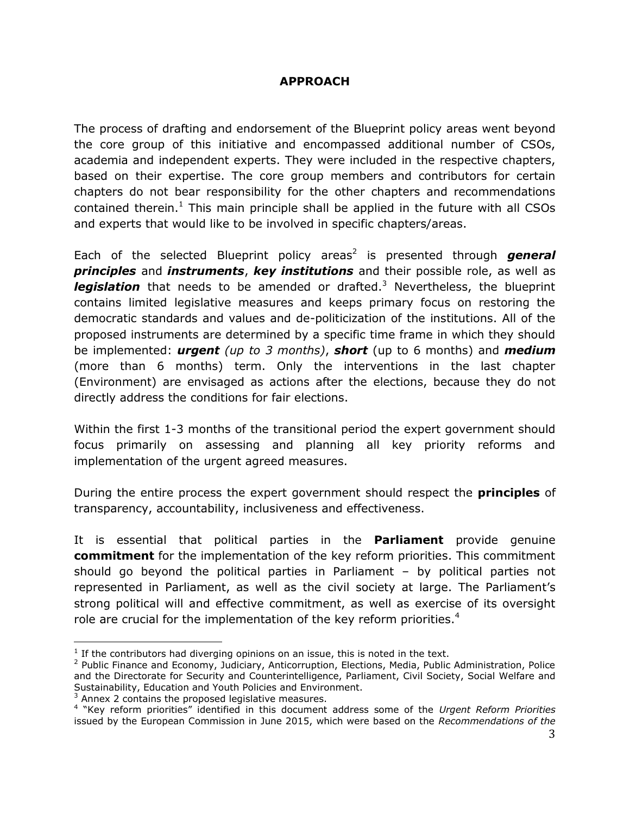#### **APPROACH**

<span id="page-3-0"></span>The process of drafting and endorsement of the Blueprint policy areas went beyond the core group of this initiative and encompassed additional number of CSOs, academia and independent experts. They were included in the respective chapters, based on their expertise. The core group members and contributors for certain chapters do not bear responsibility for the other chapters and recommendations contained therein.<sup>1</sup> This main principle shall be applied in the future with all CSOs and experts that would like to be involved in specific chapters/areas.

Each of the selected Blueprint policy areas<sup>2</sup> is presented through **general** *principles* and *instruments*, *key institutions* and their possible role, as well as *legislation* that needs to be amended or drafted.<sup>3</sup> Nevertheless, the blueprint contains limited legislative measures and keeps primary focus on restoring the democratic standards and values and de-politicization of the institutions. All of the proposed instruments are determined by a specific time frame in which they should be implemented: *urgent (up to 3 months)*, *short* (up to 6 months) and *medium* (more than 6 months) term. Only the interventions in the last chapter (Environment) are envisaged as actions after the elections, because they do not directly address the conditions for fair elections.

Within the first 1-3 months of the transitional period the expert government should focus primarily on assessing and planning all key priority reforms and implementation of the urgent agreed measures.

During the entire process the expert government should respect the **principles** of transparency, accountability, inclusiveness and effectiveness.

It is essential that political parties in the **Parliament** provide genuine **commitment** for the implementation of the key reform priorities. This commitment should go beyond the political parties in Parliament – by political parties not represented in Parliament, as well as the civil society at large. The Parliament's strong political will and effective commitment, as well as exercise of its oversight role are crucial for the implementation of the key reform priorities.<sup>4</sup>

<sup>3</sup> Annex 2 contains the proposed legislative measures.

 $\overline{a}$ 

 $<sup>1</sup>$  If the contributors had diverging opinions on an issue, this is noted in the text.</sup>

<sup>2</sup> Public Finance and Economy, Judiciary, Anticorruption, Elections, Media, Public Administration, Police and the Directorate for Security and Counterintelligence, Parliament, Civil Society, Social Welfare and Sustainability, Education and Youth Policies and Environment.

<sup>4</sup> "Key reform priorities" identified in this document address some of the *Urgent Reform Priorities* issued by the European Commission in June 2015, which were based on the *Recommendations of the*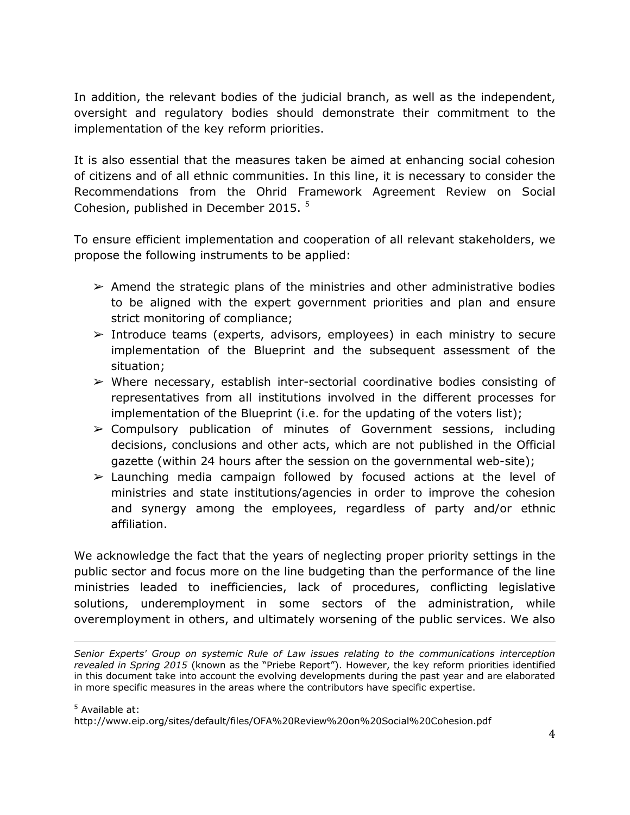In addition, the relevant bodies of the judicial branch, as well as the independent, oversight and regulatory bodies should demonstrate their commitment to the implementation of the key reform priorities.

It is also essential that the measures taken be aimed at enhancing social cohesion of citizens and of all ethnic communities. In this line, it is necessary to consider the Recommendations from the Ohrid Framework Agreement Review on Social Cohesion, published in December 2015.<sup>5</sup>

To ensure efficient implementation and cooperation of all relevant stakeholders, we propose the following instruments to be applied:

- $\triangleright$  Amend the strategic plans of the ministries and other administrative bodies to be aligned with the expert government priorities and plan and ensure strict monitoring of compliance;
- $\geq$  Introduce teams (experts, advisors, employees) in each ministry to secure implementation of the Blueprint and the subsequent assessment of the situation;
- $\triangleright$  Where necessary, establish inter-sectorial coordinative bodies consisting of representatives from all institutions involved in the different processes for implementation of the Blueprint (i.e. for the updating of the voters list);
- $\geq$  Compulsory publication of minutes of Government sessions, including decisions, conclusions and other acts, which are not published in the Official gazette (within 24 hours after the session on the governmental web-site);
- $\geq$  Launching media campaign followed by focused actions at the level of ministries and state institutions/agencies in order to improve the cohesion and synergy among the employees, regardless of party and/or ethnic affiliation.

We acknowledge the fact that the years of neglecting proper priority settings in the public sector and focus more on the line budgeting than the performance of the line ministries leaded to inefficiencies, lack of procedures, conflicting legislative solutions, underemployment in some sectors of the administration, while overemployment in others, and ultimately worsening of the public services. We also

 $\overline{a}$ 

*Senior Experts' Group on systemic Rule of Law issues relating to the communications interception revealed in Spring 2015* (known as the "Priebe Report"). However, the key reform priorities identified in this document take into account the evolving developments during the past year and are elaborated in more specific measures in the areas where the contributors have specific expertise.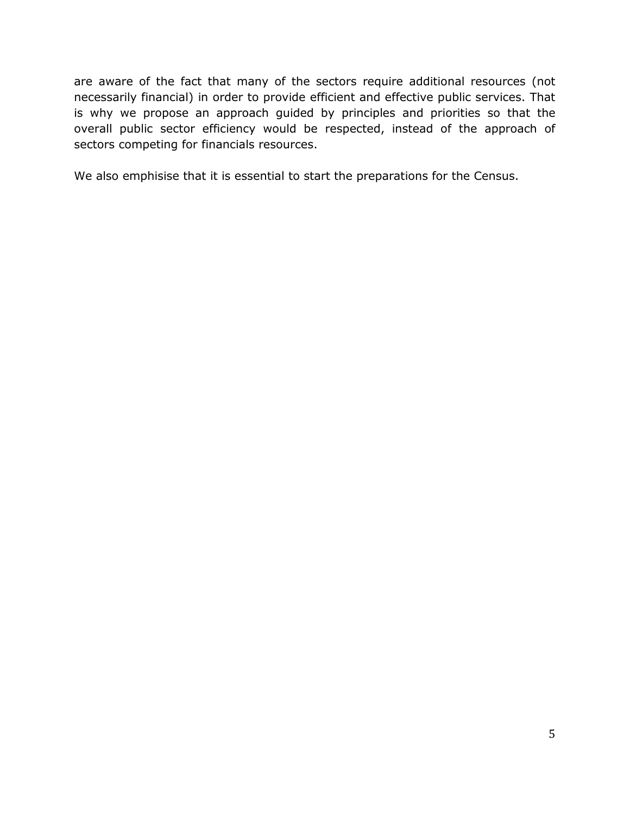are aware of the fact that many of the sectors require additional resources (not necessarily financial) in order to provide efficient and effective public services. That is why we propose an approach guided by principles and priorities so that the overall public sector efficiency would be respected, instead of the approach of sectors competing for financials resources.

We also emphisise that it is essential to start the preparations for the Census.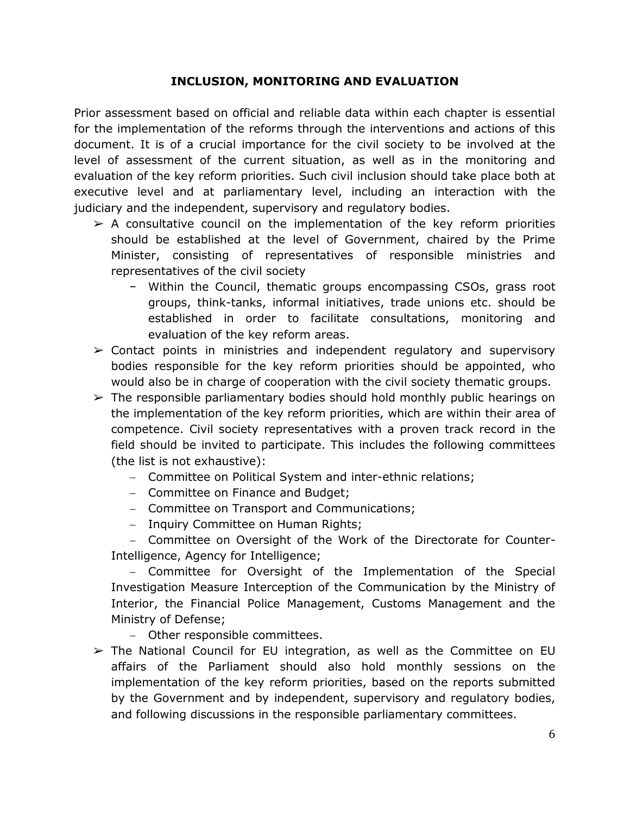#### **INCLUSION, MONITORING AND EVALUATION**

<span id="page-6-0"></span>Prior assessment based on official and reliable data within each chapter is essential for the implementation of the reforms through the interventions and actions of this document. It is of a crucial importance for the civil society to be involved at the level of assessment of the current situation, as well as in the monitoring and evaluation of the key reform priorities. Such civil inclusion should take place both at executive level and at parliamentary level, including an interaction with the judiciary and the independent, supervisory and regulatory bodies.

- $\geq$  A consultative council on the implementation of the key reform priorities should be established at the level of Government, chaired by the Prime Minister, consisting of representatives of responsible ministries and representatives of the civil society
	- − Within the Council, thematic groups encompassing CSOs, grass root groups, think-tanks, informal initiatives, trade unions etc. should be established in order to facilitate consultations, monitoring and evaluation of the key reform areas.
- $\triangleright$  Contact points in ministries and independent regulatory and supervisory bodies responsible for the key reform priorities should be appointed, who would also be in charge of cooperation with the civil society thematic groups.
- $\triangleright$  The responsible parliamentary bodies should hold monthly public hearings on the implementation of the key reform priorities, which are within their area of competence. Civil society representatives with a proven track record in the field should be invited to participate. This includes the following committees (the list is not exhaustive):
	- Committee on Political System and inter-ethnic relations;
	- Committee on Finance and Budget;
	- Committee on Transport and Communications;
	- Inquiry Committee on Human Rights;

- Committee on Oversight of the Work of the Directorate for Counter-Intelligence, Agency for Intelligence;

- Committee for Oversight of the Implementation of the Special Investigation Measure Interception of the Communication by the Ministry of Interior, the Financial Police Management, Customs Management and the Ministry of Defense;

- Other responsible committees.
- $\triangleright$  The National Council for EU integration, as well as the Committee on EU affairs of the Parliament should also hold monthly sessions on the implementation of the key reform priorities, based on the reports submitted by the Government and by independent, supervisory and regulatory bodies, and following discussions in the responsible parliamentary committees.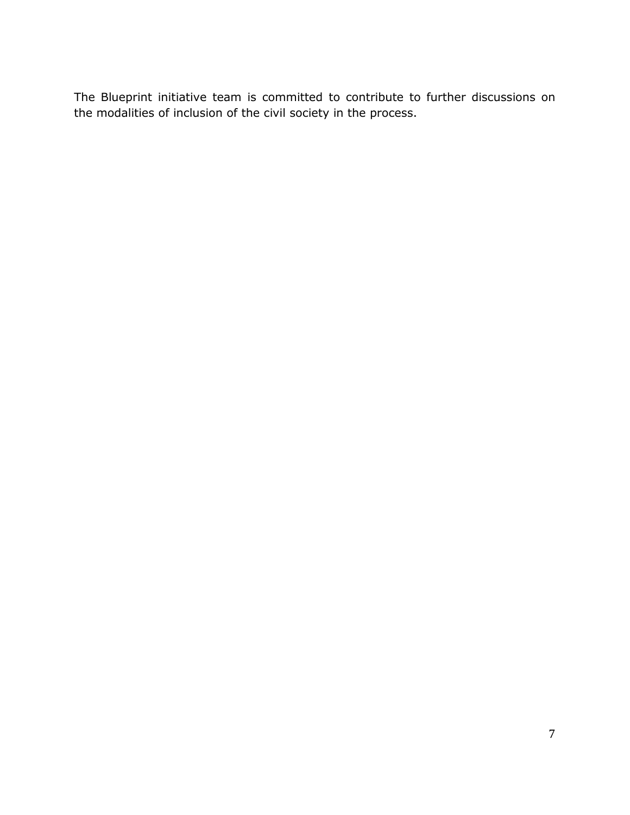The Blueprint initiative team is committed to contribute to further discussions on the modalities of inclusion of the civil society in the process.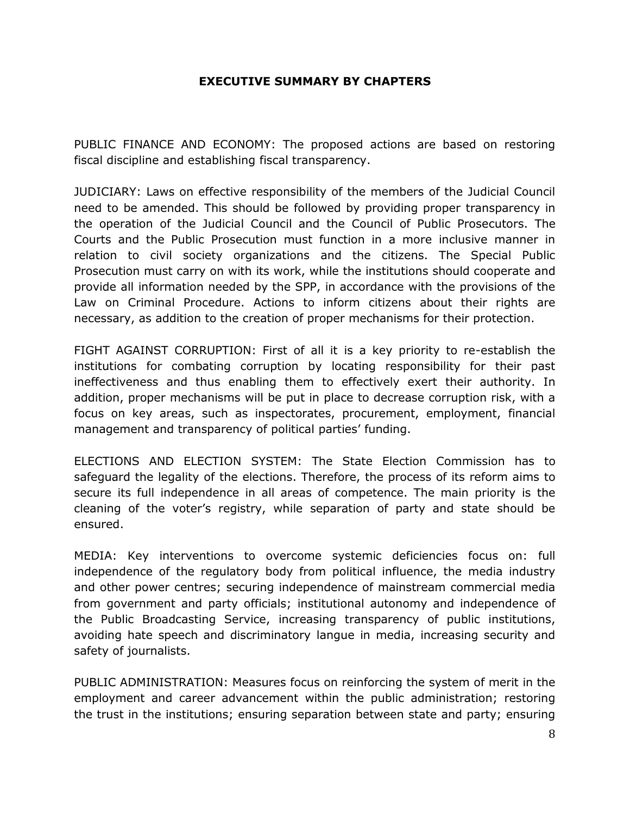#### **EXECUTIVE SUMMARY BY CHAPTERS**

<span id="page-8-0"></span>PUBLIC FINANCE AND ECONOMY: The proposed actions are based on restoring fiscal discipline and establishing fiscal transparency.

JUDICIARY: Laws on effective responsibility of the members of the Judicial Council need to be amended. This should be followed by providing proper transparency in the operation of the Judicial Council and the Council of Public Prosecutors. The Courts and the Public Prosecution must function in a more inclusive manner in relation to civil society organizations and the citizens. The Special Public Prosecution must carry on with its work, while the institutions should cooperate and provide all information needed by the SPP, in accordance with the provisions of the Law on Criminal Procedure. Actions to inform citizens about their rights are necessary, as addition to the creation of proper mechanisms for their protection.

FIGHT AGAINST CORRUPTION: First of all it is a key priority to re-establish the institutions for combating corruption by locating responsibility for their past ineffectiveness and thus enabling them to effectively exert their authority. In addition, proper mechanisms will be put in place to decrease corruption risk, with a focus on key areas, such as inspectorates, procurement, employment, financial management and transparency of political parties' funding.

ELECTIONS AND ELECTION SYSTEM: The State Election Commission has to safeguard the legality of the elections. Therefore, the process of its reform aims to secure its full independence in all areas of competence. The main priority is the cleaning of the voter's registry, while separation of party and state should be ensured.

MEDIA: Key interventions to overcome systemic deficiencies focus on: full independence of the regulatory body from political influence, the media industry and other power centres; securing independence of mainstream commercial media from government and party officials; institutional autonomy and independence of the Public Broadcasting Service, increasing transparency of public institutions, avoiding hate speech and discriminatory langue in media, increasing security and safety of journalists.

PUBLIC ADMINISTRATION: Measures focus on reinforcing the system of merit in the employment and career advancement within the public administration; restoring the trust in the institutions; ensuring separation between state and party; ensuring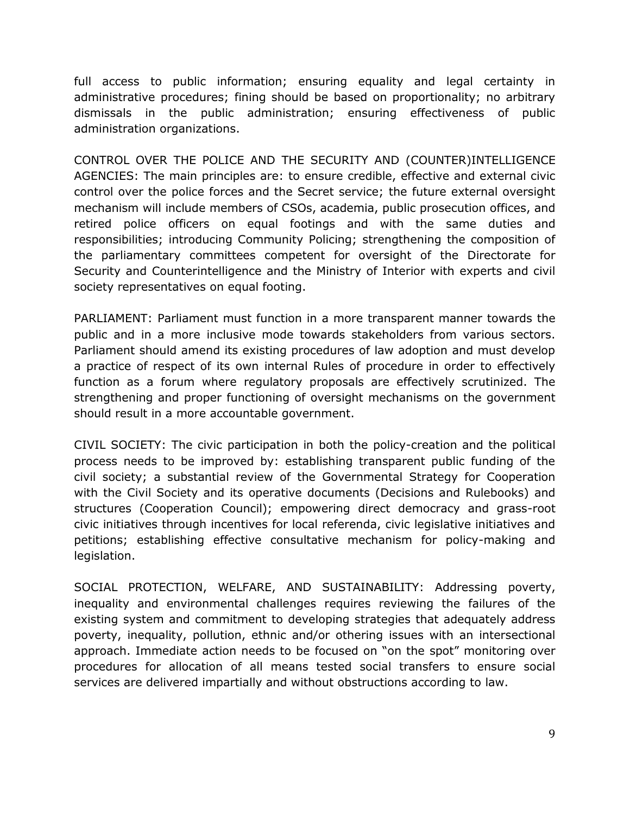full access to public information; ensuring equality and legal certainty in administrative procedures; fining should be based on proportionality; no arbitrary dismissals in the public administration; ensuring effectiveness of public administration organizations.

CONTROL OVER THE POLICE AND THE SECURITY AND (COUNTER)INTELLIGENCE AGENCIES: The main principles are: to ensure credible, effective and external civic control over the police forces and the Secret service; the future external oversight mechanism will include members of CSOs, academia, public prosecution offices, and retired police officers on equal footings and with the same duties and responsibilities; introducing Community Policing; strengthening the composition of the parliamentary committees competent for oversight of the Directorate for Security and Counterintelligence and the Ministry of Interior with experts and civil society representatives on equal footing.

PARLIAMENT: Parliament must function in a more transparent manner towards the public and in a more inclusive mode towards stakeholders from various sectors. Parliament should amend its existing procedures of law adoption and must develop a practice of respect of its own internal Rules of procedure in order to effectively function as a forum where regulatory proposals are effectively scrutinized. The strengthening and proper functioning of oversight mechanisms on the government should result in a more accountable government.

CIVIL SOCIETY: The civic participation in both the policy-creation and the political process needs to be improved by: establishing transparent public funding of the civil society; a substantial review of the Governmental Strategy for Cooperation with the Civil Society and its operative documents (Decisions and Rulebooks) and structures (Cooperation Council); empowering direct democracy and grass-root civic initiatives through incentives for local referenda, civic legislative initiatives and petitions; establishing effective consultative mechanism for policy-making and legislation.

SOCIAL PROTECTION, WELFARE, AND SUSTAINABILITY: Addressing poverty, inequality and environmental challenges requires reviewing the failures of the existing system and commitment to developing strategies that adequately address poverty, inequality, pollution, ethnic and/or othering issues with an intersectional approach. Immediate action needs to be focused on "on the spot" monitoring over procedures for allocation of all means tested social transfers to ensure social services are delivered impartially and without obstructions according to law.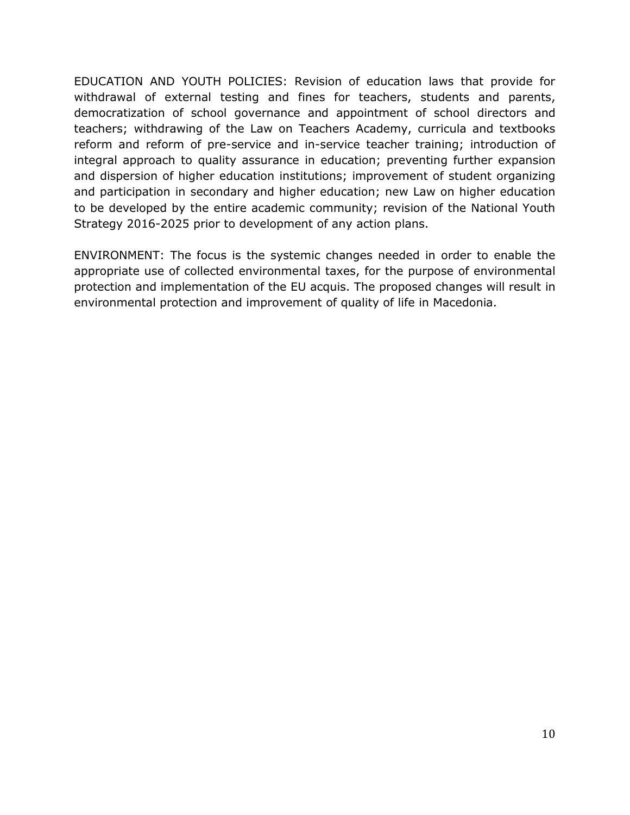EDUCATION AND YOUTH POLICIES: Revision of education laws that provide for withdrawal of external testing and fines for teachers, students and parents, democratization of school governance and appointment of school directors and teachers; withdrawing of the Law on Teachers Academy, curricula and textbooks reform and reform of pre-service and in-service teacher training; introduction of integral approach to quality assurance in education; preventing further expansion and dispersion of higher education institutions; improvement of student organizing and participation in secondary and higher education; new Law on higher education to be developed by the entire academic community; revision of the National Youth Strategy 2016-2025 prior to development of any action plans.

ENVIRONMENT: The focus is the systemic changes needed in order to enable the appropriate use of collected environmental taxes, for the purpose of environmental protection and implementation of the EU acquis. The proposed changes will result in environmental protection and improvement of quality of life in Macedonia.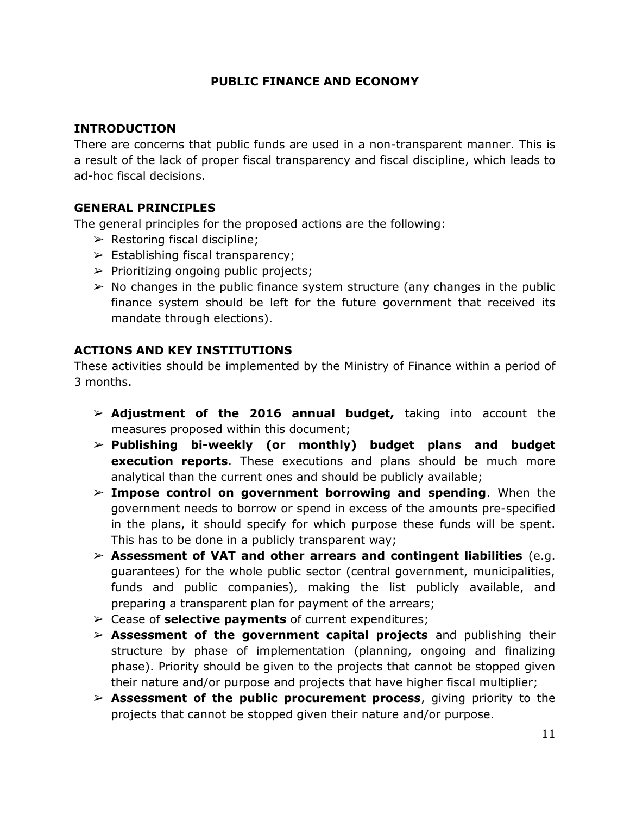### **PUBLIC FINANCE AND ECONOMY**

#### <span id="page-11-0"></span>**INTRODUCTION**

There are concerns that public funds are used in a non-transparent manner. This is a result of the lack of proper fiscal transparency and fiscal discipline, which leads to ad-hoc fiscal decisions.

### **GENERAL PRINCIPLES**

The general principles for the proposed actions are the following:

- $\triangleright$  Restoring fiscal discipline;
- $\triangleright$  Establishing fiscal transparency;
- $\triangleright$  Prioritizing ongoing public projects;
- $\triangleright$  No changes in the public finance system structure (any changes in the public finance system should be left for the future government that received its mandate through elections).

### **ACTIONS AND KEY INSTITUTIONS**

These activities should be implemented by the Ministry of Finance within a period of 3 months.

- ➢ **Adjustment of the 2016 annual budget,** taking into account the measures proposed within this document;
- ➢ **Publishing bi-weekly (or monthly) budget plans and budget execution reports**. These executions and plans should be much more analytical than the current ones and should be publicly available;
- ➢ **Impose control on government borrowing and spending**. When the government needs to borrow or spend in excess of the amounts pre-specified in the plans, it should specify for which purpose these funds will be spent. This has to be done in a publicly transparent way;
- ➢ **Assessment of VAT and other arrears and contingent liabilities** (e.g. guarantees) for the whole public sector (central government, municipalities, funds and public companies), making the list publicly available, and preparing a transparent plan for payment of the arrears;
- ➢ Cease of **selective payments** of current expenditures;
- ➢ **Assessment of the government capital projects** and publishing their structure by phase of implementation (planning, ongoing and finalizing phase). Priority should be given to the projects that cannot be stopped given their nature and/or purpose and projects that have higher fiscal multiplier;
- ➢ **Assessment of the public procurement process**, giving priority to the projects that cannot be stopped given their nature and/or purpose.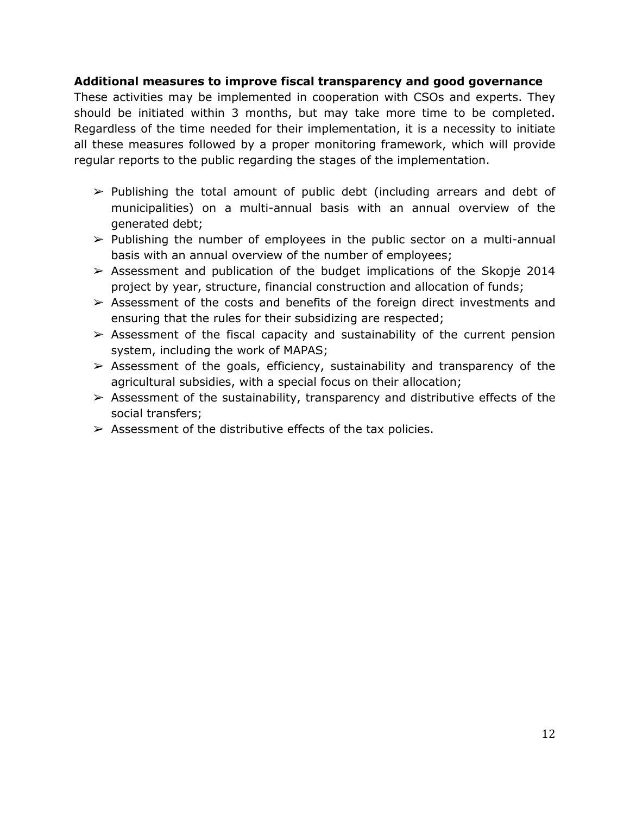#### **Additional measures to improve fiscal transparency and good governance**

These activities may be implemented in cooperation with CSOs and experts. They should be initiated within 3 months, but may take more time to be completed. Regardless of the time needed for their implementation, it is a necessity to initiate all these measures followed by a proper monitoring framework, which will provide regular reports to the public regarding the stages of the implementation.

- $\triangleright$  Publishing the total amount of public debt (including arrears and debt of municipalities) on a multi-annual basis with an annual overview of the generated debt;
- $\triangleright$  Publishing the number of employees in the public sector on a multi-annual basis with an annual overview of the number of employees;
- $\geq$  Assessment and publication of the budget implications of the Skopje 2014 project by year, structure, financial construction and allocation of funds;
- $\triangleright$  Assessment of the costs and benefits of the foreign direct investments and ensuring that the rules for their subsidizing are respected;
- $\triangleright$  Assessment of the fiscal capacity and sustainability of the current pension system, including the work of MAPAS;
- $\triangleright$  Assessment of the goals, efficiency, sustainability and transparency of the agricultural subsidies, with a special focus on their allocation;
- $\triangleright$  Assessment of the sustainability, transparency and distributive effects of the social transfers;
- $\triangleright$  Assessment of the distributive effects of the tax policies.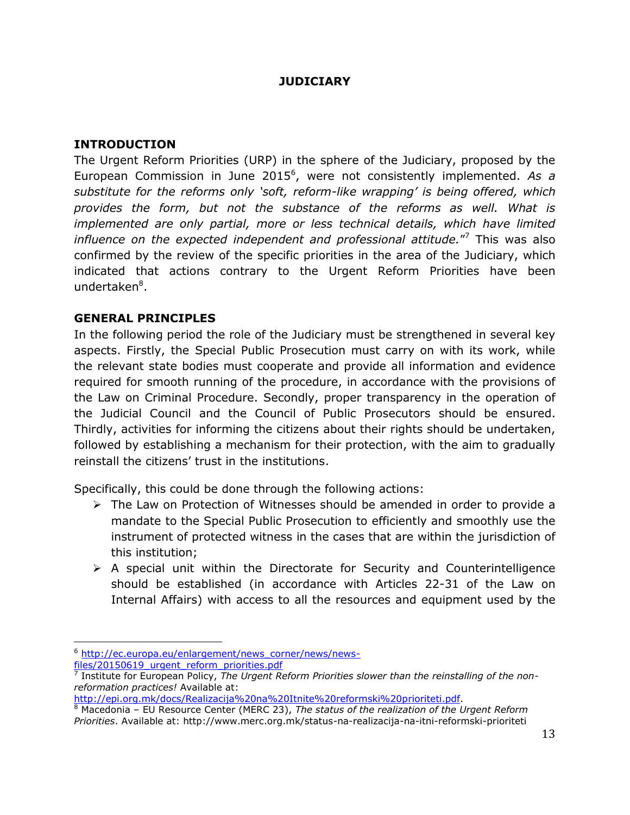### **JUDICIARY**

#### <span id="page-13-0"></span>**INTRODUCTION**

The Urgent Reform Priorities (URP) in the sphere of the Judiciary, proposed by the European Commission in June 2015<sup>6</sup>, were not consistently implemented. As a *substitute for the reforms only 'soft, reform-like wrapping' is being offered, which provides the form, but not the substance of the reforms as well. What is*  implemented are only partial, more or less technical details, which have limited *influence on the expected independent and professional attitude.*" <sup>7</sup> This was also confirmed by the review of the specific priorities in the area of the Judiciary, which indicated that actions contrary to the Urgent Reform Priorities have been undertaken<sup>8</sup>.

### **GENERAL PRINCIPLES**

In the following period the role of the Judiciary must be strengthened in several key aspects. Firstly, the Special Public Prosecution must carry on with its work, while the relevant state bodies must cooperate and provide all information and evidence required for smooth running of the procedure, in accordance with the provisions of the Law on Criminal Procedure. Secondly, proper transparency in the operation of the Judicial Council and the Council of Public Prosecutors should be ensured. Thirdly, activities for informing the citizens about their rights should be undertaken, followed by establishing a mechanism for their protection, with the aim to gradually reinstall the citizens' trust in the institutions.

Specifically, this could be done through the following actions:

- > The Law on Protection of Witnesses should be amended in order to provide a mandate to the Special Public Prosecution to efficiently and smoothly use the instrument of protected witness in the cases that are within the jurisdiction of this institution;
- $\triangleright$  A special unit within the Directorate for Security and Counterintelligence should be established (in accordance with Articles 22-31 of the Law on Internal Affairs) with access to all the resources and equipment used by the

[http://epi.org.mk/docs/Realizacija%20na%20Itnite%20reformski%20prioriteti.pdf.](http://epi.org.mk/docs/Realizacija%20na%20Itnite%20reformski%20prioriteti.pdf)

 $\overline{a}$ <sup>6</sup> [http://ec.europa.eu/enlargement/news\\_corner/news/news](http://ec.europa.eu/enlargement/news_corner/news/news-files/20150619_urgent_reform_priorities.pdf)[files/20150619\\_urgent\\_reform\\_priorities.pdf](http://ec.europa.eu/enlargement/news_corner/news/news-files/20150619_urgent_reform_priorities.pdf)

<sup>7</sup> Institute for European Policy, *The Urgent Reform Priorities slower than the reinstalling of the nonreformation practices!* Available at:

<sup>8</sup> Macedonia – EU Resource Center (MERC 23), *The status of the realization of the Urgent Reform Priorities*. Available at: http://www.merc.org.mk/status-na-realizacija-na-itni-reformski-prioriteti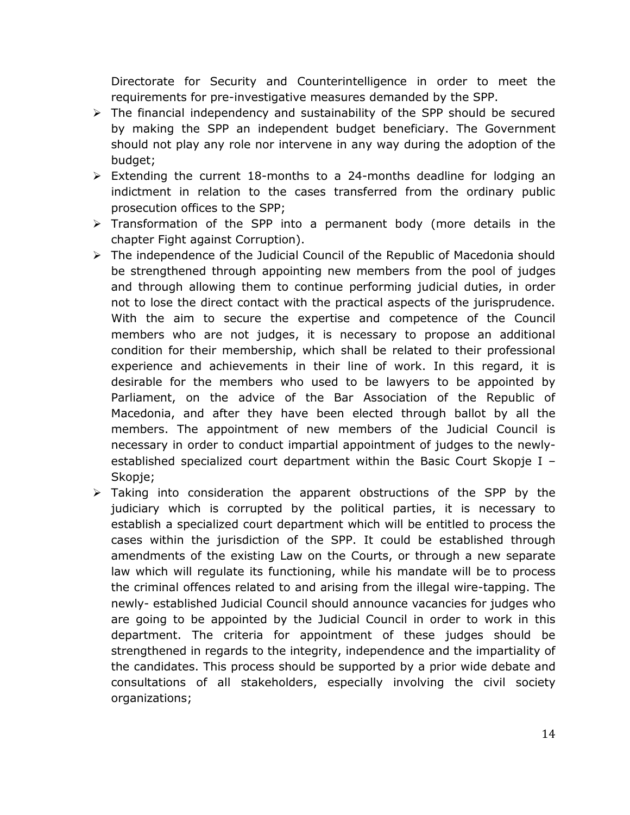Directorate for Security and Counterintelligence in order to meet the requirements for pre-investigative measures demanded by the SPP.

- $\triangleright$  The financial independency and sustainability of the SPP should be secured by making the SPP an independent budget beneficiary. The Government should not play any role nor intervene in any way during the adoption of the budget;
- $\triangleright$  Extending the current 18-months to a 24-months deadline for lodging an indictment in relation to the cases transferred from the ordinary public prosecution offices to the SPP;
- $\triangleright$  Transformation of the SPP into a permanent body (more details in the chapter Fight against Corruption).
- $\triangleright$  The independence of the Judicial Council of the Republic of Macedonia should be strengthened through appointing new members from the pool of judges and through allowing them to continue performing judicial duties, in order not to lose the direct contact with the practical aspects of the jurisprudence. With the aim to secure the expertise and competence of the Council members who are not judges, it is necessary to propose an additional condition for their membership, which shall be related to their professional experience and achievements in their line of work. In this regard, it is desirable for the members who used to be lawyers to be appointed by Parliament, on the advice of the Bar Association of the Republic of Macedonia, and after they have been elected through ballot by all the members. The appointment of new members of the Judicial Council is necessary in order to conduct impartial appointment of judges to the newlyestablished specialized court department within the Basic Court Skopje I – Skopje;
- $\triangleright$  Taking into consideration the apparent obstructions of the SPP by the judiciary which is corrupted by the political parties, it is necessary to establish a specialized court department which will be entitled to process the cases within the jurisdiction of the SPP. It could be established through amendments of the existing Law on the Courts, or through a new separate law which will regulate its functioning, while his mandate will be to process the criminal offences related to and arising from the illegal wire-tapping. The newly- established Judicial Council should announce vacancies for judges who are going to be appointed by the Judicial Council in order to work in this department. The criteria for appointment of these judges should be strengthened in regards to the integrity, independence and the impartiality of the candidates. This process should be supported by a prior wide debate and consultations of all stakeholders, especially involving the civil society organizations;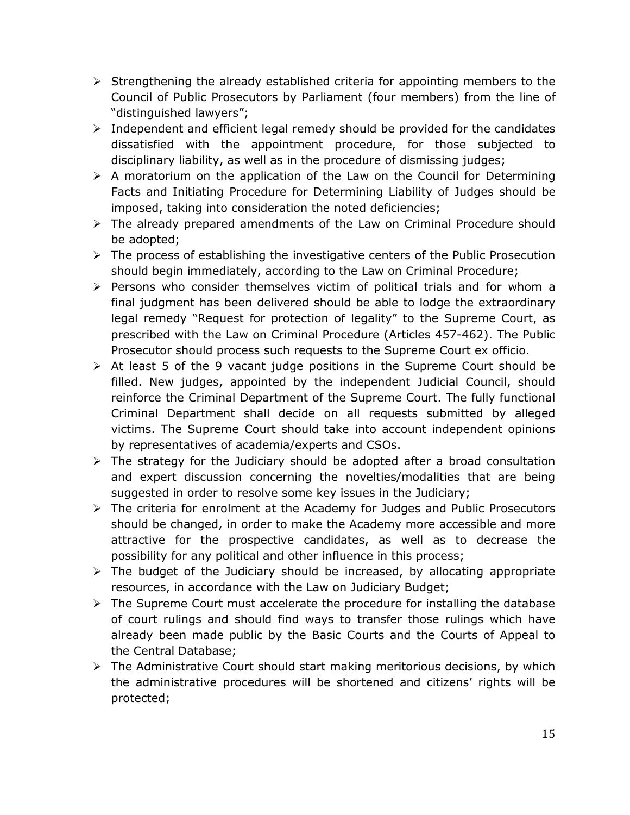- $\triangleright$  Strengthening the already established criteria for appointing members to the Council of Public Prosecutors by Parliament (four members) from the line of "distinguished lawyers";
- $\triangleright$  Independent and efficient legal remedy should be provided for the candidates dissatisfied with the appointment procedure, for those subjected to disciplinary liability, as well as in the procedure of dismissing judges;
- $\triangleright$  A moratorium on the application of the Law on the Council for Determining Facts and Initiating Procedure for Determining Liability of Judges should be imposed, taking into consideration the noted deficiencies;
- $\triangleright$  The already prepared amendments of the Law on Criminal Procedure should be adopted;
- $\triangleright$  The process of establishing the investigative centers of the Public Prosecution should begin immediately, according to the Law on Criminal Procedure;
- $\triangleright$  Persons who consider themselves victim of political trials and for whom a final judgment has been delivered should be able to lodge the extraordinary legal remedy "Request for protection of legality" to the Supreme Court, as prescribed with the Law on Criminal Procedure (Articles 457-462). The Public Prosecutor should process such requests to the Supreme Court ex officio.
- $\triangleright$  At least 5 of the 9 vacant judge positions in the Supreme Court should be filled. New judges, appointed by the independent Judicial Council, should reinforce the Criminal Department of the Supreme Court. The fully functional Criminal Department shall decide on all requests submitted by alleged victims. The Supreme Court should take into account independent opinions by representatives of academia/experts and CSOs.
- $\triangleright$  The strategy for the Judiciary should be adopted after a broad consultation and expert discussion concerning the novelties/modalities that are being suggested in order to resolve some key issues in the Judiciary;
- $\triangleright$  The criteria for enrolment at the Academy for Judges and Public Prosecutors should be changed, in order to make the Academy more accessible and more attractive for the prospective candidates, as well as to decrease the possibility for any political and other influence in this process;
- $\triangleright$  The budget of the Judiciary should be increased, by allocating appropriate resources, in accordance with the Law on Judiciary Budget;
- $\triangleright$  The Supreme Court must accelerate the procedure for installing the database of court rulings and should find ways to transfer those rulings which have already been made public by the Basic Courts and the Courts of Appeal to the Central Database;
- $\triangleright$  The Administrative Court should start making meritorious decisions, by which the administrative procedures will be shortened and citizens' rights will be protected;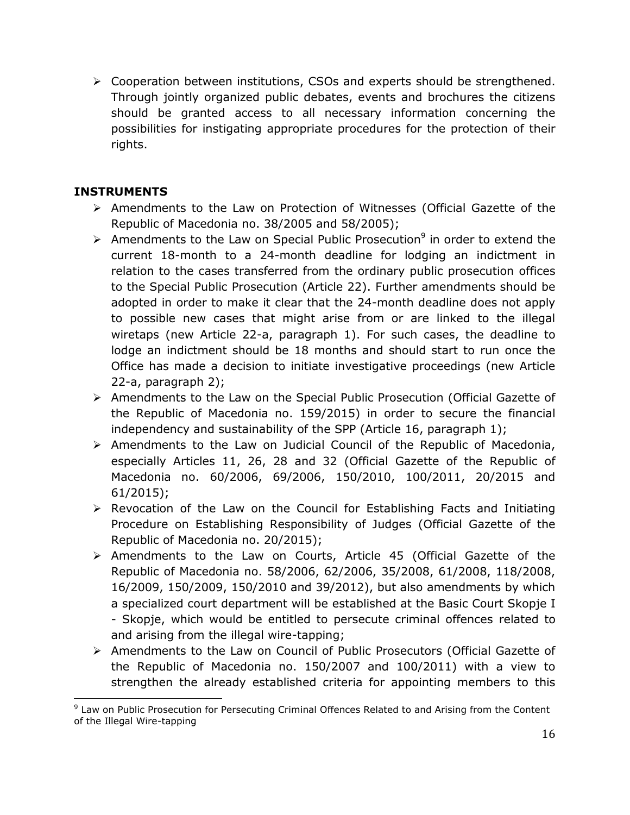$\triangleright$  Cooperation between institutions, CSOs and experts should be strengthened. Through jointly organized public debates, events and brochures the citizens should be granted access to all necessary information concerning the possibilities for instigating appropriate procedures for the protection of their rights.

## **INSTRUMENTS**

- $\triangleright$  Amendments to the Law on Protection of Witnesses (Official Gazette of the Republic of Macedonia no. 38/2005 and 58/2005);
- $\triangleright$  Amendments to the Law on Special Public Prosecution<sup>9</sup> in order to extend the current 18-month to a 24-month deadline for lodging an indictment in relation to the cases transferred from the ordinary public prosecution offices to the Special Public Prosecution (Article 22). Further amendments should be adopted in order to make it clear that the 24-month deadline does not apply to possible new cases that might arise from or are linked to the illegal wiretaps (new Article 22-a, paragraph 1). For such cases, the deadline to lodge an indictment should be 18 months and should start to run once the Office has made a decision to initiate investigative proceedings (new Article 22-a, paragraph 2);
- Amendments to the Law on the Special Public Prosecution (Official Gazette of the Republic of Macedonia no. 159/2015) in order to secure the financial independency and sustainability of the SPP (Article 16, paragraph 1);
- Amendments to the Law on Judicial Council of the Republic of Macedonia, especially Articles 11, 26, 28 and 32 (Official Gazette of the Republic of Macedonia no. 60/2006, 69/2006, 150/2010, 100/2011, 20/2015 and 61/2015);
- $\triangleright$  Revocation of the Law on the Council for Establishing Facts and Initiating Procedure on Establishing Responsibility of Judges (Official Gazette of the Republic of Macedonia no. 20/2015);
- Amendments to the Law on Courts, Article 45 (Official Gazette of the Republic of Macedonia no. 58/2006, 62/2006, 35/2008, 61/2008, 118/2008, 16/2009, 150/2009, 150/2010 and 39/2012), but also amendments by which a specialized court department will be established at the Basic Court Skopje I - Skopje, which would be entitled to persecute criminal offences related to and arising from the illegal wire-tapping;
- Amendments to the Law on Council of Public Prosecutors (Official Gazette of the Republic of Macedonia no. 150/2007 and 100/2011) with a view to strengthen the already established criteria for appointing members to this

 $\overline{a}$ <sup>9</sup> Law on Public Prosecution for Persecuting Criminal Offences Related to and Arising from the Content of the Illegal Wire-tapping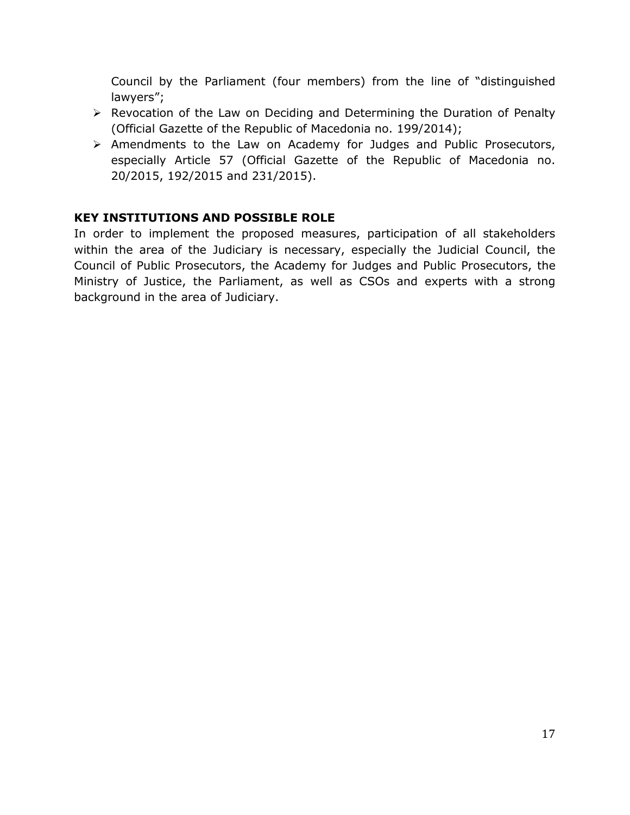Council by the Parliament (four members) from the line of "distinguished lawyers";

- $\triangleright$  Revocation of the Law on Deciding and Determining the Duration of Penalty (Official Gazette of the Republic of Macedonia no. 199/2014);
- Amendments to the Law on Academy for Judges and Public Prosecutors, especially Article 57 (Official Gazette of the Republic of Macedonia no. 20/2015, 192/2015 and 231/2015).

## **KEY INSTITUTIONS AND POSSIBLE ROLE**

In order to implement the proposed measures, participation of all stakeholders within the area of the Judiciary is necessary, especially the Judicial Council, the Council of Public Prosecutors, the Academy for Judges and Public Prosecutors, the Ministry of Justice, the Parliament, as well as CSOs and experts with a strong background in the area of Judiciary.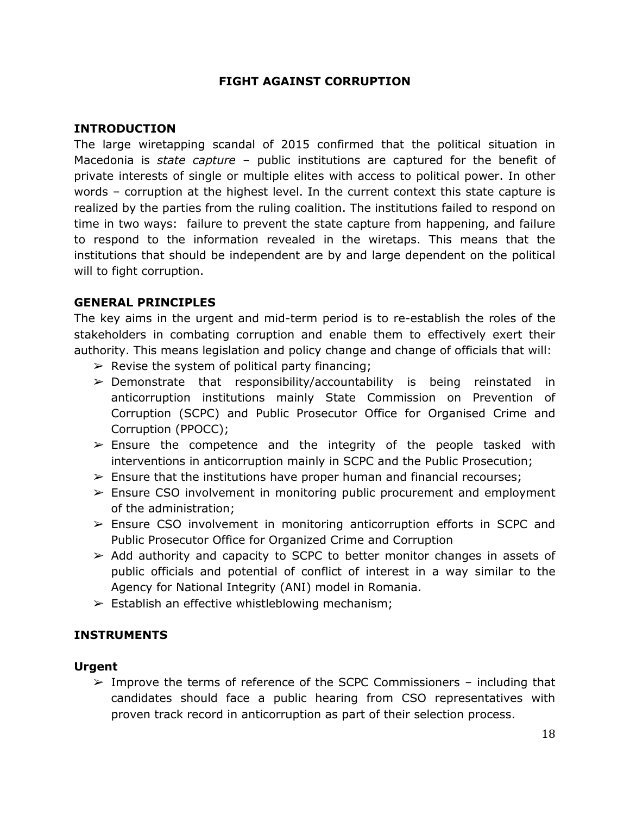#### **FIGHT AGAINST CORRUPTION**

#### <span id="page-18-0"></span>**INTRODUCTION**

The large wiretapping scandal of 2015 confirmed that the political situation in Macedonia is *state capture* – public institutions are captured for the benefit of private interests of single or multiple elites with access to political power. In other words – corruption at the highest level. In the current context this state capture is realized by the parties from the ruling coalition. The institutions failed to respond on time in two ways: failure to prevent the state capture from happening, and failure to respond to the information revealed in the wiretaps. This means that the institutions that should be independent are by and large dependent on the political will to fight corruption.

#### **GENERAL PRINCIPLES**

The key aims in the urgent and mid-term period is to re-establish the roles of the stakeholders in combating corruption and enable them to effectively exert their authority. This means legislation and policy change and change of officials that will:

- $\triangleright$  Revise the system of political party financing;
- $\triangleright$  Demonstrate that responsibility/accountability is being reinstated in anticorruption institutions mainly State Commission on Prevention of Corruption (SCPC) and Public Prosecutor Office for Organised Crime and Corruption (PPOCC);
- $\ge$  Ensure the competence and the integrity of the people tasked with interventions in anticorruption mainly in SCPC and the Public Prosecution;
- $\triangleright$  Ensure that the institutions have proper human and financial recourses;
- $\geq$  Ensure CSO involvement in monitoring public procurement and employment of the administration;
- $\geq$  Ensure CSO involvement in monitoring anticorruption efforts in SCPC and Public Prosecutor Office for Organized Crime and Corruption
- $\geq$  Add authority and capacity to SCPC to better monitor changes in assets of public officials and potential of conflict of interest in a way similar to the Agency for National Integrity (ANI) model in Romania.
- $\triangleright$  Establish an effective whistleblowing mechanism;

#### **INSTRUMENTS**

#### **Urgent**

 $\geq$  Improve the terms of reference of the SCPC Commissioners – including that candidates should face a public hearing from CSO representatives with proven track record in anticorruption as part of their selection process.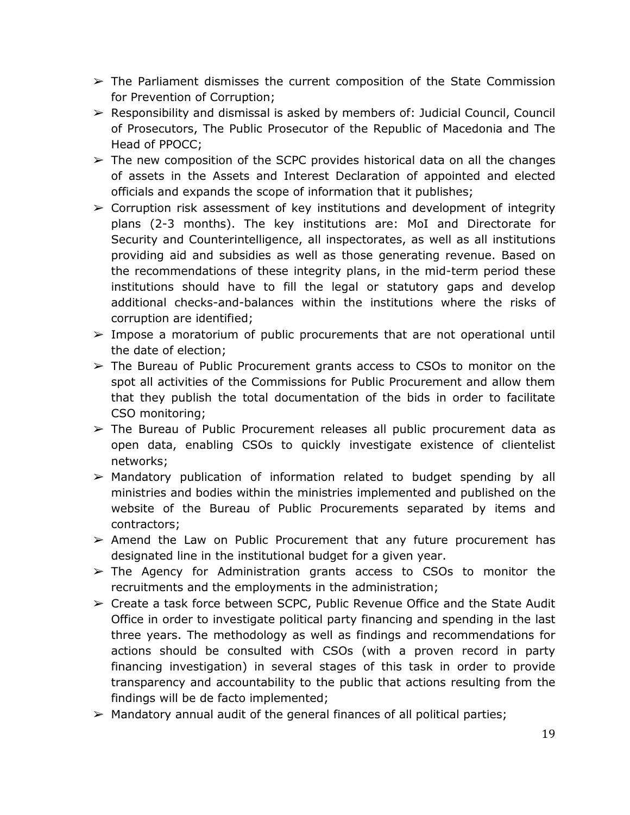- $\triangleright$  The Parliament dismisses the current composition of the State Commission for Prevention of Corruption;
- ➢ Responsibility and dismissal is asked by members of: Judicial Council, Council of Prosecutors, The Public Prosecutor of the Republic of Macedonia and The Head of PPOCC;
- $\geq$  The new composition of the SCPC provides historical data on all the changes of assets in the Assets and Interest Declaration of appointed and elected officials and expands the scope of information that it publishes;
- $\triangleright$  Corruption risk assessment of key institutions and development of integrity plans (2-3 months). The key institutions are: MoI and Directorate for Security and Counterintelligence, all inspectorates, as well as all institutions providing aid and subsidies as well as those generating revenue. Based on the recommendations of these integrity plans, in the mid-term period these institutions should have to fill the legal or statutory gaps and develop additional checks-and-balances within the institutions where the risks of corruption are identified;
- $\geq$  Impose a moratorium of public procurements that are not operational until the date of election;
- $\geq$  The Bureau of Public Procurement grants access to CSOs to monitor on the spot all activities of the Commissions for Public Procurement and allow them that they publish the total documentation of the bids in order to facilitate CSO monitoring;
- $\triangleright$  The Bureau of Public Procurement releases all public procurement data as open data, enabling CSOs to quickly investigate existence of clientelist networks;
- $\triangleright$  Mandatory publication of information related to budget spending by all ministries and bodies within the ministries implemented and published on the website of the Bureau of Public Procurements separated by items and contractors;
- $\triangleright$  Amend the Law on Public Procurement that any future procurement has designated line in the institutional budget for a given year.
- $\triangleright$  The Agency for Administration grants access to CSOs to monitor the recruitments and the employments in the administration;
- $\triangleright$  Create a task force between SCPC, Public Revenue Office and the State Audit Office in order to investigate political party financing and spending in the last three years. The methodology as well as findings and recommendations for actions should be consulted with CSOs (with a proven record in party financing investigation) in several stages of this task in order to provide transparency and accountability to the public that actions resulting from the findings will be de facto implemented;
- $\triangleright$  Mandatory annual audit of the general finances of all political parties;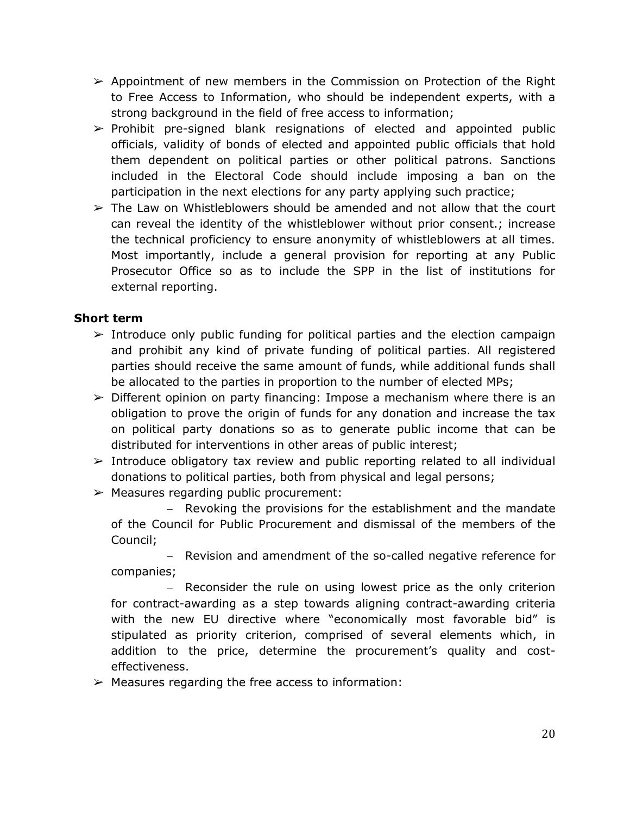- $\triangleright$  Appointment of new members in the Commission on Protection of the Right to Free Access to Information, who should be independent experts, with a strong background in the field of free access to information;
- $\triangleright$  Prohibit pre-signed blank resignations of elected and appointed public officials, validity of bonds of elected and appointed public officials that hold them dependent on political parties or other political patrons. Sanctions included in the Electoral Code should include imposing a ban on the participation in the next elections for any party applying such practice;
- $\triangleright$  The Law on Whistleblowers should be amended and not allow that the court can reveal the identity of the whistleblower without prior consent.; increase the technical proficiency to ensure anonymity of whistleblowers at all times. Most importantly, include a general provision for reporting at any Public Prosecutor Office so as to include the SPP in the list of institutions for external reporting.

### **Short term**

- $\geq$  Introduce only public funding for political parties and the election campaign and prohibit any kind of private funding of political parties. All registered parties should receive the same amount of funds, while additional funds shall be allocated to the parties in proportion to the number of elected MPs;
- $\triangleright$  Different opinion on party financing: Impose a mechanism where there is an obligation to prove the origin of funds for any donation and increase the tax on political party donations so as to generate public income that can be distributed for interventions in other areas of public interest;
- $\triangleright$  Introduce obligatory tax review and public reporting related to all individual donations to political parties, both from physical and legal persons;
- $\triangleright$  Measures regarding public procurement:
	- Revoking the provisions for the establishment and the mandate of the Council for Public Procurement and dismissal of the members of the Council;

- Revision and amendment of the so-called negative reference for companies;

- Reconsider the rule on using lowest price as the only criterion for contract-awarding as a step towards aligning contract-awarding criteria with the new EU directive where "economically most favorable bid" is stipulated as priority criterion, comprised of several elements which, in addition to the price, determine the procurement's quality and costeffectiveness.

 $\triangleright$  Measures regarding the free access to information: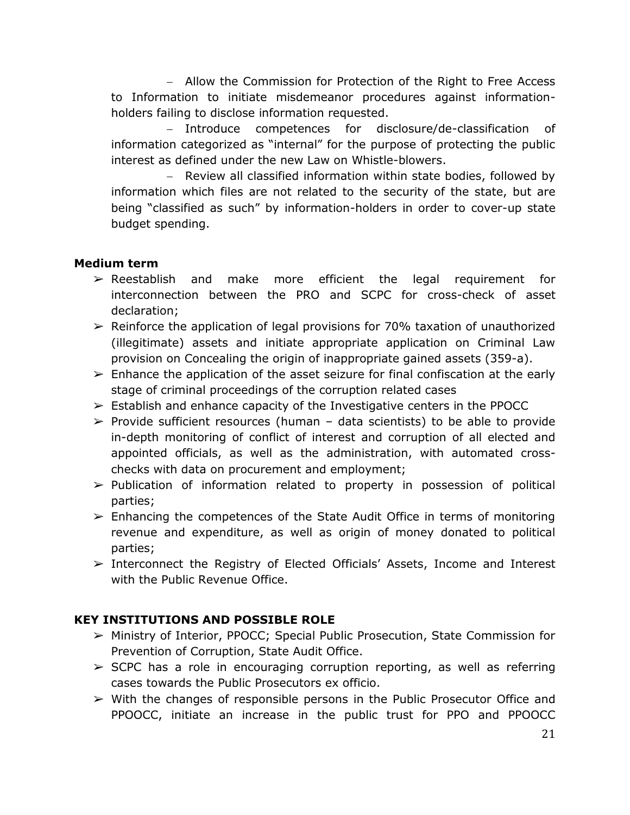Allow the Commission for Protection of the Right to Free Access to Information to initiate misdemeanor procedures against informationholders failing to disclose information requested.

- Introduce competences for disclosure/de-classification of information categorized as "internal" for the purpose of protecting the public interest as defined under the new Law on Whistle-blowers.

- Review all classified information within state bodies, followed by information which files are not related to the security of the state, but are being "classified as such" by information-holders in order to cover-up state budget spending.

### **Medium term**

- ➢ Reestablish and make more efficient the legal requirement for interconnection between the PRO and SCPC for cross-check of asset declaration;
- $\geq$  Reinforce the application of legal provisions for 70% taxation of unauthorized (illegitimate) assets and initiate appropriate application on Criminal Law provision on Concealing the origin of inappropriate gained assets (359-a).
- $\triangleright$  Enhance the application of the asset seizure for final confiscation at the early stage of criminal proceedings of the corruption related cases
- $\geq$  Establish and enhance capacity of the Investigative centers in the PPOCC
- $\triangleright$  Provide sufficient resources (human data scientists) to be able to provide in-depth monitoring of conflict of interest and corruption of all elected and appointed officials, as well as the administration, with automated crosschecks with data on procurement and employment;
- $\triangleright$  Publication of information related to property in possession of political parties;
- $\triangleright$  Enhancing the competences of the State Audit Office in terms of monitoring revenue and expenditure, as well as origin of money donated to political parties;
- ➢ Interconnect the Registry of Elected Officials' Assets, Income and Interest with the Public Revenue Office.

## **KEY INSTITUTIONS AND POSSIBLE ROLE**

- ➢ Ministry of Interior, PPOCC; Special Public Prosecution, State Commission for Prevention of Corruption, State Audit Office.
- $\triangleright$  SCPC has a role in encouraging corruption reporting, as well as referring cases towards the Public Prosecutors ex officio.
- $\triangleright$  With the changes of responsible persons in the Public Prosecutor Office and PPOOCC, initiate an increase in the public trust for PPO and PPOOCC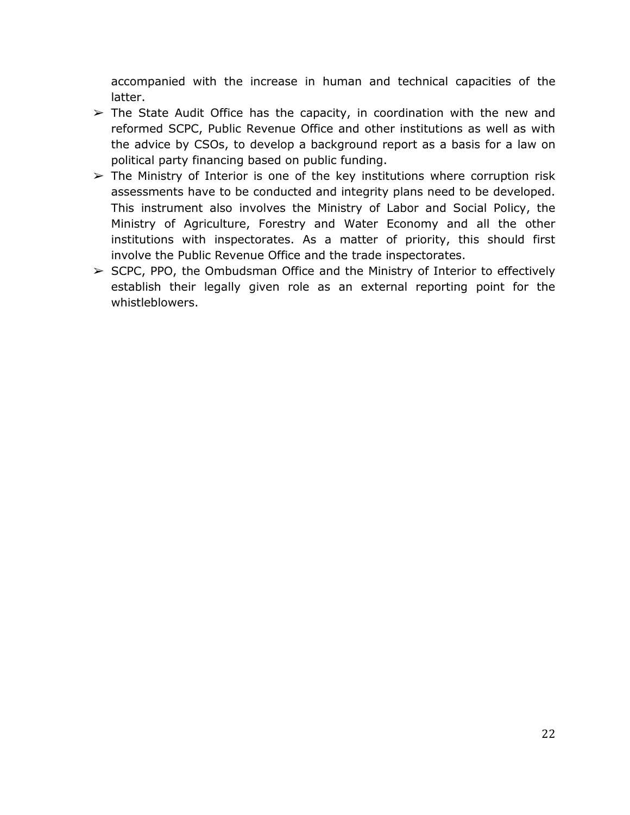accompanied with the increase in human and technical capacities of the latter.

- $\triangleright$  The State Audit Office has the capacity, in coordination with the new and reformed SCPC, Public Revenue Office and other institutions as well as with the advice by CSOs, to develop a background report as a basis for a law on political party financing based on public funding.
- $\triangleright$  The Ministry of Interior is one of the key institutions where corruption risk assessments have to be conducted and integrity plans need to be developed. This instrument also involves the Ministry of Labor and Social Policy, the Ministry of Agriculture, Forestry and Water Economy and all the other institutions with inspectorates. As a matter of priority, this should first involve the Public Revenue Office and the trade inspectorates.
- $\triangleright$  SCPC, PPO, the Ombudsman Office and the Ministry of Interior to effectively establish their legally given role as an external reporting point for the whistleblowers.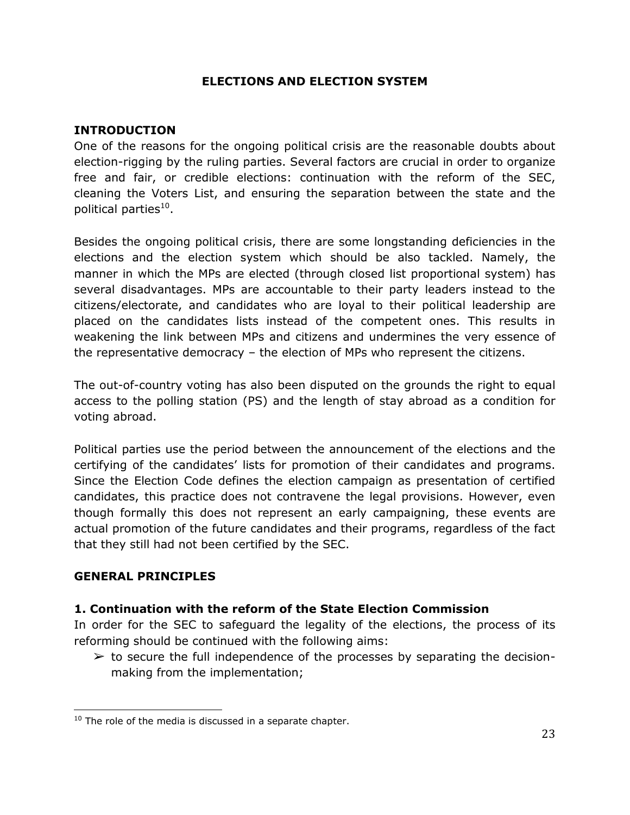### **ELECTIONS AND ELECTION SYSTEM**

#### <span id="page-23-0"></span>**INTRODUCTION**

One of the reasons for the ongoing political crisis are the reasonable doubts about election-rigging by the ruling parties. Several factors are crucial in order to organize free and fair, or credible elections: continuation with the reform of the SEC, cleaning the Voters List, and ensuring the separation between the state and the political parties<sup>10</sup>.

Besides the ongoing political crisis, there are some longstanding deficiencies in the elections and the election system which should be also tackled. Namely, the manner in which the MPs are elected (through closed list proportional system) has several disadvantages. MPs are accountable to their party leaders instead to the citizens/electorate, and candidates who are loyal to their political leadership are placed on the candidates lists instead of the competent ones. This results in weakening the link between MPs and citizens and undermines the very essence of the representative democracy – the election of MPs who represent the citizens.

The out-of-country voting has also been disputed on the grounds the right to equal access to the polling station (PS) and the length of stay abroad as a condition for voting abroad.

Political parties use the period between the announcement of the elections and the certifying of the candidates' lists for promotion of their candidates and programs. Since the Election Code defines the election campaign as presentation of certified candidates, this practice does not contravene the legal provisions. However, even though formally this does not represent an early campaigning, these events are actual promotion of the future candidates and their programs, regardless of the fact that they still had not been certified by the SEC.

#### **GENERAL PRINCIPLES**

 $\overline{a}$ 

#### **1. Continuation with the reform of the State Election Commission**

In order for the SEC to safeguard the legality of the elections, the process of its reforming should be continued with the following aims:

 $\triangleright$  to secure the full independence of the processes by separating the decisionmaking from the implementation;

 $10$  The role of the media is discussed in a separate chapter.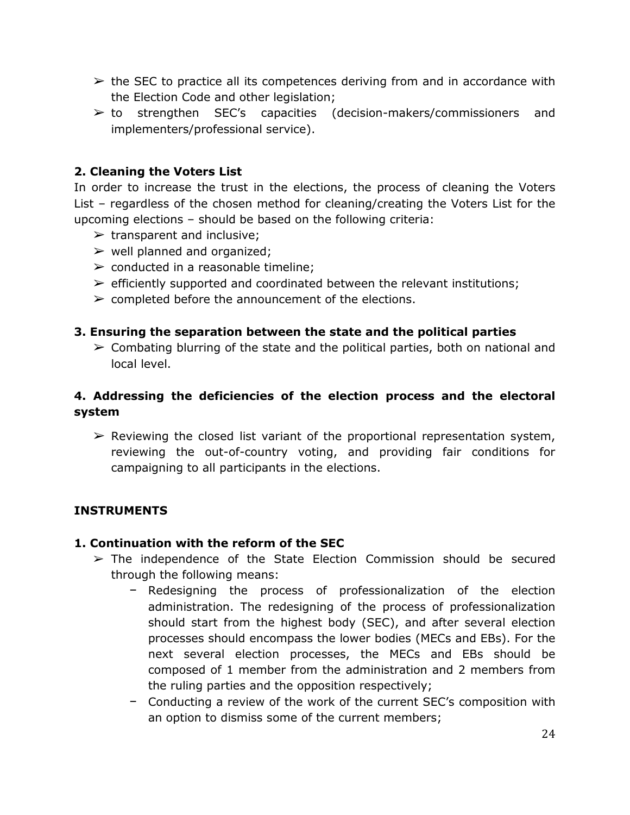- $\triangleright$  the SEC to practice all its competences deriving from and in accordance with the Election Code and other legislation;
- $\triangleright$  to strengthen SEC's capacities (decision-makers/commissioners and implementers/professional service).

## **2. Cleaning the Voters List**

In order to increase the trust in the elections, the process of cleaning the Voters List – regardless of the chosen method for cleaning/creating the Voters List for the upcoming elections – should be based on the following criteria:

- $\triangleright$  transparent and inclusive;
- $\triangleright$  well planned and organized;
- $\triangleright$  conducted in a reasonable timeline;
- $\triangleright$  efficiently supported and coordinated between the relevant institutions;
- $\triangleright$  completed before the announcement of the elections.

## **3. Ensuring the separation between the state and the political parties**

 $\geq$  Combating blurring of the state and the political parties, both on national and local level.

## **4. Addressing the deficiencies of the election process and the electoral system**

 $\triangleright$  Reviewing the closed list variant of the proportional representation system, reviewing the out-of-country voting, and providing fair conditions for campaigning to all participants in the elections.

## **INSTRUMENTS**

## **1. Continuation with the reform of the SEC**

- $\geq$  The independence of the State Election Commission should be secured through the following means:
	- − Redesigning the process of professionalization of the election administration. The redesigning of the process of professionalization should start from the highest body (SEC), and after several election processes should encompass the lower bodies (MECs and EBs). For the next several election processes, the MECs and EBs should be composed of 1 member from the administration and 2 members from the ruling parties and the opposition respectively;
	- − Conducting a review of the work of the current SEC's composition with an option to dismiss some of the current members;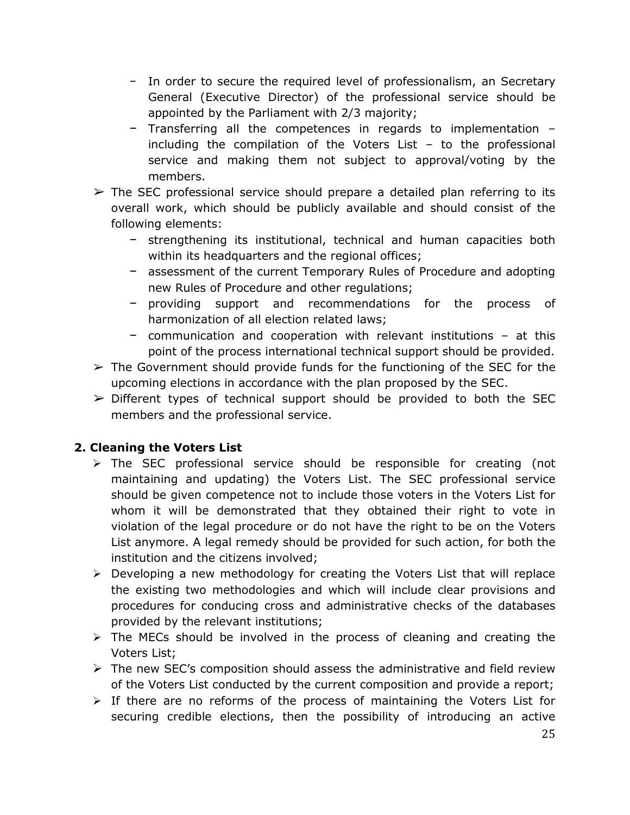- − In order to secure the required level of professionalism, an Secretary General (Executive Director) of the professional service should be appointed by the Parliament with 2/3 majority;
- − Transferring all the competences in regards to implementation including the compilation of the Voters List – to the professional service and making them not subject to approval/voting by the members.
- $\triangleright$  The SEC professional service should prepare a detailed plan referring to its overall work, which should be publicly available and should consist of the following elements:
	- − strengthening its institutional, technical and human capacities both within its headquarters and the regional offices;
	- − assessment of the current Temporary Rules of Procedure and adopting new Rules of Procedure and other regulations;
	- − providing support and recommendations for the process of harmonization of all election related laws;
	- − communication and cooperation with relevant institutions at this point of the process international technical support should be provided.
- $\triangleright$  The Government should provide funds for the functioning of the SEC for the upcoming elections in accordance with the plan proposed by the SEC.
- $\triangleright$  Different types of technical support should be provided to both the SEC members and the professional service.

## **2. Cleaning the Voters List**

- $\triangleright$  The SEC professional service should be responsible for creating (not maintaining and updating) the Voters List. The SEC professional service should be given competence not to include those voters in the Voters List for whom it will be demonstrated that they obtained their right to vote in violation of the legal procedure or do not have the right to be on the Voters List anymore. A legal remedy should be provided for such action, for both the institution and the citizens involved;
- $\triangleright$  Developing a new methodology for creating the Voters List that will replace the existing two methodologies and which will include clear provisions and procedures for conducing cross and administrative checks of the databases provided by the relevant institutions;
- $\triangleright$  The MECs should be involved in the process of cleaning and creating the Voters List;
- $\triangleright$  The new SEC's composition should assess the administrative and field review of the Voters List conducted by the current composition and provide a report;
- $\triangleright$  If there are no reforms of the process of maintaining the Voters List for securing credible elections, then the possibility of introducing an active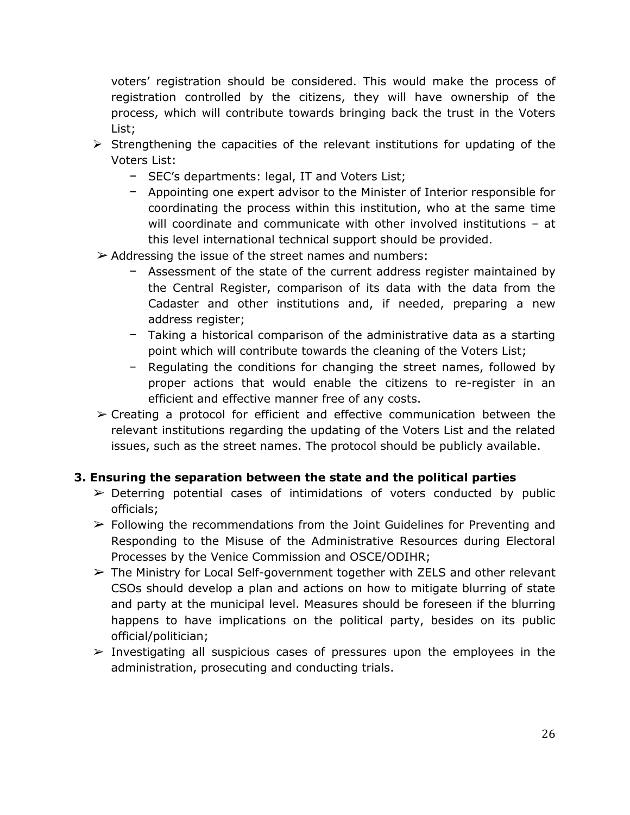voters' registration should be considered. This would make the process of registration controlled by the citizens, they will have ownership of the process, which will contribute towards bringing back the trust in the Voters List;

- $\triangleright$  Strengthening the capacities of the relevant institutions for updating of the Voters List:
	- − SEC's departments: legal, IT and Voters List;
	- − Appointing one expert advisor to the Minister of Interior responsible for coordinating the process within this institution, who at the same time will coordinate and communicate with other involved institutions – at this level international technical support should be provided.
- $\triangleright$  Addressing the issue of the street names and numbers:
	- − Assessment of the state of the current address register maintained by the Central Register, comparison of its data with the data from the Cadaster and other institutions and, if needed, preparing a new address register;
	- − Taking a historical comparison of the administrative data as a starting point which will contribute towards the cleaning of the Voters List;
	- − Regulating the conditions for changing the street names, followed by proper actions that would enable the citizens to re-register in an efficient and effective manner free of any costs.
- $\geq$  Creating a protocol for efficient and effective communication between the relevant institutions regarding the updating of the Voters List and the related issues, such as the street names. The protocol should be publicly available.

#### **3. Ensuring the separation between the state and the political parties**

- $\triangleright$  Deterring potential cases of intimidations of voters conducted by public officials;
- $\triangleright$  Following the recommendations from the Joint Guidelines for Preventing and Responding to the Misuse of the Administrative Resources during Electoral Processes by the Venice Commission and OSCE/ODIHR;
- $\triangleright$  The Ministry for Local Self-government together with ZELS and other relevant CSOs should develop a plan and actions on how to mitigate blurring of state and party at the municipal level. Measures should be foreseen if the blurring happens to have implications on the political party, besides on its public official/politician;
- $\triangleright$  Investigating all suspicious cases of pressures upon the employees in the administration, prosecuting and conducting trials.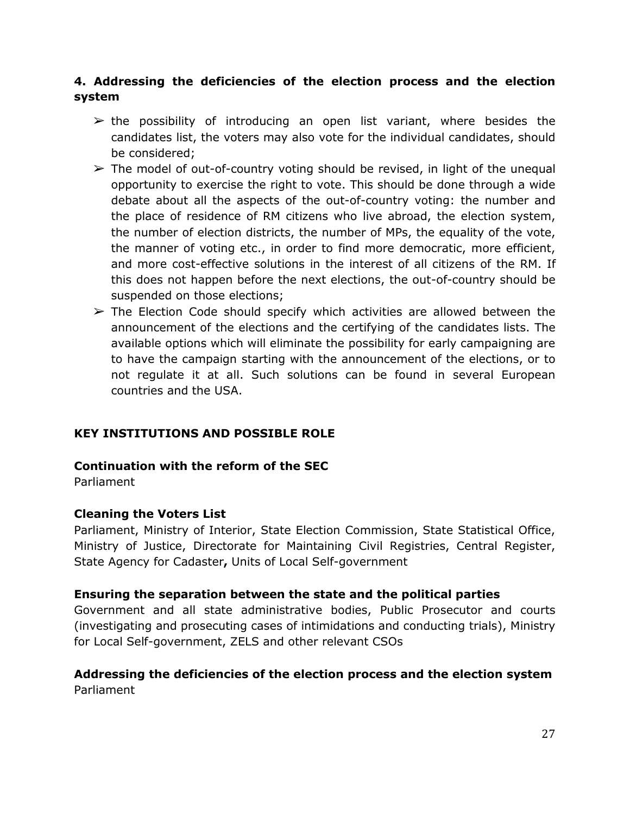## **4. Addressing the deficiencies of the election process and the election system**

- $\triangleright$  the possibility of introducing an open list variant, where besides the candidates list, the voters may also vote for the individual candidates, should be considered;
- $\triangleright$  The model of out-of-country voting should be revised, in light of the unequal opportunity to exercise the right to vote. This should be done through a wide debate about all the aspects of the out-of-country voting: the number and the place of residence of RM citizens who live abroad, the election system, the number of election districts, the number of MPs, the equality of the vote, the manner of voting etc., in order to find more democratic, more efficient, and more cost-effective solutions in the interest of all citizens of the RM. If this does not happen before the next elections, the out-of-country should be suspended on those elections;
- $\triangleright$  The Election Code should specify which activities are allowed between the announcement of the elections and the certifying of the candidates lists. The available options which will eliminate the possibility for early campaigning are to have the campaign starting with the announcement of the elections, or to not regulate it at all. Such solutions can be found in several European countries and the USA.

## **KEY INSTITUTIONS AND POSSIBLE ROLE**

#### **Continuation with the reform of the SEC**

Parliament

#### **Cleaning the Voters List**

Parliament, Ministry of Interior, State Election Commission, State Statistical Office, Ministry of Justice, Directorate for Maintaining Civil Registries, Central Register, State Agency for Cadaster**,** Units of Local Self-government

#### **Ensuring the separation between the state and the political parties**

Government and all state administrative bodies, Public Prosecutor and courts (investigating and prosecuting cases of intimidations and conducting trials), Ministry for Local Self-government, ZELS and other relevant CSOs

#### **Addressing the deficiencies of the election process and the election system** Parliament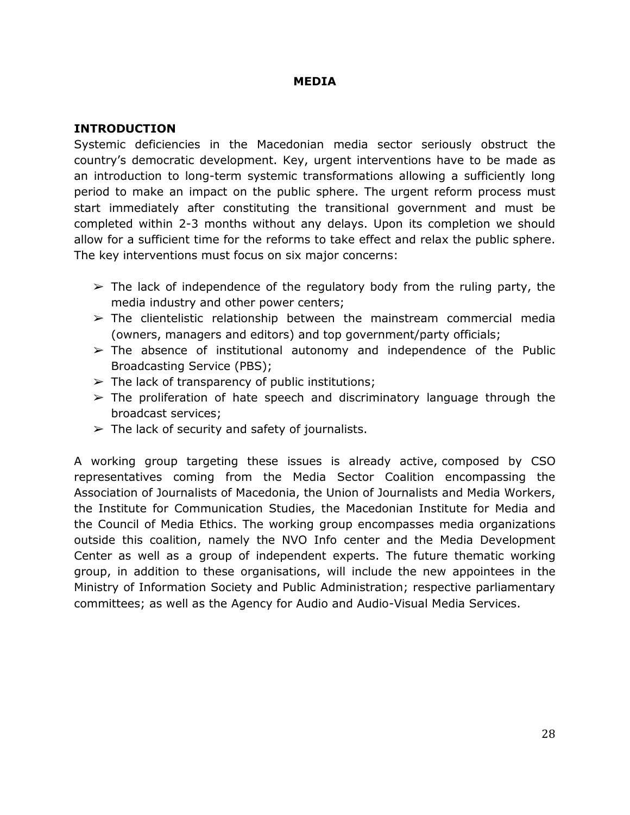#### **MEDIA**

#### <span id="page-28-0"></span>**INTRODUCTION**

Systemic deficiencies in the Macedonian media sector seriously obstruct the country's democratic development. Key, urgent interventions have to be made as an introduction to long-term systemic transformations allowing a sufficiently long period to make an impact on the public sphere. The urgent reform process must start immediately after constituting the transitional government and must be completed within 2-3 months without any delays. Upon its completion we should allow for a sufficient time for the reforms to take effect and relax the public sphere. The key interventions must focus on six major concerns:

- $\triangleright$  The lack of independence of the regulatory body from the ruling party, the media industry and other power centers;
- $\triangleright$  The clientelistic relationship between the mainstream commercial media (owners, managers and editors) and top government/party officials;
- $\triangleright$  The absence of institutional autonomy and independence of the Public Broadcasting Service (PBS);
- $\triangleright$  The lack of transparency of public institutions;
- $\geq$  The proliferation of hate speech and discriminatory language through the broadcast services;
- $\triangleright$  The lack of security and safety of journalists.

A working group targeting these issues is already active, composed by CSO representatives coming from the Media Sector Coalition encompassing the Association of Journalists of Macedonia, the Union of Journalists and Media Workers, the Institute for Communication Studies, the Macedonian Institute for Media and the Council of Media Ethics. The working group encompasses media organizations outside this coalition, namely the NVO Info center and the Media Development Center as well as a group of independent experts. Тhe future thematic working group, in addition to these organisations, will include the new appointees in the Ministry of Information Society and Public Administration; respective parliamentary committees; as well as the Agency for Audio and Audio-Visual Media Services.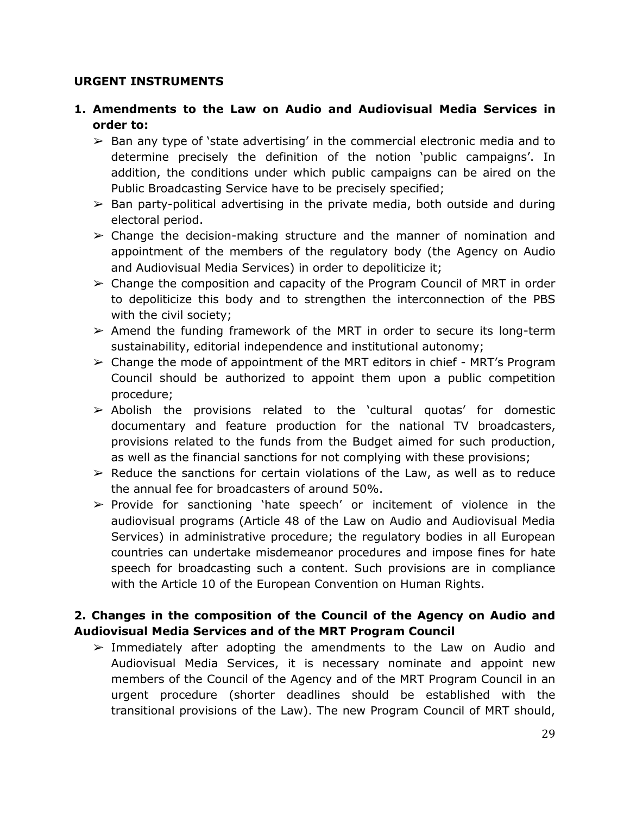#### **URGENT INSTRUMENTS**

- **1. Amendments to the Law on Audio and Audiovisual Media Services in order to:**
	- $\triangleright$  Ban any type of 'state advertising' in the commercial electronic media and to determine precisely the definition of the notion 'public campaigns'. In addition, the conditions under which public campaigns can be aired on the Public Broadcasting Service have to be precisely specified;
	- $\triangleright$  Ban party-political advertising in the private media, both outside and during electoral period.
	- $\geq$  Change the decision-making structure and the manner of nomination and appointment of the members of the regulatory body (the Agency on Audio and Audiovisual Media Services) in order to depoliticize it;
	- $\geq$  Change the composition and capacity of the Program Council of MRT in order to depoliticize this body and to strengthen the interconnection of the PBS with the civil society;
	- $\triangleright$  Amend the funding framework of the MRT in order to secure its long-term sustainability, editorial independence and institutional autonomy;
	- $\geq$  Change the mode of appointment of the MRT editors in chief MRT's Program Council should be authorized to appoint them upon a public competition procedure;
	- $\triangleright$  Abolish the provisions related to the 'cultural quotas' for domestic documentary and feature production for the national TV broadcasters, provisions related to the funds from the Budget aimed for such production, as well as the financial sanctions for not complying with these provisions;
	- $\triangleright$  Reduce the sanctions for certain violations of the Law, as well as to reduce the annual fee for broadcasters of around 50%.
	- ➢ Provide for sanctioning 'hate speech' or incitement of violence in the audiovisual programs (Article 48 of the Law on Audio and Audiovisual Media Services) in administrative procedure; the regulatory bodies in all European countries can undertake misdemeanor procedures and impose fines for hate speech for broadcasting such a content. Such provisions are in compliance with the Article 10 of the European Convention on Human Rights.

## **2. Changes in the composition of the Council of the Agency on Audio and Audiovisual Media Services and of the MRT Program Council**

 $\geq$  Immediately after adopting the amendments to the Law on Audio and Audiovisual Media Services, it is necessary nominate and appoint new members of the Council of the Agency and of the MRT Program Council in an urgent procedure (shorter deadlines should be established with the transitional provisions of the Law). The new Program Council of MRT should,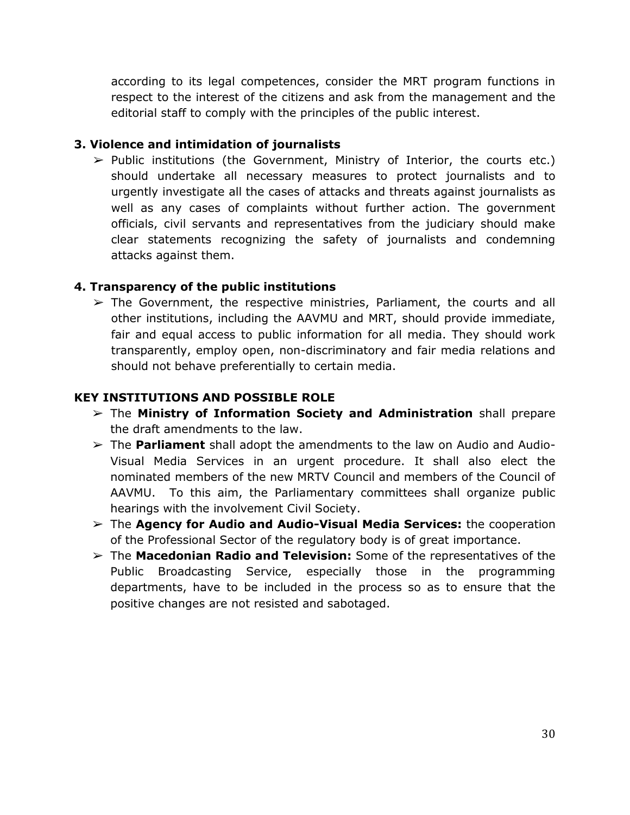according to its legal competences, consider the MRT program functions in respect to the interest of the citizens and ask from the management and the editorial staff to comply with the principles of the public interest.

### **3. Violence and intimidation of journalists**

 $\triangleright$  Public institutions (the Government, Ministry of Interior, the courts etc.) should undertake all necessary measures to protect journalists and to urgently investigate all the cases of attacks and threats against journalists as well as any cases of complaints without further action. The government officials, civil servants and representatives from the judiciary should make clear statements recognizing the safety of journalists and condemning attacks against them.

### **4. Transparency of the public institutions**

 $\geq$  The Government, the respective ministries, Parliament, the courts and all other institutions, including the AAVMU and MRT, should provide immediate, fair and equal access to public information for all media. They should work transparently, employ open, non-discriminatory and fair media relations and should not behave preferentially to certain media.

### **KEY INSTITUTIONS AND POSSIBLE ROLE**

- ➢ The **Ministry of Information Society and Administration** shall prepare the draft amendments to the law.
- ➢ The **Parliament** shall adopt the amendments to the law on Audio and Audio-Visual Media Services in an urgent procedure. It shall also elect the nominated members of the new MRTV Council and members of the Council of AAVMU. To this aim, the Parliamentary committees shall organize public hearings with the involvement Civil Society.
- ➢ The **Agency for Audio and Audio-Visual Media Services:** the cooperation of the Professional Sector of the regulatory body is of great importance.
- ➢ The **Macedonian Radio and Television:** Some of the representatives of the Public Broadcasting Service, especially those in the programming departments, have to be included in the process so as to ensure that the positive changes are not resisted and sabotaged.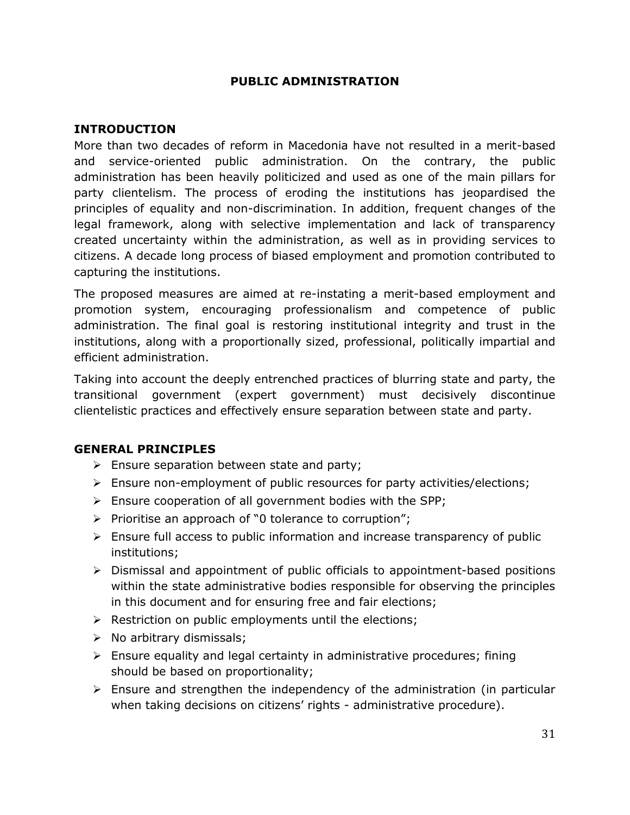#### **PUBLIC ADMINISTRATION**

#### <span id="page-31-0"></span>**INTRODUCTION**

More than two decades of reform in Macedonia have not resulted in a merit-based and service-oriented public administration. On the contrary, the public administration has been heavily politicized and used as one of the main pillars for party clientelism. The process of eroding the institutions has jeopardised the principles of equality and non-discrimination. In addition, frequent changes of the legal framework, along with selective implementation and lack of transparency created uncertainty within the administration, as well as in providing services to citizens. A decade long process of biased employment and promotion contributed to capturing the institutions.

The proposed measures are aimed at re-instating a merit-based employment and promotion system, encouraging professionalism and competence of public administration. The final goal is restoring institutional integrity and trust in the institutions, along with a proportionally sized, professional, politically impartial and efficient administration.

Taking into account the deeply entrenched practices of blurring state and party, the transitional government (expert government) must decisively discontinue clientelistic practices and effectively ensure separation between state and party.

#### **GENERAL PRINCIPLES**

- $\triangleright$  Ensure separation between state and party;
- $\triangleright$  Ensure non-employment of public resources for party activities/elections;
- $\triangleright$  Ensure cooperation of all government bodies with the SPP;
- $\triangleright$  Prioritise an approach of "0 tolerance to corruption";
- $\triangleright$  Ensure full access to public information and increase transparency of public institutions;
- $\triangleright$  Dismissal and appointment of public officials to appointment-based positions within the state administrative bodies responsible for observing the principles in this document and for ensuring free and fair elections;
- $\triangleright$  Restriction on public employments until the elections;
- $\triangleright$  No arbitrary dismissals;
- $\triangleright$  Ensure equality and legal certainty in administrative procedures; fining should be based on proportionality;
- $\triangleright$  Ensure and strengthen the independency of the administration (in particular when taking decisions on citizens' rights - administrative procedure).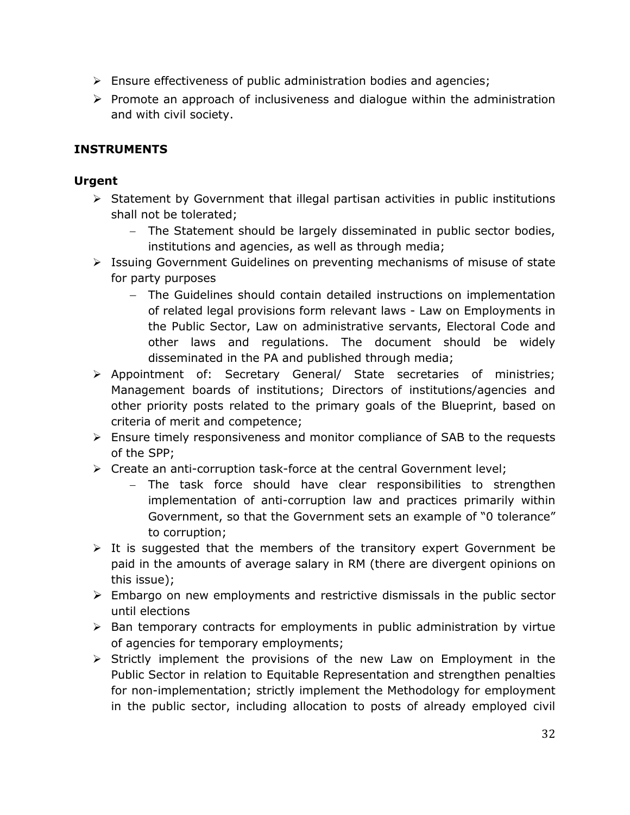- $\triangleright$  Ensure effectiveness of public administration bodies and agencies;
- $\triangleright$  Promote an approach of inclusiveness and dialogue within the administration and with civil society.

## **INSTRUMENTS**

## **Urgent**

- $\triangleright$  Statement by Government that illegal partisan activities in public institutions shall not be tolerated;
	- The Statement should be largely disseminated in public sector bodies, institutions and agencies, as well as through media;
- $\triangleright$  Issuing Government Guidelines on preventing mechanisms of misuse of state for party purposes
	- The Guidelines should contain detailed instructions on implementation of related legal provisions form relevant laws - Law on Employments in the Public Sector, Law on administrative servants, Electoral Code and other laws and regulations. The document should be widely disseminated in the PA and published through media;
- Appointment of: Secretary General/ State secretaries of ministries; Management boards of institutions; Directors of institutions/agencies and other priority posts related to the primary goals of the Blueprint, based on criteria of merit and competence;
- $\triangleright$  Ensure timely responsiveness and monitor compliance of SAB to the requests of the SPP;
- $\triangleright$  Create an anti-corruption task-force at the central Government level;
	- The task force should have clear responsibilities to strengthen implementation of anti-corruption law and practices primarily within Government, so that the Government sets an example of "0 tolerance" to corruption;
- $\triangleright$  It is suggested that the members of the transitory expert Government be paid in the amounts of average salary in RM (there are divergent opinions on this issue);
- $\triangleright$  Embargo on new employments and restrictive dismissals in the public sector until elections
- $\triangleright$  Ban temporary contracts for employments in public administration by virtue of agencies for temporary employments;
- $\triangleright$  Strictly implement the provisions of the new Law on Employment in the Public Sector in relation to Equitable Representation and strengthen penalties for non-implementation; strictly implement the Methodology for employment in the public sector, including allocation to posts of already employed civil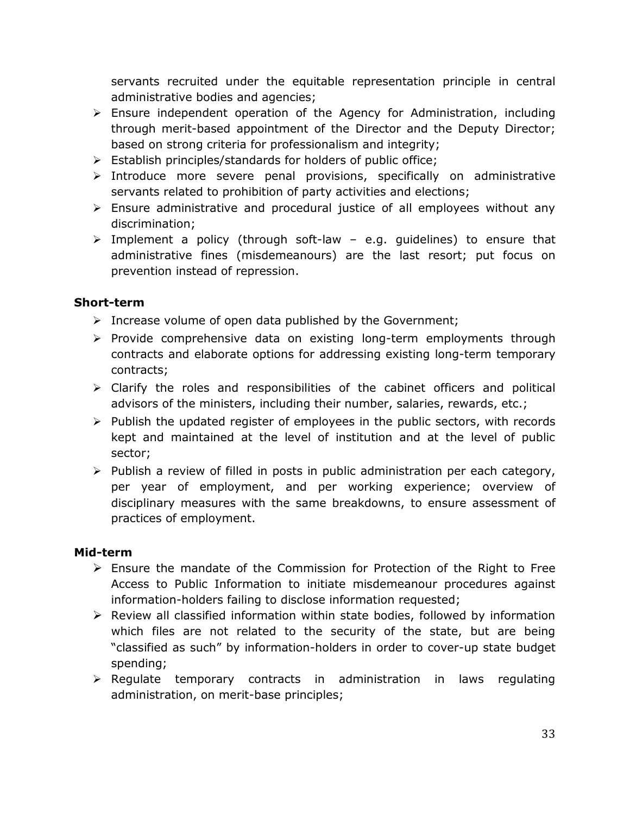servants recruited under the equitable representation principle in central administrative bodies and agencies;

- Ensure independent operation of the Agency for Administration, including through merit-based appointment of the Director and the Deputy Director; based on strong criteria for professionalism and integrity;
- $\triangleright$  Establish principles/standards for holders of public office;
- $\triangleright$  Introduce more severe penal provisions, specifically on administrative servants related to prohibition of party activities and elections;
- $\triangleright$  Ensure administrative and procedural justice of all employees without any discrimination;
- $\triangleright$  Implement a policy (through soft-law e.g. guidelines) to ensure that administrative fines (misdemeanours) are the last resort; put focus on prevention instead of repression.

## **Short-term**

- $\triangleright$  Increase volume of open data published by the Government;
- $\triangleright$  Provide comprehensive data on existing long-term employments through contracts and elaborate options for addressing existing long-term temporary contracts;
- $\triangleright$  Clarify the roles and responsibilities of the cabinet officers and political advisors of the ministers, including their number, salaries, rewards, etc.;
- $\triangleright$  Publish the updated register of employees in the public sectors, with records kept and maintained at the level of institution and at the level of public sector;
- $\triangleright$  Publish a review of filled in posts in public administration per each category, per year of employment, and per working experience; overview of disciplinary measures with the same breakdowns, to ensure assessment of practices of employment.

#### **Mid-term**

- $\triangleright$  Ensure the mandate of the Commission for Protection of the Right to Free Access to Public Information to initiate misdemeanour procedures against information-holders failing to disclose information requested;
- $\triangleright$  Review all classified information within state bodies, followed by information which files are not related to the security of the state, but are being "classified as such" by information-holders in order to cover-up state budget spending;
- $\triangleright$  Regulate temporary contracts in administration in laws regulating administration, on merit-base principles;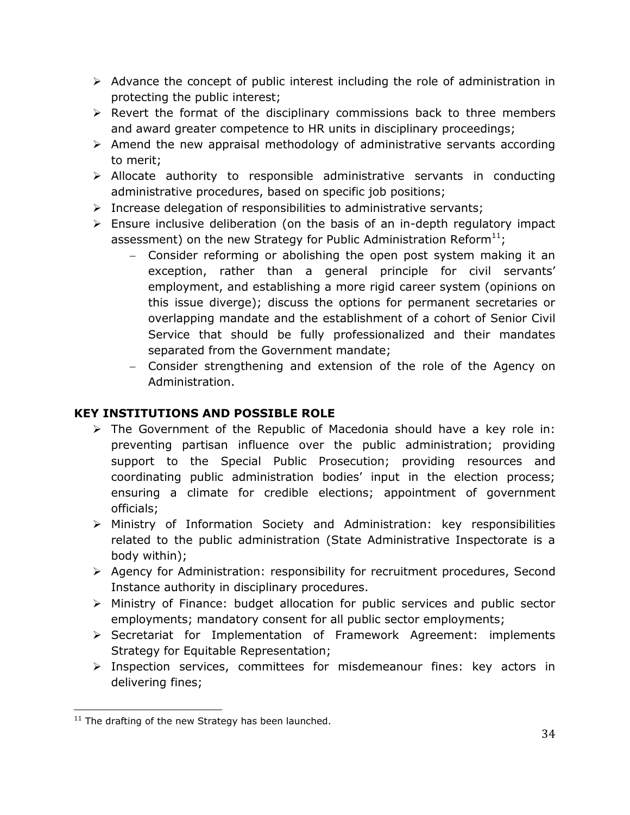- $\triangleright$  Advance the concept of public interest including the role of administration in protecting the public interest;
- $\triangleright$  Revert the format of the disciplinary commissions back to three members and award greater competence to HR units in disciplinary proceedings;
- $\triangleright$  Amend the new appraisal methodology of administrative servants according to merit;
- $\triangleright$  Allocate authority to responsible administrative servants in conducting administrative procedures, based on specific job positions;
- $\triangleright$  Increase delegation of responsibilities to administrative servants;
- $\triangleright$  Ensure inclusive deliberation (on the basis of an in-depth regulatory impact assessment) on the new Strategy for Public Administration Reform $^{11}$ ;
	- Consider reforming or abolishing the open post system making it an exception, rather than a general principle for civil servants' employment, and establishing a more rigid career system (opinions on this issue diverge); discuss the options for permanent secretaries or overlapping mandate and the establishment of a cohort of Senior Civil Service that should be fully professionalized and their mandates separated from the Government mandate;
	- Consider strengthening and extension of the role of the Agency on Administration.

## **KEY INSTITUTIONS AND POSSIBLE ROLE**

- $\triangleright$  The Government of the Republic of Macedonia should have a key role in: preventing partisan influence over the public administration; providing support to the Special Public Prosecution; providing resources and coordinating public administration bodies' input in the election process; ensuring a climate for credible elections; appointment of government officials;
- Ministry of Information Society and Administration: key responsibilities related to the public administration (State Administrative Inspectorate is a body within);
- Agency for Administration: responsibility for recruitment procedures, Second Instance authority in disciplinary procedures.
- Ministry of Finance: budget allocation for public services and public sector employments; mandatory consent for all public sector employments;
- Secretariat for Implementation of Framework Agreement: implements Strategy for Equitable Representation;
- $\triangleright$  Inspection services, committees for misdemeanour fines: key actors in delivering fines;

 $\overline{a}$  $11$  The drafting of the new Strategy has been launched.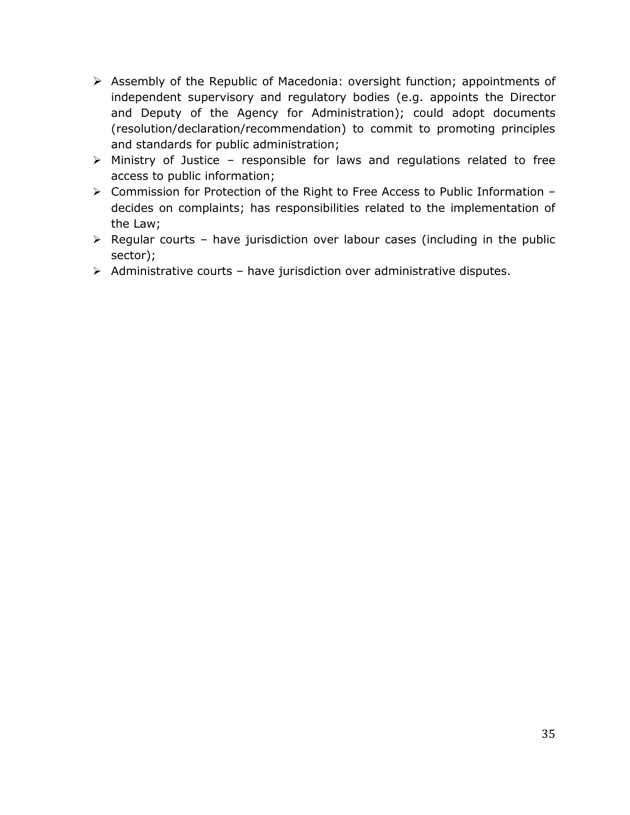- Assembly of the Republic of Macedonia: oversight function; appointments of independent supervisory and regulatory bodies (e.g. appoints the Director and Deputy of the Agency for Administration); could adopt documents (resolution/declaration/recommendation) to commit to promoting principles and standards for public administration;
- $\triangleright$  Ministry of Justice responsible for laws and regulations related to free access to public information;
- Commission for Protection of the Right to Free Access to Public Information decides on complaints; has responsibilities related to the implementation of the Law;
- $\triangleright$  Regular courts have jurisdiction over labour cases (including in the public sector);
- $\triangleright$  Administrative courts have jurisdiction over administrative disputes.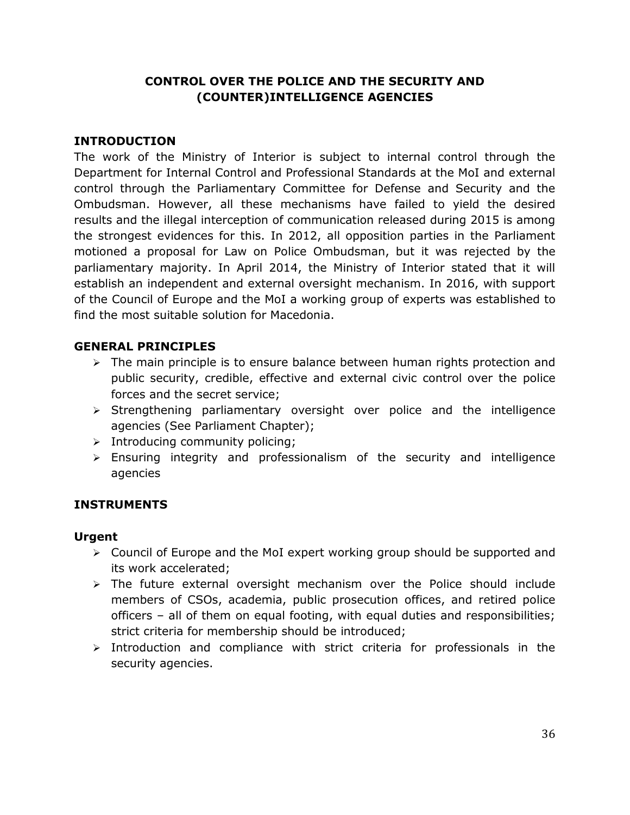## **CONTROL OVER THE POLICE AND THE SECURITY AND (COUNTER)INTELLIGENCE AGENCIES**

## <span id="page-36-0"></span>**INTRODUCTION**

The work of the Ministry of Interior is subject to internal control through the Department for Internal Control and Professional Standards at the MoI and external control through the Parliamentary Committee for Defense and Security and the Ombudsman. However, all these mechanisms have failed to yield the desired results and the illegal interception of communication released during 2015 is among the strongest evidences for this. In 2012, all opposition parties in the Parliament motioned a proposal for Law on Police Ombudsman, but it was rejected by the parliamentary majority. In April 2014, the Ministry of Interior stated that it will establish an independent and external oversight mechanism. In 2016, with support of the Council of Europe and the MoI a working group of experts was established to find the most suitable solution for Macedonia.

### **GENERAL PRINCIPLES**

- $\triangleright$  The main principle is to ensure balance between human rights protection and public security, credible, effective and external civic control over the police forces and the secret service;
- $\triangleright$  Strengthening parliamentary oversight over police and the intelligence agencies (See Parliament Chapter);
- $\triangleright$  Introducing community policing;
- Ensuring integrity and professionalism of the security and intelligence agencies

## **INSTRUMENTS**

#### **Urgent**

- Council of Europe and the MoI expert working group should be supported and its work accelerated;
- $\triangleright$  The future external oversight mechanism over the Police should include members of CSOs, academia, public prosecution offices, and retired police officers – all of them on equal footing, with equal duties and responsibilities; strict criteria for membership should be introduced;
- $\triangleright$  Introduction and compliance with strict criteria for professionals in the security agencies.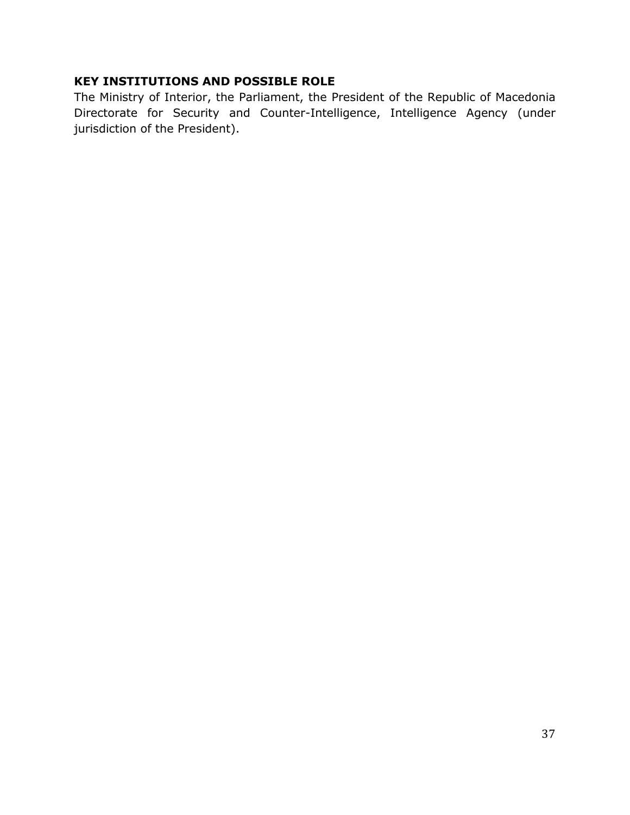## **KEY INSTITUTIONS AND POSSIBLE ROLE**

The Ministry of Interior, the Parliament, the President of the Republic of Macedonia Directorate for Security and Counter-Intelligence, Intelligence Agency (under jurisdiction of the President).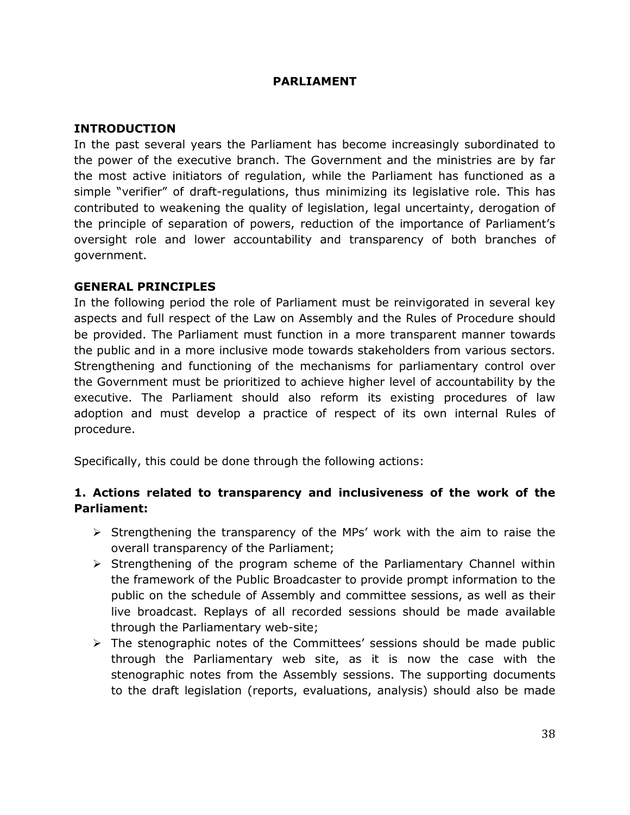#### **PARLIAMENT**

#### <span id="page-38-0"></span>**INTRODUCTION**

In the past several years the Parliament has become increasingly subordinated to the power of the executive branch. The Government and the ministries are by far the most active initiators of regulation, while the Parliament has functioned as a simple "verifier" of draft-regulations, thus minimizing its legislative role. This has contributed to weakening the quality of legislation, legal uncertainty, derogation of the principle of separation of powers, reduction of the importance of Parliament's oversight role and lower accountability and transparency of both branches of government.

#### **GENERAL PRINCIPLES**

In the following period the role of Parliament must be reinvigorated in several key aspects and full respect of the Law on Assembly and the Rules of Procedure should be provided. The Parliament must function in a more transparent manner towards the public and in a more inclusive mode towards stakeholders from various sectors. Strengthening and functioning of the mechanisms for parliamentary control over the Government must be prioritized to achieve higher level of accountability by the executive. The Parliament should also reform its existing procedures of law adoption and must develop a practice of respect of its own internal Rules of procedure.

Specifically, this could be done through the following actions:

### **1. Actions related to transparency and inclusiveness of the work of the Parliament:**

- $\triangleright$  Strengthening the transparency of the MPs' work with the aim to raise the overall transparency of the Parliament;
- $\triangleright$  Strengthening of the program scheme of the Parliamentary Channel within the framework of the Public Broadcaster to provide prompt information to the public on the schedule of Assembly and committee sessions, as well as their live broadcast. Replays of all recorded sessions should be made available through the Parliamentary web-site;
- $\triangleright$  The stenographic notes of the Committees' sessions should be made public through the Parliamentary web site, as it is now the case with the stenographic notes from the Assembly sessions. The supporting documents to the draft legislation (reports, evaluations, analysis) should also be made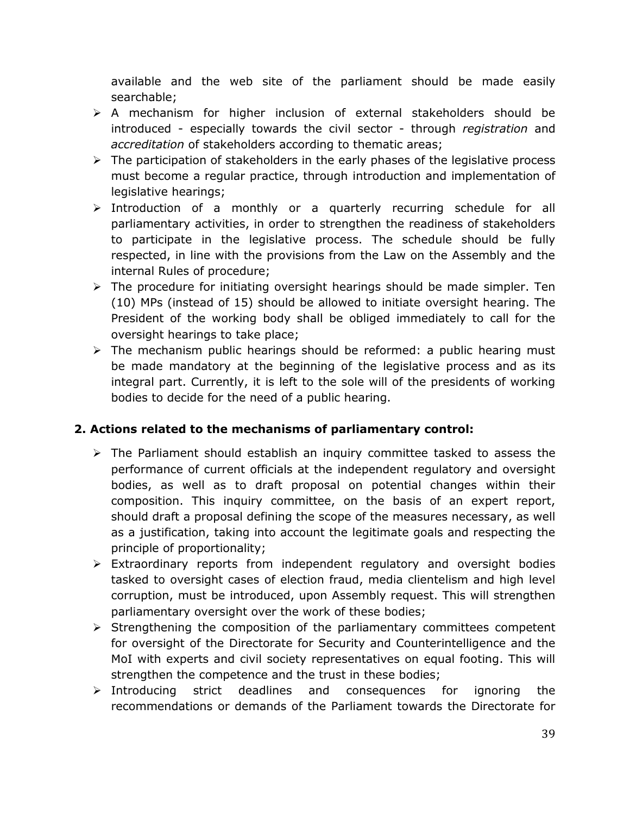available and the web site of the parliament should be made easily searchable;

- A mechanism for higher inclusion of external stakeholders should be introduced - especially towards the civil sector - through *registration* and *accreditation* of stakeholders according to thematic areas;
- $\triangleright$  The participation of stakeholders in the early phases of the legislative process must become a regular practice, through introduction and implementation of legislative hearings;
- $\triangleright$  Introduction of a monthly or a quarterly recurring schedule for all parliamentary activities, in order to strengthen the readiness of stakeholders to participate in the legislative process. The schedule should be fully respected, in line with the provisions from the Law on the Assembly and the internal Rules of procedure;
- $\triangleright$  The procedure for initiating oversight hearings should be made simpler. Ten (10) MPs (instead of 15) should be allowed to initiate oversight hearing. The President of the working body shall be obliged immediately to call for the oversight hearings to take place;
- $\triangleright$  The mechanism public hearings should be reformed: a public hearing must be made mandatory at the beginning of the legislative process and as its integral part. Currently, it is left to the sole will of the presidents of working bodies to decide for the need of a public hearing.

## **2. Actions related to the mechanisms of parliamentary control:**

- $\triangleright$  The Parliament should establish an inquiry committee tasked to assess the performance of current officials at the independent regulatory and oversight bodies, as well as to draft proposal on potential changes within their composition. This inquiry committee, on the basis of an expert report, should draft a proposal defining the scope of the measures necessary, as well as a justification, taking into account the legitimate goals and respecting the principle of proportionality;
- $\triangleright$  Extraordinary reports from independent regulatory and oversight bodies tasked to oversight cases of election fraud, media clientelism and high level corruption, must be introduced, upon Assembly request. This will strengthen parliamentary oversight over the work of these bodies;
- $\triangleright$  Strengthening the composition of the parliamentary committees competent for oversight of the Directorate for Security and Counterintelligence and the MoI with experts and civil society representatives on equal footing. This will strengthen the competence and the trust in these bodies;
- $\triangleright$  Introducing strict deadlines and consequences for ignoring the recommendations or demands of the Parliament towards the Directorate for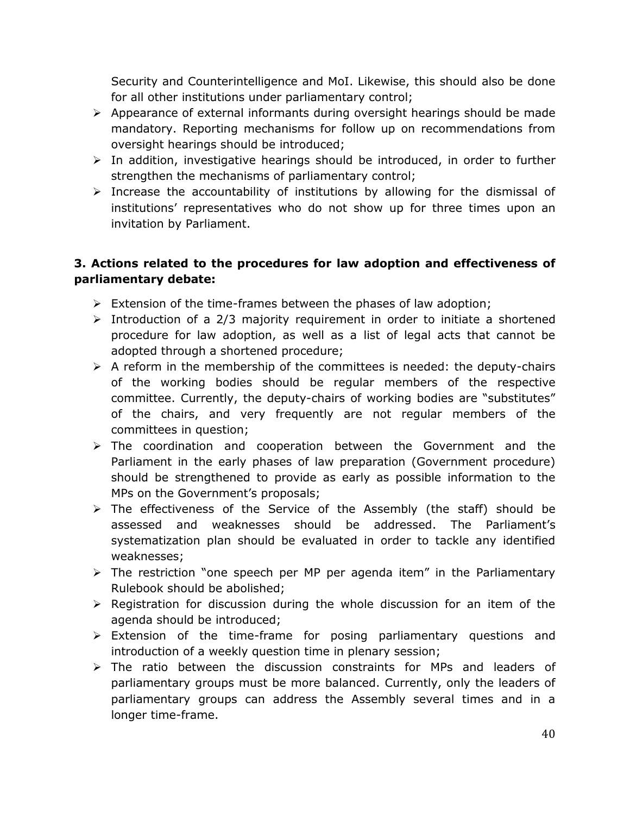Security and Counterintelligence and MoI. Likewise, this should also be done for all other institutions under parliamentary control;

- $\triangleright$  Appearance of external informants during oversight hearings should be made mandatory. Reporting mechanisms for follow up on recommendations from oversight hearings should be introduced;
- $\triangleright$  In addition, investigative hearings should be introduced, in order to further strengthen the mechanisms of parliamentary control;
- $\triangleright$  Increase the accountability of institutions by allowing for the dismissal of institutions' representatives who do not show up for three times upon an invitation by Parliament.

## **3. Actions related to the procedures for law adoption and effectiveness of parliamentary debate:**

- $\triangleright$  Extension of the time-frames between the phases of law adoption;
- $\triangleright$  Introduction of a 2/3 majority requirement in order to initiate a shortened procedure for law adoption, as well as a list of legal acts that cannot be adopted through a shortened procedure;
- $\triangleright$  A reform in the membership of the committees is needed: the deputy-chairs of the working bodies should be regular members of the respective committee. Currently, the deputy-chairs of working bodies are "substitutes" of the chairs, and very frequently are not regular members of the committees in question;
- $\triangleright$  The coordination and cooperation between the Government and the Parliament in the early phases of law preparation (Government procedure) should be strengthened to provide as early as possible information to the MPs on the Government's proposals;
- $\triangleright$  The effectiveness of the Service of the Assembly (the staff) should be assessed and weaknesses should be addressed. The Parliament's systematization plan should be evaluated in order to tackle any identified weaknesses;
- $\triangleright$  The restriction "one speech per MP per agenda item" in the Parliamentary Rulebook should be abolished;
- $\triangleright$  Registration for discussion during the whole discussion for an item of the agenda should be introduced;
- Extension of the time-frame for posing parliamentary questions and introduction of a weekly question time in plenary session;
- $\triangleright$  The ratio between the discussion constraints for MPs and leaders of parliamentary groups must be more balanced. Currently, only the leaders of parliamentary groups can address the Assembly several times and in a longer time-frame.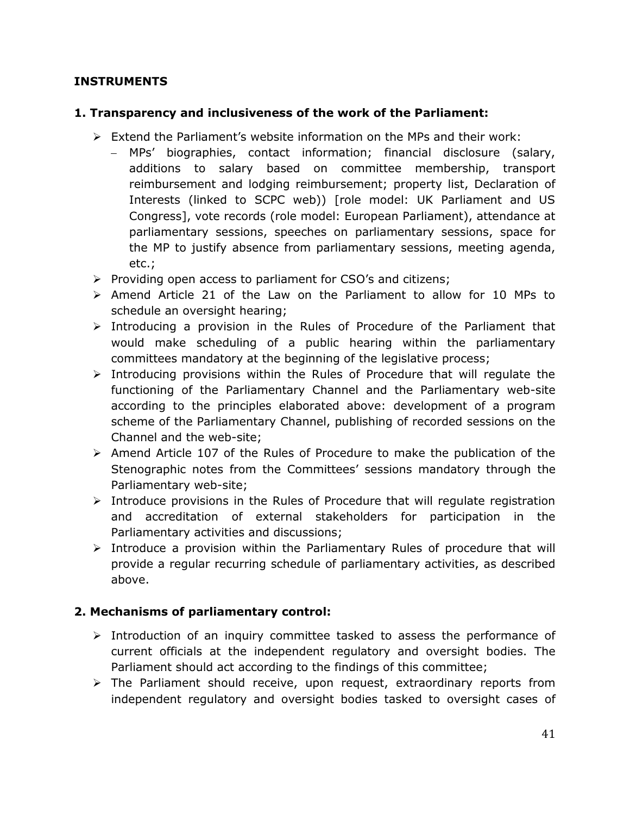### **INSTRUMENTS**

### **1. Transparency and inclusiveness of the work of the Parliament:**

- $\triangleright$  Extend the Parliament's website information on the MPs and their work:
	- MPs' biographies, contact information; financial disclosure (salary, additions to salary based on committee membership, transport reimbursement and lodging reimbursement; property list, Declaration of Interests (linked to SCPC web)) [role model: UK Parliament and US Congress], vote records (role model: European Parliament), attendance at parliamentary sessions, speeches on parliamentary sessions, space for the MP to justify absence from parliamentary sessions, meeting agenda, etc.;
- $\triangleright$  Providing open access to parliament for CSO's and citizens;
- $\triangleright$  Amend Article 21 of the Law on the Parliament to allow for 10 MPs to schedule an oversight hearing;
- $\triangleright$  Introducing a provision in the Rules of Procedure of the Parliament that would make scheduling of a public hearing within the parliamentary committees mandatory at the beginning of the legislative process;
- $\triangleright$  Introducing provisions within the Rules of Procedure that will requlate the functioning of the Parliamentary Channel and the Parliamentary web-site according to the principles elaborated above: development of a program scheme of the Parliamentary Channel, publishing of recorded sessions on the Channel and the web-site;
- $\triangleright$  Amend Article 107 of the Rules of Procedure to make the publication of the Stenographic notes from the Committees' sessions mandatory through the Parliamentary web-site;
- $\triangleright$  Introduce provisions in the Rules of Procedure that will regulate registration and accreditation of external stakeholders for participation in the Parliamentary activities and discussions;
- $\triangleright$  Introduce a provision within the Parliamentary Rules of procedure that will provide a regular recurring schedule of parliamentary activities, as described above.

## **2. Mechanisms of parliamentary control:**

- $\triangleright$  Introduction of an inquiry committee tasked to assess the performance of current officials at the independent regulatory and oversight bodies. The Parliament should act according to the findings of this committee;
- $\triangleright$  The Parliament should receive, upon request, extraordinary reports from independent regulatory and oversight bodies tasked to oversight cases of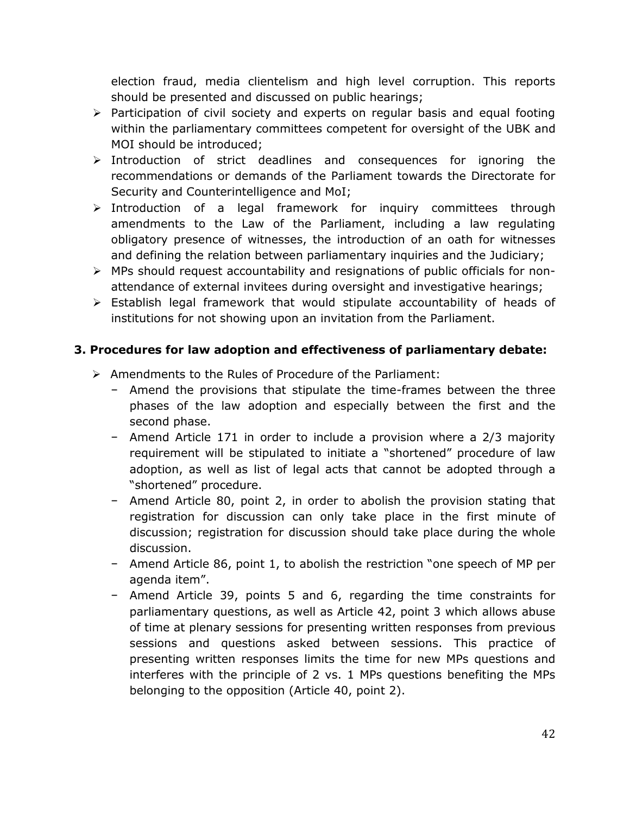election fraud, media clientelism and high level corruption. This reports should be presented and discussed on public hearings;

- $\triangleright$  Participation of civil society and experts on regular basis and equal footing within the parliamentary committees competent for oversight of the UBK and MOI should be introduced;
- $\triangleright$  Introduction of strict deadlines and consequences for ignoring the recommendations or demands of the Parliament towards the Directorate for Security and Counterintelligence and MoI;
- $\triangleright$  Introduction of a legal framework for inquiry committees through amendments to the Law of the Parliament, including a law regulating obligatory presence of witnesses, the introduction of an oath for witnesses and defining the relation between parliamentary inquiries and the Judiciary;
- MPs should request accountability and resignations of public officials for nonattendance of external invitees during oversight and investigative hearings;
- $\triangleright$  Establish legal framework that would stipulate accountability of heads of institutions for not showing upon an invitation from the Parliament.

## **3. Procedures for law adoption and effectiveness of parliamentary debate:**

- $\triangleright$  Amendments to the Rules of Procedure of the Parliament:
	- − Amend the provisions that stipulate the time-frames between the three phases of the law adoption and especially between the first and the second phase.
	- − Amend Article 171 in order to include a provision where a 2/3 majority requirement will be stipulated to initiate a "shortened" procedure of law adoption, as well as list of legal acts that cannot be adopted through a "shortened" procedure.
	- − Amend Article 80, point 2, in order to abolish the provision stating that registration for discussion can only take place in the first minute of discussion; registration for discussion should take place during the whole discussion.
	- − Amend Article 86, point 1, to abolish the restriction "one speech of MP per agenda item".
	- − Amend Article 39, points 5 and 6, regarding the time constraints for parliamentary questions, as well as Article 42, point 3 which allows abuse of time at plenary sessions for presenting written responses from previous sessions and questions asked between sessions. This practice of presenting written responses limits the time for new MPs questions and interferes with the principle of 2 vs. 1 MPs questions benefiting the MPs belonging to the opposition (Article 40, point 2).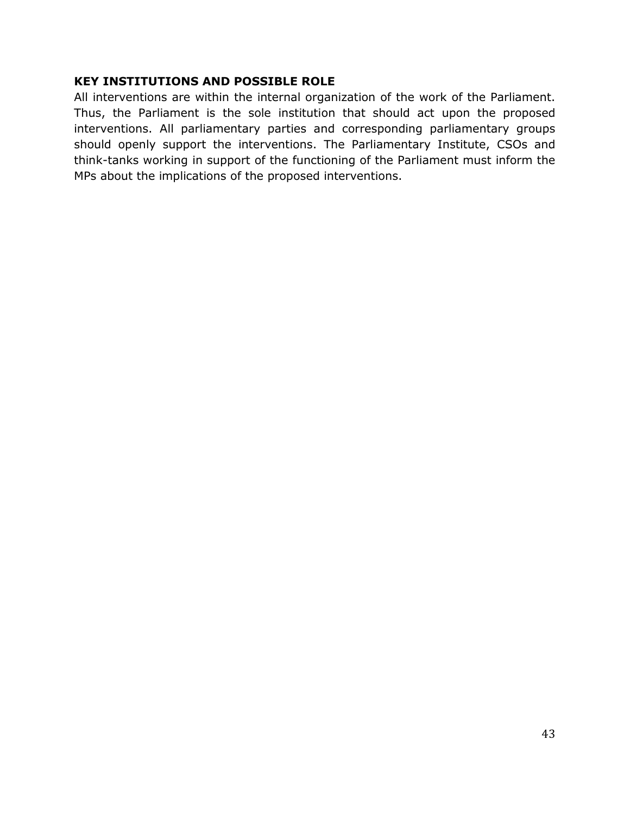#### **KEY INSTITUTIONS AND POSSIBLE ROLE**

All interventions are within the internal organization of the work of the Parliament. Thus, the Parliament is the sole institution that should act upon the proposed interventions. All parliamentary parties and corresponding parliamentary groups should openly support the interventions. The Parliamentary Institute, CSOs and think-tanks working in support of the functioning of the Parliament must inform the MPs about the implications of the proposed interventions.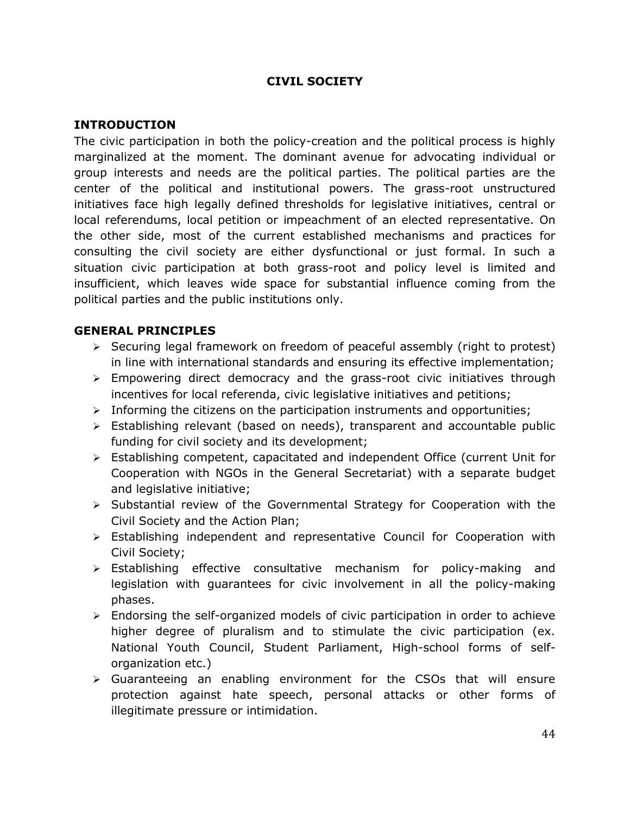### **CIVIL SOCIETY**

#### <span id="page-44-0"></span>**INTRODUCTION**

The civic participation in both the policy-creation and the political process is highly marginalized at the moment. The dominant avenue for advocating individual or group interests and needs are the political parties. The political parties are the center of the political and institutional powers. The grass-root unstructured initiatives face high legally defined thresholds for legislative initiatives, central or local referendums, local petition or impeachment of an elected representative. On the other side, most of the current established mechanisms and practices for consulting the civil society are either dysfunctional or just formal. In such a situation civic participation at both grass-root and policy level is limited and insufficient, which leaves wide space for substantial influence coming from the political parties and the public institutions only.

#### **GENERAL PRINCIPLES**

- $\triangleright$  Securing legal framework on freedom of peaceful assembly (right to protest) in line with international standards and ensuring its effective implementation;
- $\triangleright$  Empowering direct democracy and the grass-root civic initiatives through incentives for local referenda, civic legislative initiatives and petitions;
- $\triangleright$  Informing the citizens on the participation instruments and opportunities;
- $\triangleright$  Establishing relevant (based on needs), transparent and accountable public funding for civil society and its development;
- Establishing competent, capacitated and independent Office (current Unit for Cooperation with NGOs in the General Secretariat) with a separate budget and legislative initiative;
- $\triangleright$  Substantial review of the Governmental Strategy for Cooperation with the Civil Society and the Action Plan;
- Establishing independent and representative Council for Cooperation with Civil Society;
- $\triangleright$  Establishing effective consultative mechanism for policy-making and legislation with guarantees for civic involvement in all the policy-making phases.
- $\triangleright$  Endorsing the self-organized models of civic participation in order to achieve higher degree of pluralism and to stimulate the civic participation (ex. National Youth Council, Student Parliament, High-school forms of selforganization etc.)
- Guaranteeing an enabling environment for the CSOs that will ensure protection against hate speech, personal attacks or other forms of illegitimate pressure or intimidation.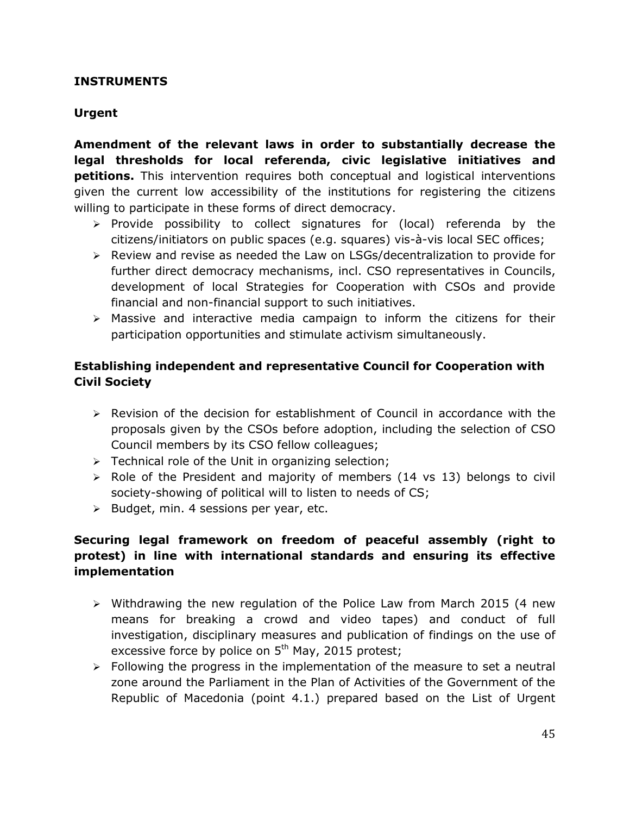#### **INSTRUMENTS**

## **Urgent**

**Amendment of the relevant laws in order to substantially decrease the legal thresholds for local referenda, civic legislative initiatives and petitions.** This intervention requires both conceptual and logistical interventions given the current low accessibility of the institutions for registering the citizens willing to participate in these forms of direct democracy.

- $\triangleright$  Provide possibility to collect signatures for (local) referenda by the citizens/initiators on public spaces (e.g. squares) vis-à-vis local SEC offices;
- $\triangleright$  Review and revise as needed the Law on LSGs/decentralization to provide for further direct democracy mechanisms, incl. CSO representatives in Councils, development of local Strategies for Cooperation with CSOs and provide financial and non-financial support to such initiatives.
- $\triangleright$  Massive and interactive media campaign to inform the citizens for their participation opportunities and stimulate activism simultaneously.

## **Establishing independent and representative Council for Cooperation with Civil Society**

- $\triangleright$  Revision of the decision for establishment of Council in accordance with the proposals given by the CSOs before adoption, including the selection of CSO Council members by its CSO fellow colleagues;
- $\triangleright$  Technical role of the Unit in organizing selection;
- $\triangleright$  Role of the President and majority of members (14 vs 13) belongs to civil society-showing of political will to listen to needs of CS;
- $\triangleright$  Budget, min. 4 sessions per year, etc.

## **Securing legal framework on freedom of peaceful assembly (right to protest) in line with international standards and ensuring its effective implementation**

- $\triangleright$  Withdrawing the new regulation of the Police Law from March 2015 (4 new means for breaking a crowd and video tapes) and conduct of full investigation, disciplinary measures and publication of findings on the use of excessive force by police on  $5<sup>th</sup>$  May, 2015 protest;
- $\triangleright$  Following the progress in the implementation of the measure to set a neutral zone around the Parliament in the Plan of Activities of the Government of the Republic of Macedonia (point 4.1.) prepared based on the List of Urgent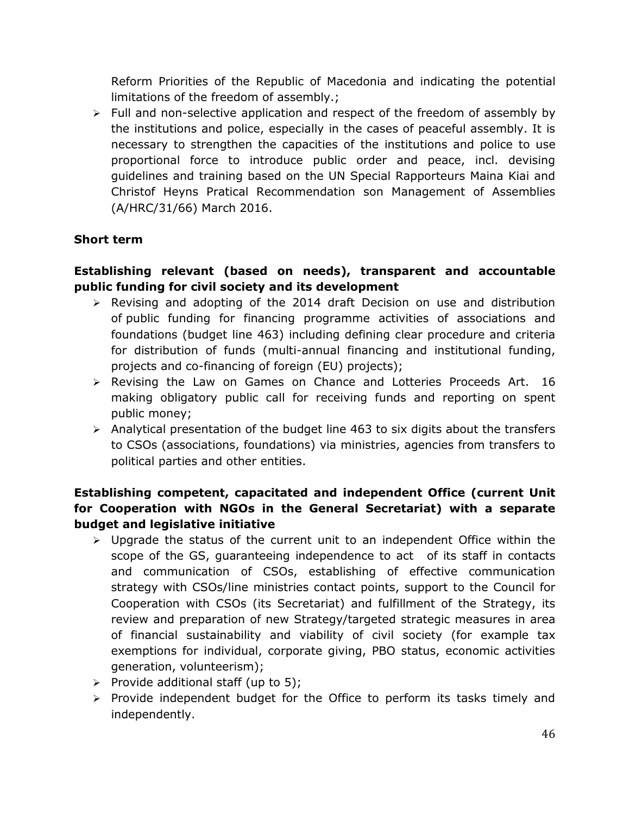Reform Priorities of the Republic of Macedonia and indicating the potential limitations of the freedom of assembly.;

 $\triangleright$  Full and non-selective application and respect of the freedom of assembly by the institutions and police, especially in the cases of peaceful assembly. It is necessary to strengthen the capacities of the institutions and police to use proportional force to introduce public order and peace, incl. devising guidelines and training based on the UN Special Rapporteurs Maina Kiai and Christof Heyns Pratical Recommendation son Management of Assemblies (A/HRC/31/66) March 2016.

## **Short term**

## **Establishing relevant (based on needs), transparent and accountable public funding for civil society and its development**

- $\triangleright$  Revising and adopting of the 2014 draft Decision on use and distribution of public funding for financing programme activities of associations and foundations (budget line 463) including defining clear procedure and criteria for distribution of funds (multi-annual financing and institutional funding, projects and co-financing of foreign (EU) projects);
- $\triangleright$  Revising the Law on Games on Chance and Lotteries Proceeds Art. 16 making obligatory public call for receiving funds and reporting on spent public money;
- $\triangleright$  Analytical presentation of the budget line 463 to six digits about the transfers to CSOs (associations, foundations) via ministries, agencies from transfers to political parties and other entities.

## **Establishing competent, capacitated and independent Office (current Unit for Cooperation with NGOs in the General Secretariat) with a separate budget and legislative initiative**

- $\triangleright$  Upgrade the status of the current unit to an independent Office within the scope of the GS, guaranteeing independence to act of its staff in contacts and communication of CSOs, establishing of effective communication strategy with CSOs/line ministries contact points, support to the Council for Cooperation with CSOs (its Secretariat) and fulfillment of the Strategy, its review and preparation of new Strategy/targeted strategic measures in area of financial sustainability and viability of civil society (for example tax exemptions for individual, corporate giving, PBO status, economic activities generation, volunteerism);
- $\triangleright$  Provide additional staff (up to 5);
- $\triangleright$  Provide independent budget for the Office to perform its tasks timely and independently.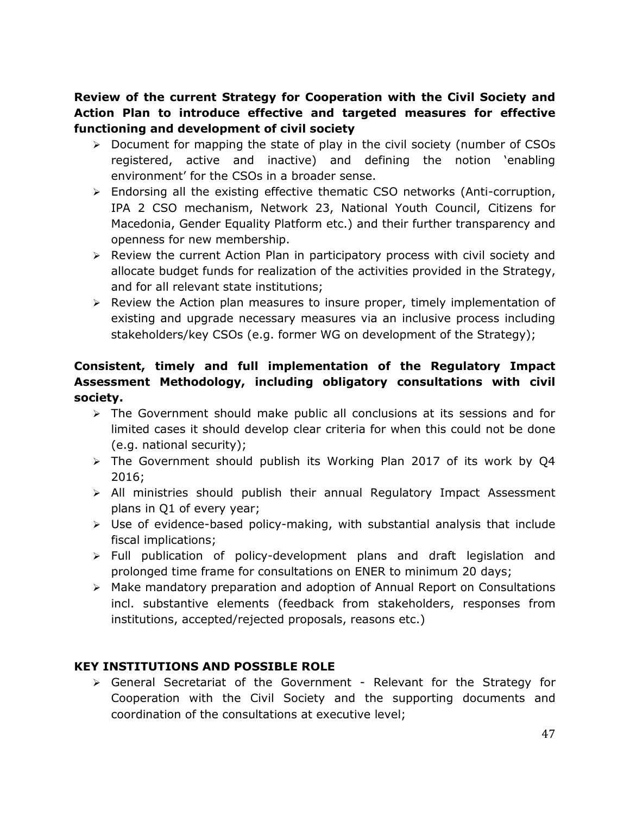**Review of the current Strategy for Cooperation with the Civil Society and Action Plan to introduce effective and targeted measures for effective functioning and development of civil society** 

- $\triangleright$  Document for mapping the state of play in the civil society (number of CSOs registered, active and inactive) and defining the notion 'enabling environment' for the CSOs in a broader sense.
- Endorsing all the existing effective thematic CSO networks (Anti-corruption, IPA 2 CSO mechanism, Network 23, National Youth Council, Citizens for Macedonia, Gender Equality Platform etc.) and their further transparency and openness for new membership.
- $\triangleright$  Review the current Action Plan in participatory process with civil society and allocate budget funds for realization of the activities provided in the Strategy, and for all relevant state institutions;
- $\triangleright$  Review the Action plan measures to insure proper, timely implementation of existing and upgrade necessary measures via an inclusive process including stakeholders/key CSOs (e.g. former WG on development of the Strategy);

## **Consistent, timely and full implementation of the Regulatory Impact Assessment Methodology, including obligatory consultations with civil society.**

- $\triangleright$  The Government should make public all conclusions at its sessions and for limited cases it should develop clear criteria for when this could not be done (e.g. national security);
- $\geq$  The Government should publish its Working Plan 2017 of its work by Q4 2016;
- $\triangleright$  All ministries should publish their annual Regulatory Impact Assessment plans in Q1 of every year;
- $\triangleright$  Use of evidence-based policy-making, with substantial analysis that include fiscal implications;
- $\triangleright$  Full publication of policy-development plans and draft legislation and prolonged time frame for consultations on ENER to minimum 20 days;
- Make mandatory preparation and adoption of Annual Report on Consultations incl. substantive elements (feedback from stakeholders, responses from institutions, accepted/rejected proposals, reasons etc.)

## **KEY INSTITUTIONS AND POSSIBLE ROLE**

 $\triangleright$  General Secretariat of the Government - Relevant for the Strategy for Cooperation with the Civil Society and the supporting documents and coordination of the consultations at executive level;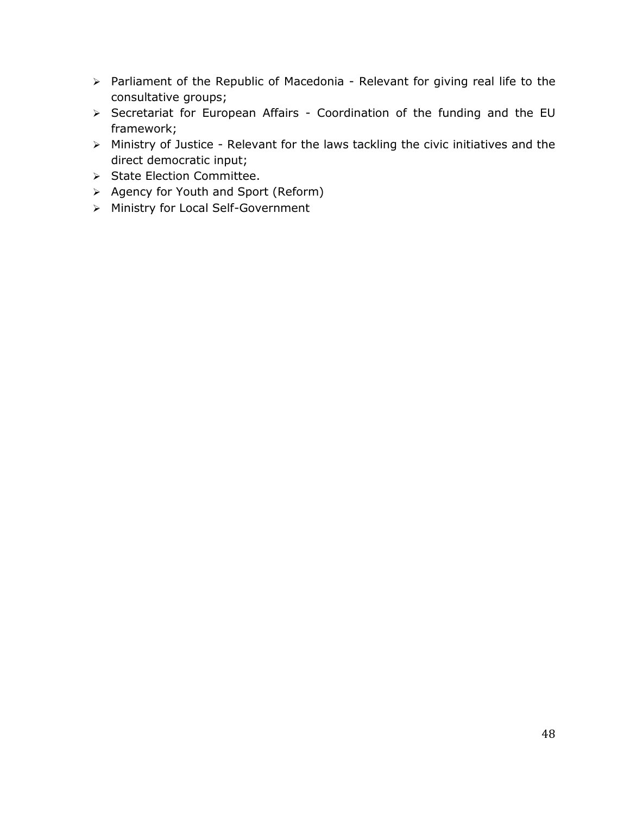- > Parliament of the Republic of Macedonia Relevant for giving real life to the consultative groups;
- > Secretariat for European Affairs Coordination of the funding and the EU framework;
- Ministry of Justice Relevant for the laws tackling the civic initiatives and the direct democratic input;
- > State Election Committee.
- $\triangleright$  Agency for Youth and Sport (Reform)
- > Ministry for Local Self-Government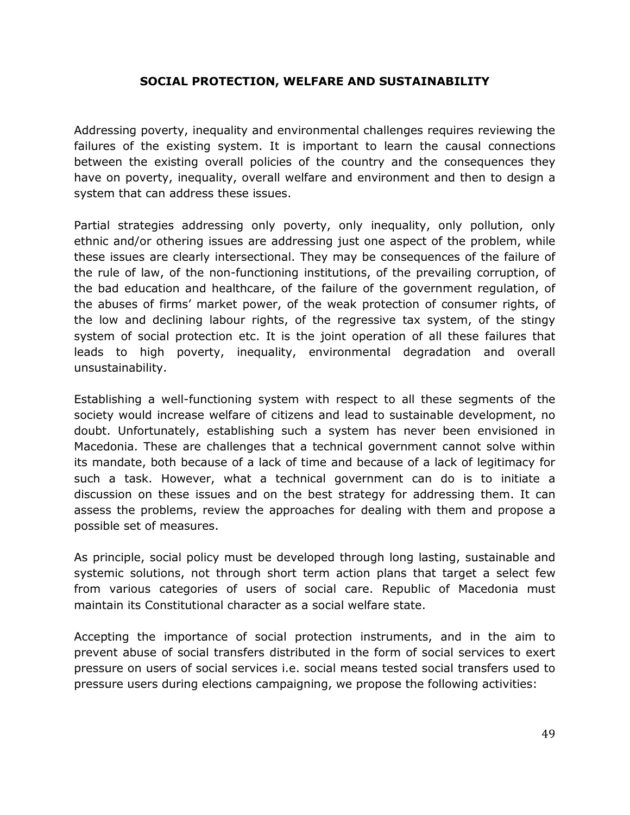#### **SOCIAL PROTECTION, WELFARE AND SUSTAINABILITY**

<span id="page-49-0"></span>Addressing poverty, inequality and environmental challenges requires reviewing the failures of the existing system. It is important to learn the causal connections between the existing overall policies of the country and the consequences they have on poverty, inequality, overall welfare and environment and then to design a system that can address these issues.

Partial strategies addressing only poverty, only inequality, only pollution, only ethnic and/or othering issues are addressing just one aspect of the problem, while these issues are clearly intersectional. They may be consequences of the failure of the rule of law, of the non-functioning institutions, of the prevailing corruption, of the bad education and healthcare, of the failure of the government regulation, of the abuses of firms' market power, of the weak protection of consumer rights, of the low and declining labour rights, of the regressive tax system, of the stingy system of social protection etc. It is the joint operation of all these failures that leads to high poverty, inequality, environmental degradation and overall unsustainability.

Establishing a well-functioning system with respect to all these segments of the society would increase welfare of citizens and lead to sustainable development, no doubt. Unfortunately, establishing such a system has never been envisioned in Macedonia. These are challenges that a technical government cannot solve within its mandate, both because of a lack of time and because of a lack of legitimacy for such a task. However, what a technical government can do is to initiate a discussion on these issues and on the best strategy for addressing them. It can assess the problems, review the approaches for dealing with them and propose a possible set of measures.

As principle, social policy must be developed through long lasting, sustainable and systemic solutions, not through short term action plans that target a select few from various categories of users of social care. Republic of Macedonia must maintain its Constitutional character as a social welfare state.

Accepting the importance of social protection instruments, and in the aim to prevent abuse of social transfers distributed in the form of social services to exert pressure on users of social services i.e. social means tested social transfers used to pressure users during elections campaigning, we propose the following activities: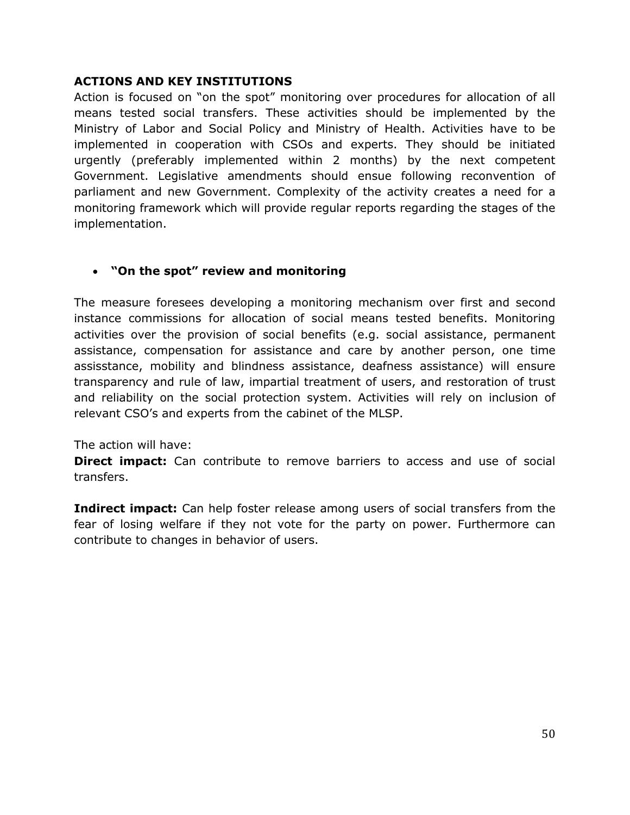#### **ACTIONS AND KEY INSTITUTIONS**

Action is focused on "on the spot" monitoring over procedures for allocation of all means tested social transfers. These activities should be implemented by the Ministry of Labor and Social Policy and Ministry of Health. Activities have to be implemented in cooperation with CSOs and experts. They should be initiated urgently (preferably implemented within 2 months) by the next competent Government. Legislative amendments should ensue following reconvention of parliament and new Government. Complexity of the activity creates a need for a monitoring framework which will provide regular reports regarding the stages of the implementation.

## **"On the spot" review and monitoring**

The measure foresees developing a monitoring mechanism over first and second instance commissions for allocation of social means tested benefits. Monitoring activities over the provision of social benefits (e.g. social assistance, permanent assistance, compensation for assistance and care by another person, one time assisstance, mobility and blindness assistance, deafness assistance) will ensure transparency and rule of law, impartial treatment of users, and restoration of trust and reliability on the social protection system. Activities will rely on inclusion of relevant CSO's and experts from the cabinet of the MLSP.

#### The action will have:

**Direct impact:** Can contribute to remove barriers to access and use of social transfers.

**Indirect impact:** Can help foster release among users of social transfers from the fear of losing welfare if they not vote for the party on power. Furthermore can contribute to changes in behavior of users.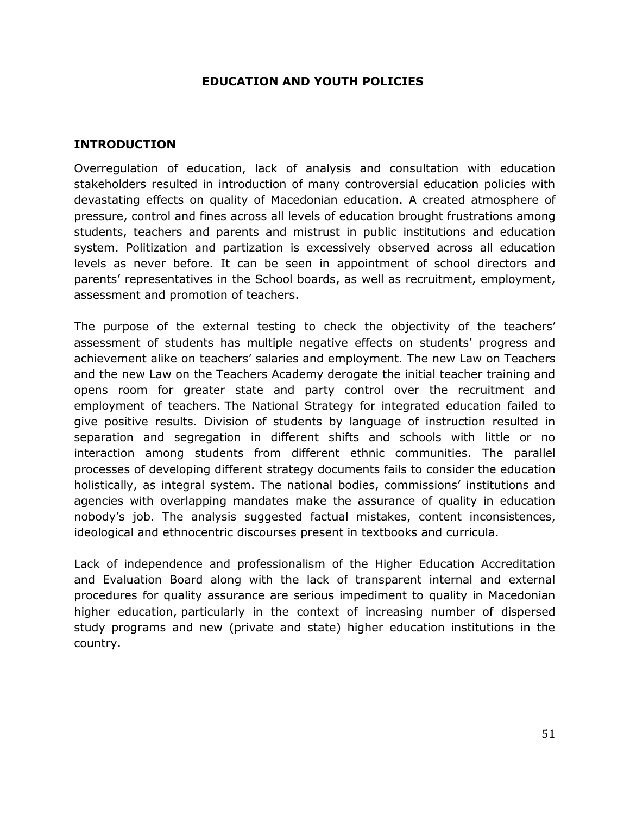#### **EDUCATION AND YOUTH POLICIES**

#### <span id="page-51-0"></span>**INTRODUCTION**

Overregulation of education, lack of analysis and consultation with education stakeholders resulted in introduction of many controversial education policies with devastating effects on quality of Macedonian education. A created atmosphere of pressure, control and fines across all levels of education brought frustrations among students, teachers and parents and mistrust in public institutions and education system. Politization and partization is excessively observed across all education levels as never before. It can be seen in appointment of school directors and parents' representatives in the School boards, as well as recruitment, employment, assessment and promotion of teachers.

The purpose of the external testing to check the objectivity of the teachers' assessment of students has multiple negative effects on students' progress and achievement alike on teachers' salaries and employment. The new Law on Teachers and the new Law on the Teachers Academy derogate the initial teacher training and opens room for greater state and party control over the recruitment and employment of teachers. The National Strategy for integrated education failed to give positive results. Division of students by language of instruction resulted in separation and segregation in different shifts and schools with little or no interaction among students from different ethnic communities. The parallel processes of developing different strategy documents fails to consider the education holistically, as integral system. The national bodies, commissions' institutions and agencies with overlapping mandates make the assurance of quality in education nobody's job. The analysis suggested factual mistakes, content inconsistences, ideological and ethnocentric discourses present in textbooks and curricula.

Lack of independence and professionalism of the Higher Education Accreditation and Evaluation Board along with the lack of transparent internal and external procedures for quality assurance are serious impediment to quality in Macedonian higher education, particularly in the context of increasing number of dispersed study programs and new (private and state) higher education institutions in the country.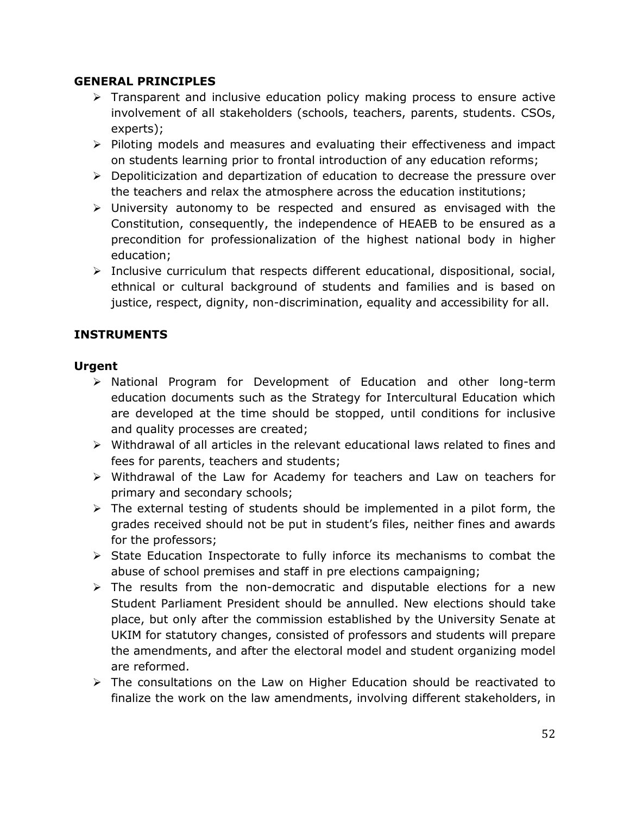#### **GENERAL PRINCIPLES**

- $\triangleright$  Transparent and inclusive education policy making process to ensure active involvement of all stakeholders (schools, teachers, parents, students. CSOs, experts);
- $\triangleright$  Piloting models and measures and evaluating their effectiveness and impact on students learning prior to frontal introduction of any education reforms;
- $\triangleright$  Depoliticization and departization of education to decrease the pressure over the teachers and relax the atmosphere across the education institutions;
- $\triangleright$  University autonomy to be respected and ensured as envisaged with the Constitution, consequently, the independence of HEAEB to be ensured as a precondition for professionalization of the highest national body in higher education;
- $\triangleright$  Inclusive curriculum that respects different educational, dispositional, social, ethnical or cultural background of students and families and is based on justice, respect, dignity, non-discrimination, equality and accessibility for all.

## **INSTRUMENTS**

## **Urgent**

- $\triangleright$  National Program for Development of Education and other long-term education documents such as the Strategy for Intercultural Education which are developed at the time should be stopped, until conditions for inclusive and quality processes are created;
- $\triangleright$  Withdrawal of all articles in the relevant educational laws related to fines and fees for parents, teachers and students;
- Withdrawal of the Law for Academy for teachers and Law on teachers for primary and secondary schools;
- $\triangleright$  The external testing of students should be implemented in a pilot form, the grades received should not be put in student's files, neither fines and awards for the professors;
- $\triangleright$  State Education Inspectorate to fully inforce its mechanisms to combat the abuse of school premises and staff in pre elections campaigning;
- $\triangleright$  The results from the non-democratic and disputable elections for a new Student Parliament President should be annulled. New elections should take place, but only after the commission established by the University Senate at UKIM for statutory changes, consisted of professors and students will prepare the amendments, and after the electoral model and student organizing model are reformed.
- $\triangleright$  The consultations on the Law on Higher Education should be reactivated to finalize the work on the law amendments, involving different stakeholders, in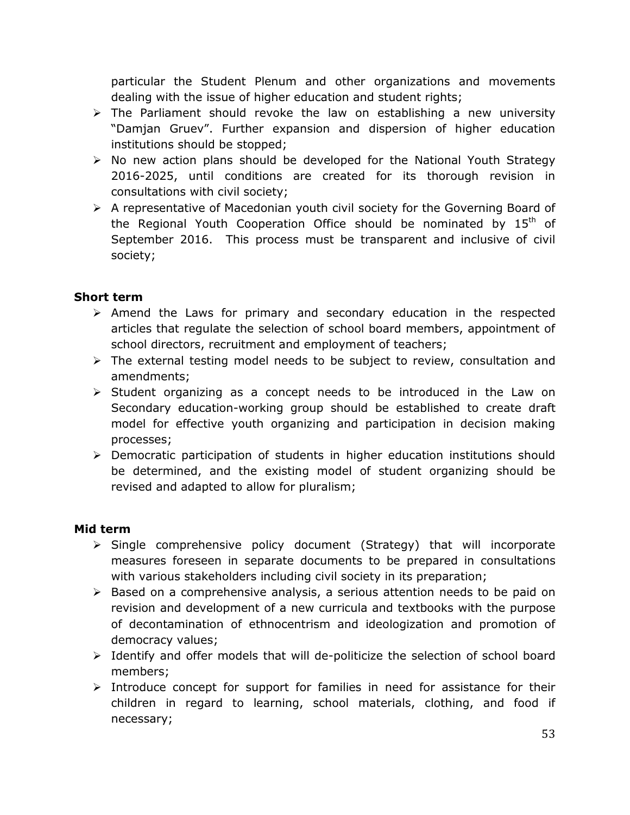particular the Student Plenum and other organizations and movements dealing with the issue of higher education and student rights;

- $\triangleright$  The Parliament should revoke the law on establishing a new university "Damjan Gruev". Further expansion and dispersion of higher education institutions should be stopped;
- $\triangleright$  No new action plans should be developed for the National Youth Strategy 2016-2025, until conditions are created for its thorough revision in consultations with civil society;
- $\triangleright$  A representative of Macedonian youth civil society for the Governing Board of the Regional Youth Cooperation Office should be nominated by  $15<sup>th</sup>$  of September 2016. This process must be transparent and inclusive of civil society;

## **Short term**

- $\triangleright$  Amend the Laws for primary and secondary education in the respected articles that regulate the selection of school board members, appointment of school directors, recruitment and employment of teachers;
- $\triangleright$  The external testing model needs to be subject to review, consultation and amendments;
- $\triangleright$  Student organizing as a concept needs to be introduced in the Law on Secondary education-working group should be established to create draft model for effective youth organizing and participation in decision making processes;
- $\triangleright$  Democratic participation of students in higher education institutions should be determined, and the existing model of student organizing should be revised and adapted to allow for pluralism;

#### **Mid term**

- $\triangleright$  Single comprehensive policy document (Strategy) that will incorporate measures foreseen in separate documents to be prepared in consultations with various stakeholders including civil society in its preparation;
- $\triangleright$  Based on a comprehensive analysis, a serious attention needs to be paid on revision and development of a new curricula and textbooks with the purpose of decontamination of ethnocentrism and ideologization and promotion of democracy values;
- $\triangleright$  Identify and offer models that will de-politicize the selection of school board members;
- $\triangleright$  Introduce concept for support for families in need for assistance for their children in regard to learning, school materials, clothing, and food if necessary;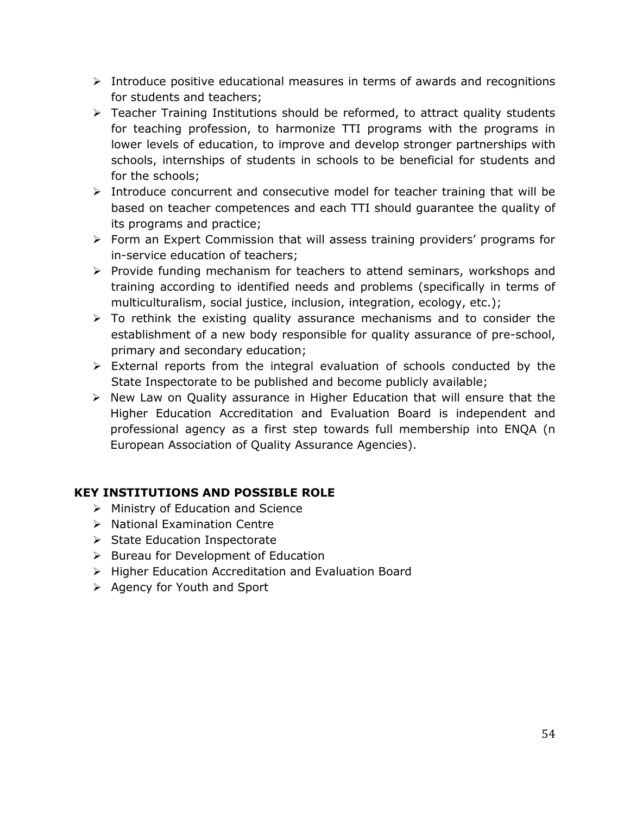- $\triangleright$  Introduce positive educational measures in terms of awards and recognitions for students and teachers;
- Teacher Training Institutions should be reformed, to attract quality students for teaching profession, to harmonize TTI programs with the programs in lower levels of education, to improve and develop stronger partnerships with schools, internships of students in schools to be beneficial for students and for the schools;
- $\triangleright$  Introduce concurrent and consecutive model for teacher training that will be based on teacher competences and each TTI should guarantee the quality of its programs and practice;
- $\triangleright$  Form an Expert Commission that will assess training providers' programs for in-service education of teachers;
- $\triangleright$  Provide funding mechanism for teachers to attend seminars, workshops and training according to identified needs and problems (specifically in terms of multiculturalism, social justice, inclusion, integration, ecology, etc.);
- $\triangleright$  To rethink the existing quality assurance mechanisms and to consider the establishment of a new body responsible for quality assurance of pre-school, primary and secondary education;
- $\triangleright$  External reports from the integral evaluation of schools conducted by the State Inspectorate to be published and become publicly available;
- $\triangleright$  New Law on Quality assurance in Higher Education that will ensure that the Higher Education Accreditation and Evaluation Board is independent and professional agency as a first step towards full membership into ENQA (n European Association of Quality Assurance Agencies).

## **KEY INSTITUTIONS AND POSSIBLE ROLE**

- $\triangleright$  Ministry of Education and Science
- $\triangleright$  National Examination Centre
- $\triangleright$  State Education Inspectorate
- $\triangleright$  Bureau for Development of Education
- $\triangleright$  Higher Education Accreditation and Evaluation Board
- $\triangleright$  Agency for Youth and Sport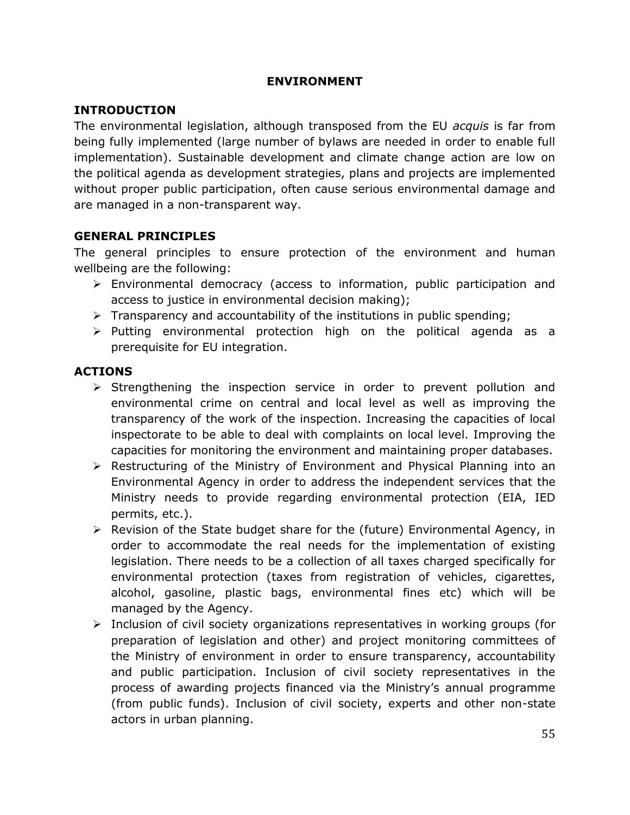#### **ENVIRONMENT**

### <span id="page-55-0"></span>**INTRODUCTION**

The environmental legislation, although transposed from the EU *acquis* is far from being fully implemented (large number of bylaws are needed in order to enable full implementation). Sustainable development and climate change action are low on the political agenda as development strategies, plans and projects are implemented without proper public participation, often cause serious environmental damage and are managed in a non-transparent way.

#### **GENERAL PRINCIPLES**

The general principles to ensure protection of the environment and human wellbeing are the following:

- $\triangleright$  Environmental democracy (access to information, public participation and access to justice in environmental decision making);
- $\triangleright$  Transparency and accountability of the institutions in public spending;
- $\triangleright$  Putting environmental protection high on the political agenda as a prerequisite for EU integration.

### **ACTIONS**

- $\triangleright$  Strengthening the inspection service in order to prevent pollution and environmental crime on central and local level as well as improving the transparency of the work of the inspection. Increasing the capacities of local inspectorate to be able to deal with complaints on local level. Improving the capacities for monitoring the environment and maintaining proper databases.
- $\triangleright$  Restructuring of the Ministry of Environment and Physical Planning into an Environmental Agency in order to address the independent services that the Ministry needs to provide regarding environmental protection (EIA, IED permits, etc.).
- $\triangleright$  Revision of the State budget share for the (future) Environmental Agency, in order to accommodate the real needs for the implementation of existing legislation. There needs to be a collection of all taxes charged specifically for environmental protection (taxes from registration of vehicles, cigarettes, alcohol, gasoline, plastic bags, environmental fines etc) which will be managed by the Agency.
- Inclusion of civil society organizations representatives in working groups (for preparation of legislation and other) and project monitoring committees of the Ministry of environment in order to ensure transparency, accountability and public participation. Inclusion of civil society representatives in the process of awarding projects financed via the Ministry's annual programme (from public funds). Inclusion of civil society, experts and other non-state actors in urban planning.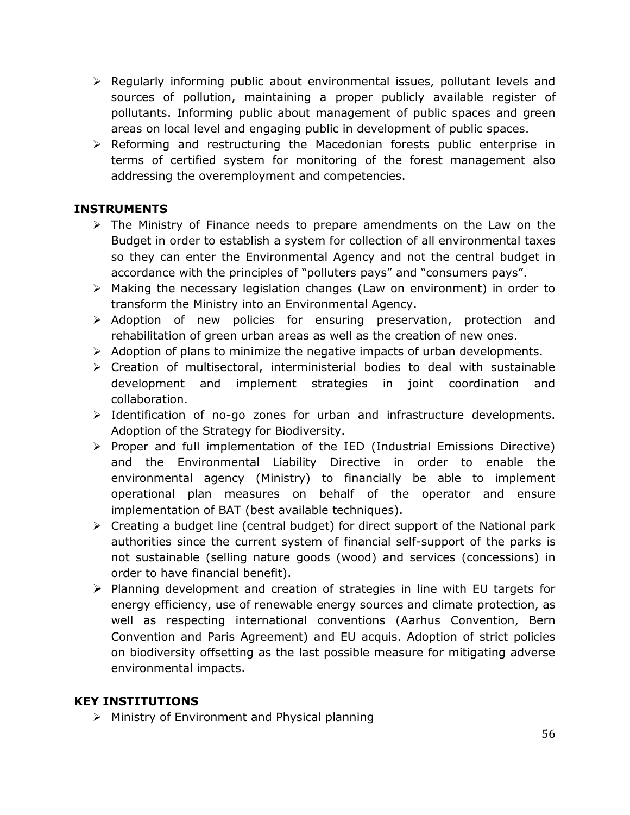- $\triangleright$  Regularly informing public about environmental issues, pollutant levels and sources of pollution, maintaining a proper publicly available register of pollutants. Informing public about management of public spaces and green areas on local level and engaging public in development of public spaces.
- $\triangleright$  Reforming and restructuring the Macedonian forests public enterprise in terms of certified system for monitoring of the forest management also addressing the overemployment and competencies.

## **INSTRUMENTS**

- $\triangleright$  The Ministry of Finance needs to prepare amendments on the Law on the Budget in order to establish a system for collection of all environmental taxes so they can enter the Environmental Agency and not the central budget in accordance with the principles of "polluters pays" and "consumers pays".
- $\triangleright$  Making the necessary legislation changes (Law on environment) in order to transform the Ministry into an Environmental Agency.
- > Adoption of new policies for ensuring preservation, protection and rehabilitation of green urban areas as well as the creation of new ones.
- $\triangleright$  Adoption of plans to minimize the negative impacts of urban developments.
- $\triangleright$  Creation of multisectoral, interministerial bodies to deal with sustainable development and implement strategies in joint coordination and collaboration.
- $\triangleright$  Identification of no-go zones for urban and infrastructure developments. Adoption of the Strategy for Biodiversity.
- $\triangleright$  Proper and full implementation of the IED (Industrial Emissions Directive) and the Environmental Liability Directive in order to enable the environmental agency (Ministry) to financially be able to implement operational plan measures on behalf of the operator and ensure implementation of BAT (best available techniques).
- $\triangleright$  Creating a budget line (central budget) for direct support of the National park authorities since the current system of financial self-support of the parks is not sustainable (selling nature goods (wood) and services (concessions) in order to have financial benefit).
- $\triangleright$  Planning development and creation of strategies in line with EU targets for energy efficiency, use of renewable energy sources and climate protection, as well as respecting international conventions (Aarhus Convention, Bern Convention and Paris Agreement) and EU acquis. Adoption of strict policies on biodiversity offsetting as the last possible measure for mitigating adverse environmental impacts.

## **KEY INSTITUTIONS**

 $\triangleright$  Ministry of Environment and Physical planning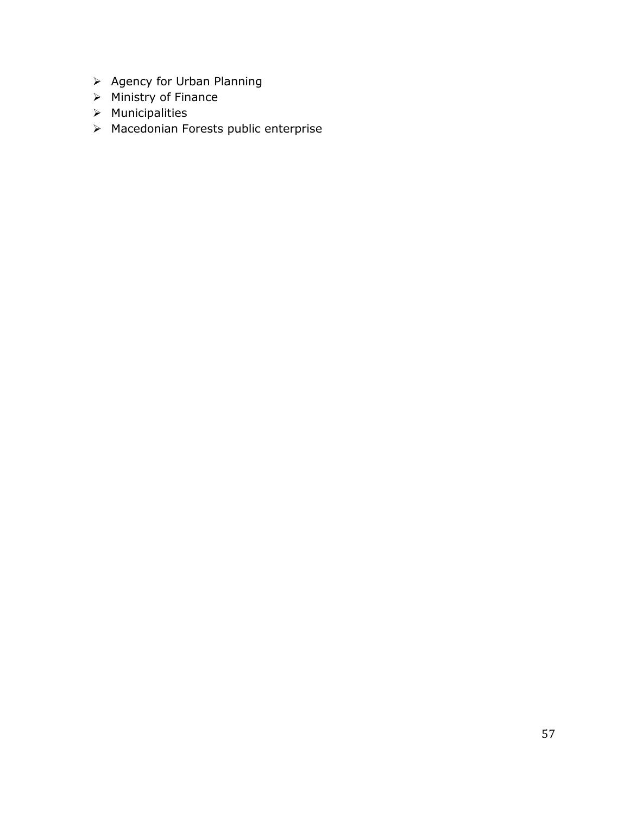- $\triangleright$  Agency for Urban Planning
- $\triangleright$  Ministry of Finance
- $\triangleright$  Municipalities
- Macedonian Forests public enterprise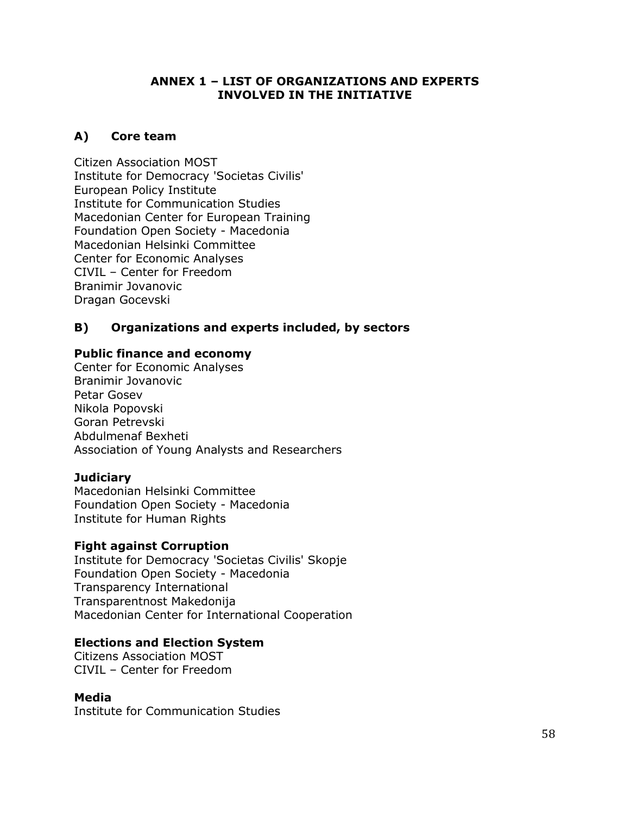#### **ANNEX 1 – LIST OF ORGANIZATIONS AND EXPERTS INVOLVED IN THE INITIATIVE**

### <span id="page-58-0"></span>**A) Core team**

Citizen Association MOST Institute for Democracy 'Societas Civilis' European Policy Institute Institute for Communication Studies Macedonian Center for European Training Foundation Open Society - Macedonia Macedonian Helsinki Committee Center for Economic Analyses CIVIL – Center for Freedom Branimir Jovanovic Dragan Gocevski

### **B) Organizations and experts included, by sectors**

#### **Public finance and economy**

Center for Economic Analyses Branimir Jovanovic Petar Gosev Nikola Popovski Goran Petrevski Abdulmenaf Bexheti Association of Young Analysts and Researchers

#### **Judiciary**

Macedonian Helsinki Committee Foundation Open Society - Macedonia Institute for Human Rights

#### **Fight against Corruption**

Institute for Democracy 'Societas Civilis' Skopje Foundation Open Society - Macedonia Transparency International Transparentnost Makedonija Macedonian Center for International Cooperation

#### **Elections and Election System**

Citizens Association MOST CIVIL – Center for Freedom

#### **Media**

Institute for Communication Studies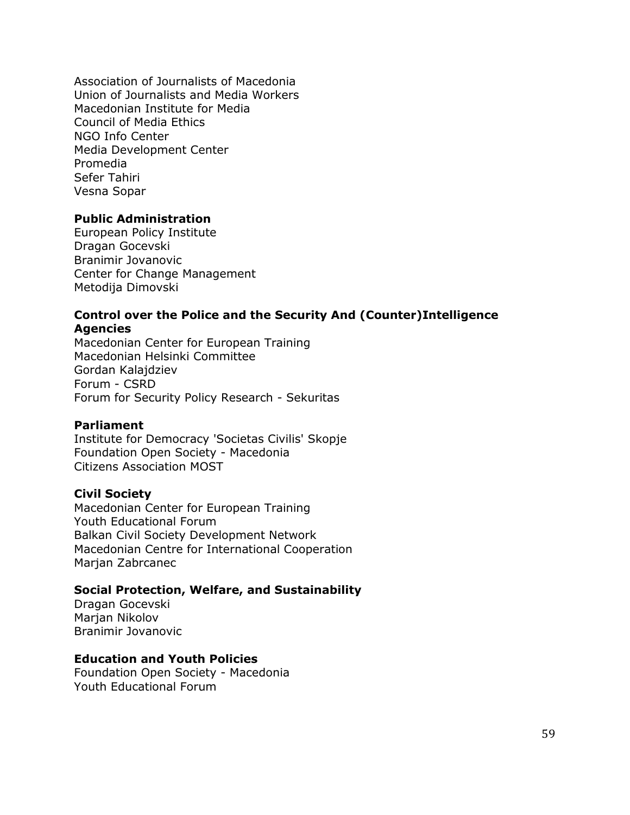Association of Journalists of Macedonia Union of Journalists and Media Workers Macedonian Institute for Media Council of Media Ethics NGO Info Center Media Development Center Promedia Sefer Tahiri Vesna Sopar

#### **Public Administration**

European Policy Institute Dragan Gocevski Branimir Jovanovic Center for Change Management Metodija Dimovski

#### **Control over the Police and the Security And (Counter)Intelligence Agencies**

Macedonian Center for European Training Macedonian Helsinki Committee Gordan Kalajdziev Forum - CSRD Forum for Security Policy Research - Sekuritas

#### **Parliament**

Institute for Democracy 'Societas Civilis' Skopje Foundation Open Society - Macedonia Citizens Association MOST

#### **Civil Society**

Macedonian Center for European Training Youth Educational Forum Balkan Civil Society Development Network Macedonian Centre for International Cooperation Marjan Zabrcanec

#### **Social Protection, Welfare, and Sustainability**

Dragan Gocevski Marian Nikolov Branimir Jovanovic

#### **Education and Youth Policies**

Foundation Open Society - Macedonia Youth Educational Forum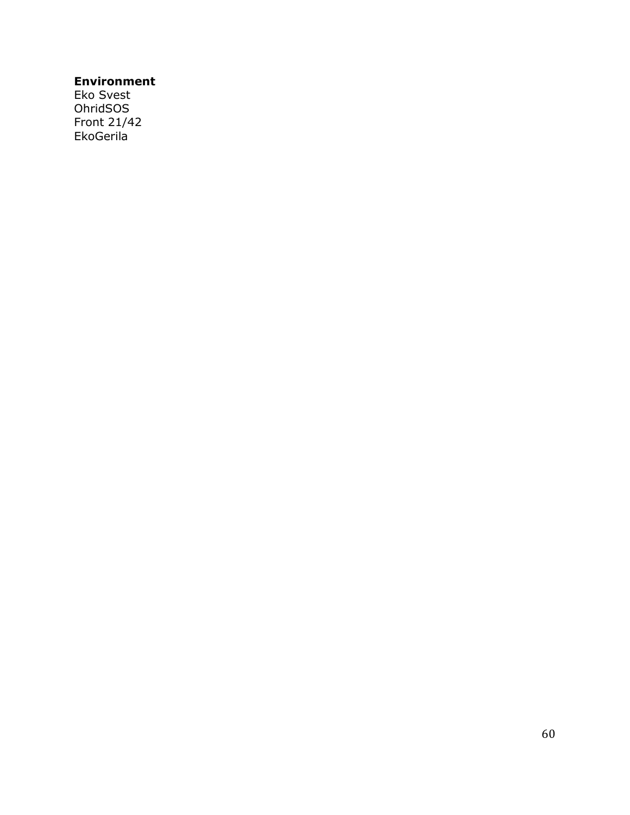## **Environment**

Eko Svest OhridSOS Front 21/42 EkoGerila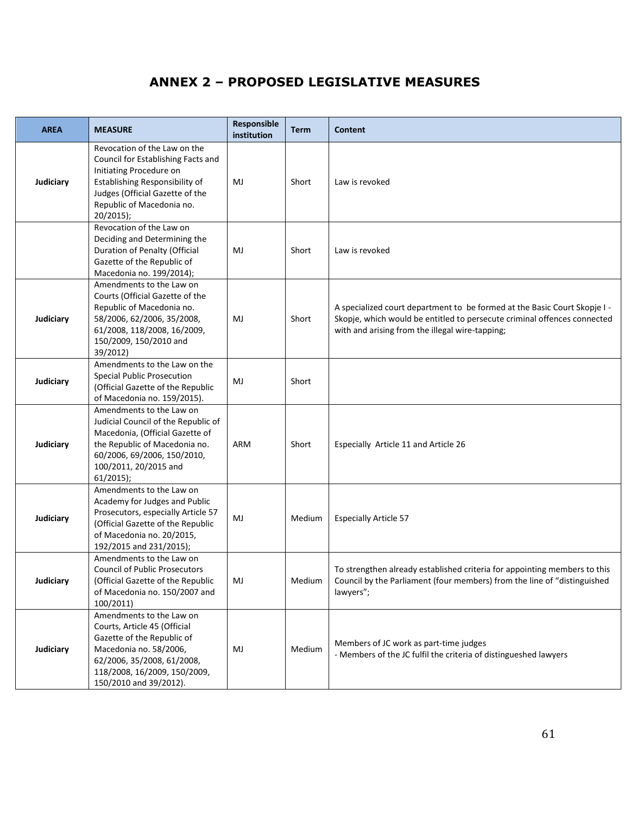# **ANNEX 2 – PROPOSED LEGISLATIVE MEASURES**

<span id="page-61-0"></span>

| <b>AREA</b> | <b>MEASURE</b>                                                                                                                                                                                               | Responsible<br>institution | <b>Term</b> | Content                                                                                                                                                                                                  |
|-------------|--------------------------------------------------------------------------------------------------------------------------------------------------------------------------------------------------------------|----------------------------|-------------|----------------------------------------------------------------------------------------------------------------------------------------------------------------------------------------------------------|
| Judiciary   | Revocation of the Law on the<br>Council for Establishing Facts and<br>Initiating Procedure on<br>Establishing Responsibility of<br>Judges (Official Gazette of the<br>Republic of Macedonia no.<br>20/2015); | MJ                         | Short       | Law is revoked                                                                                                                                                                                           |
|             | Revocation of the Law on<br>Deciding and Determining the<br>Duration of Penalty (Official<br>Gazette of the Republic of<br>Macedonia no. 199/2014);                                                          | MJ                         | Short       | Law is revoked                                                                                                                                                                                           |
| Judiciary   | Amendments to the Law on<br>Courts (Official Gazette of the<br>Republic of Macedonia no.<br>58/2006, 62/2006, 35/2008,<br>61/2008, 118/2008, 16/2009,<br>150/2009, 150/2010 and<br>39/2012)                  | MJ                         | Short       | A specialized court department to be formed at the Basic Court Skopje I -<br>Skopje, which would be entitled to persecute criminal offences connected<br>with and arising from the illegal wire-tapping; |
| Judiciary   | Amendments to the Law on the<br><b>Special Public Prosecution</b><br>(Official Gazette of the Republic<br>of Macedonia no. 159/2015).                                                                        | MJ                         | Short       |                                                                                                                                                                                                          |
| Judiciary   | Amendments to the Law on<br>Judicial Council of the Republic of<br>Macedonia, (Official Gazette of<br>the Republic of Macedonia no.<br>60/2006, 69/2006, 150/2010,<br>100/2011, 20/2015 and<br>$61/2015$ );  | ARM                        | Short       | Especially Article 11 and Article 26                                                                                                                                                                     |
| Judiciary   | Amendments to the Law on<br>Academy for Judges and Public<br>Prosecutors, especially Article 57<br>(Official Gazette of the Republic<br>of Macedonia no. 20/2015,<br>192/2015 and 231/2015);                 | MJ                         | Medium      | <b>Especially Article 57</b>                                                                                                                                                                             |
| Judiciary   | Amendments to the Law on<br><b>Council of Public Prosecutors</b><br>(Official Gazette of the Republic<br>of Macedonia no. 150/2007 and<br>100/2011)                                                          | MJ                         | Medium      | To strengthen already established criteria for appointing members to this<br>Council by the Parliament (four members) from the line of "distinguished<br>lawyers";                                       |
| Judiciary   | Amendments to the Law on<br>Courts, Article 45 (Official<br>Gazette of the Republic of<br>Macedonia no. 58/2006,<br>62/2006, 35/2008, 61/2008,<br>118/2008, 16/2009, 150/2009,<br>150/2010 and 39/2012).     | MJ                         | Medium      | Members of JC work as part-time judges<br>- Members of the JC fulfil the criteria of distingueshed lawyers                                                                                               |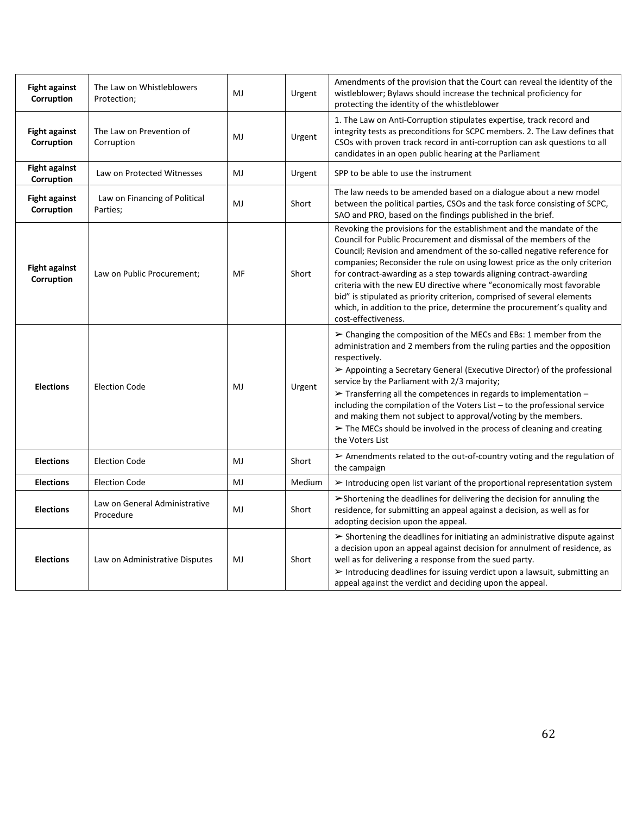| <b>Fight against</b><br>Corruption | The Law on Whistleblowers<br>Protection;   | MJ | Urgent | Amendments of the provision that the Court can reveal the identity of the<br>wistleblower; Bylaws should increase the technical proficiency for<br>protecting the identity of the whistleblower                                                                                                                                                                                                                                                                                                                                                                                                                                           |
|------------------------------------|--------------------------------------------|----|--------|-------------------------------------------------------------------------------------------------------------------------------------------------------------------------------------------------------------------------------------------------------------------------------------------------------------------------------------------------------------------------------------------------------------------------------------------------------------------------------------------------------------------------------------------------------------------------------------------------------------------------------------------|
| <b>Fight against</b><br>Corruption | The Law on Prevention of<br>Corruption     | MJ | Urgent | 1. The Law on Anti-Corruption stipulates expertise, track record and<br>integrity tests as preconditions for SCPC members. 2. The Law defines that<br>CSOs with proven track record in anti-corruption can ask questions to all<br>candidates in an open public hearing at the Parliament                                                                                                                                                                                                                                                                                                                                                 |
| <b>Fight against</b><br>Corruption | Law on Protected Witnesses                 | MJ | Urgent | SPP to be able to use the instrument                                                                                                                                                                                                                                                                                                                                                                                                                                                                                                                                                                                                      |
| <b>Fight against</b><br>Corruption | Law on Financing of Political<br>Parties;  | MJ | Short  | The law needs to be amended based on a dialogue about a new model<br>between the political parties, CSOs and the task force consisting of SCPC,<br>SAO and PRO, based on the findings published in the brief.                                                                                                                                                                                                                                                                                                                                                                                                                             |
| <b>Fight against</b><br>Corruption | Law on Public Procurement;                 | MF | Short  | Revoking the provisions for the establishment and the mandate of the<br>Council for Public Procurement and dismissal of the members of the<br>Council; Revision and amendment of the so-called negative reference for<br>companies; Reconsider the rule on using lowest price as the only criterion<br>for contract-awarding as a step towards aligning contract-awarding<br>criteria with the new EU directive where "economically most favorable<br>bid" is stipulated as priority criterion, comprised of several elements<br>which, in addition to the price, determine the procurement's quality and<br>cost-effectiveness.          |
| <b>Elections</b>                   | <b>Election Code</b>                       | MJ | Urgent | > Changing the composition of the MECs and EBs: 1 member from the<br>administration and 2 members from the ruling parties and the opposition<br>respectively.<br>► Appointing a Secretary General (Executive Director) of the professional<br>service by the Parliament with 2/3 majority;<br>$\triangleright$ Transferring all the competences in regards to implementation -<br>including the compilation of the Voters List - to the professional service<br>and making them not subject to approval/voting by the members.<br>$\triangleright$ The MECs should be involved in the process of cleaning and creating<br>the Voters List |
| <b>Elections</b>                   | <b>Election Code</b>                       | MJ | Short  | $\triangleright$ Amendments related to the out-of-country voting and the regulation of<br>the campaign                                                                                                                                                                                                                                                                                                                                                                                                                                                                                                                                    |
| <b>Elections</b>                   | <b>Election Code</b>                       | MJ | Medium | $\triangleright$ Introducing open list variant of the proportional representation system                                                                                                                                                                                                                                                                                                                                                                                                                                                                                                                                                  |
| <b>Elections</b>                   | Law on General Administrative<br>Procedure | MJ | Short  | >Shortening the deadlines for delivering the decision for annuling the<br>residence, for submitting an appeal against a decision, as well as for<br>adopting decision upon the appeal.                                                                                                                                                                                                                                                                                                                                                                                                                                                    |
| <b>Elections</b>                   | Law on Administrative Disputes             | MJ | Short  | $\triangleright$ Shortening the deadlines for initiating an administrative dispute against<br>a decision upon an appeal against decision for annulment of residence, as<br>well as for delivering a response from the sued party.<br>> Introducing deadlines for issuing verdict upon a lawsuit, submitting an<br>appeal against the verdict and deciding upon the appeal.                                                                                                                                                                                                                                                                |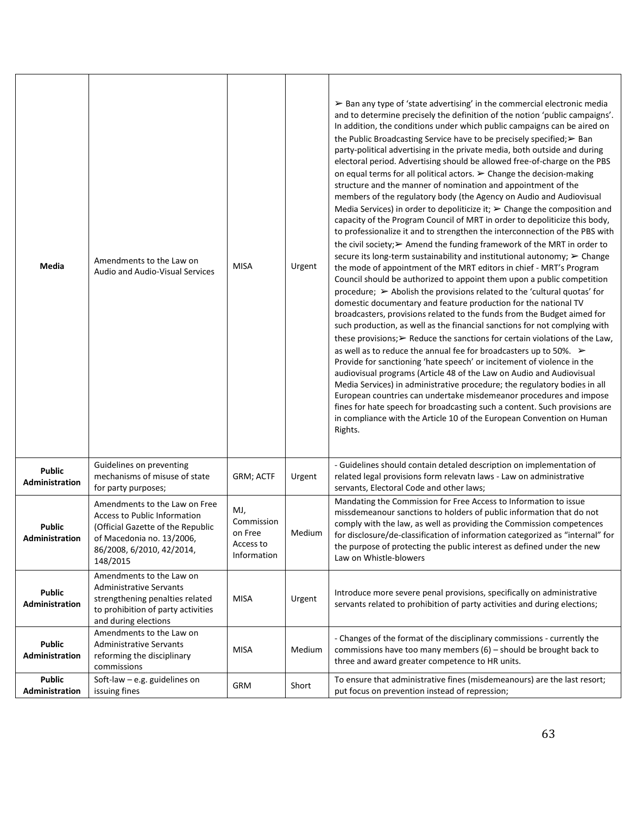| Media                                  | Amendments to the Law on<br>Audio and Audio-Visual Services                                                                                                                     | <b>MISA</b>                                              | Urgent | $\triangleright$ Ban any type of 'state advertising' in the commercial electronic media<br>and to determine precisely the definition of the notion 'public campaigns'.<br>In addition, the conditions under which public campaigns can be aired on<br>the Public Broadcasting Service have to be precisely specified; > Ban<br>party-political advertising in the private media, both outside and during<br>electoral period. Advertising should be allowed free-of-charge on the PBS<br>on equal terms for all political actors. $\triangleright$ Change the decision-making<br>structure and the manner of nomination and appointment of the<br>members of the regulatory body (the Agency on Audio and Audiovisual<br>Media Services) in order to depoliticize it; $\triangleright$ Change the composition and<br>capacity of the Program Council of MRT in order to depoliticize this body,<br>to professionalize it and to strengthen the interconnection of the PBS with<br>the civil society; > Amend the funding framework of the MRT in order to<br>secure its long-term sustainability and institutional autonomy; $\triangleright$ Change<br>the mode of appointment of the MRT editors in chief - MRT's Program<br>Council should be authorized to appoint them upon a public competition<br>procedure; $\triangleright$ Abolish the provisions related to the 'cultural quotas' for<br>domestic documentary and feature production for the national TV<br>broadcasters, provisions related to the funds from the Budget aimed for<br>such production, as well as the financial sanctions for not complying with<br>these provisions; $\triangleright$ Reduce the sanctions for certain violations of the Law,<br>as well as to reduce the annual fee for broadcasters up to 50%. $\triangleright$<br>Provide for sanctioning 'hate speech' or incitement of violence in the<br>audiovisual programs (Article 48 of the Law on Audio and Audiovisual<br>Media Services) in administrative procedure; the regulatory bodies in all<br>European countries can undertake misdemeanor procedures and impose<br>fines for hate speech for broadcasting such a content. Such provisions are<br>in compliance with the Article 10 of the European Convention on Human<br>Rights. |
|----------------------------------------|---------------------------------------------------------------------------------------------------------------------------------------------------------------------------------|----------------------------------------------------------|--------|---------------------------------------------------------------------------------------------------------------------------------------------------------------------------------------------------------------------------------------------------------------------------------------------------------------------------------------------------------------------------------------------------------------------------------------------------------------------------------------------------------------------------------------------------------------------------------------------------------------------------------------------------------------------------------------------------------------------------------------------------------------------------------------------------------------------------------------------------------------------------------------------------------------------------------------------------------------------------------------------------------------------------------------------------------------------------------------------------------------------------------------------------------------------------------------------------------------------------------------------------------------------------------------------------------------------------------------------------------------------------------------------------------------------------------------------------------------------------------------------------------------------------------------------------------------------------------------------------------------------------------------------------------------------------------------------------------------------------------------------------------------------------------------------------------------------------------------------------------------------------------------------------------------------------------------------------------------------------------------------------------------------------------------------------------------------------------------------------------------------------------------------------------------------------------------------------------------------------------------------------------------------------------------|
| <b>Public</b><br>Administration        | Guidelines on preventing<br>mechanisms of misuse of state<br>for party purposes;                                                                                                | GRM; ACTF                                                | Urgent | - Guidelines should contain detaled description on implementation of<br>related legal provisions form relevatn laws - Law on administrative<br>servants, Electoral Code and other laws;                                                                                                                                                                                                                                                                                                                                                                                                                                                                                                                                                                                                                                                                                                                                                                                                                                                                                                                                                                                                                                                                                                                                                                                                                                                                                                                                                                                                                                                                                                                                                                                                                                                                                                                                                                                                                                                                                                                                                                                                                                                                                               |
| <b>Public</b><br><b>Administration</b> | Amendments to the Law on Free<br><b>Access to Public Information</b><br>(Official Gazette of the Republic<br>of Macedonia no. 13/2006,<br>86/2008, 6/2010, 42/2014,<br>148/2015 | MJ,<br>Commission<br>on Free<br>Access to<br>Information | Medium | Mandating the Commission for Free Access to Information to issue<br>missdemeanour sanctions to holders of public information that do not<br>comply with the law, as well as providing the Commission competences<br>for disclosure/de-classification of information categorized as "internal" for<br>the purpose of protecting the public interest as defined under the new<br>Law on Whistle-blowers                                                                                                                                                                                                                                                                                                                                                                                                                                                                                                                                                                                                                                                                                                                                                                                                                                                                                                                                                                                                                                                                                                                                                                                                                                                                                                                                                                                                                                                                                                                                                                                                                                                                                                                                                                                                                                                                                 |
| <b>Public</b><br>Administration        | Amendments to the Law on<br><b>Administrative Servants</b><br>strengthening penalties related<br>to prohibition of party activities<br>and during elections                     | MISA                                                     | Urgent | Introduce more severe penal provisions, specifically on administrative<br>servants related to prohibition of party activities and during elections;                                                                                                                                                                                                                                                                                                                                                                                                                                                                                                                                                                                                                                                                                                                                                                                                                                                                                                                                                                                                                                                                                                                                                                                                                                                                                                                                                                                                                                                                                                                                                                                                                                                                                                                                                                                                                                                                                                                                                                                                                                                                                                                                   |
| <b>Public</b><br>Administration        | Amendments to the Law on<br><b>Administrative Servants</b><br>reforming the disciplinary<br>commissions                                                                         | <b>MISA</b>                                              | Medium | - Changes of the format of the disciplinary commissions - currently the<br>commissions have too many members $(6)$ – should be brought back to<br>three and award greater competence to HR units.                                                                                                                                                                                                                                                                                                                                                                                                                                                                                                                                                                                                                                                                                                                                                                                                                                                                                                                                                                                                                                                                                                                                                                                                                                                                                                                                                                                                                                                                                                                                                                                                                                                                                                                                                                                                                                                                                                                                                                                                                                                                                     |
| <b>Public</b><br>Administration        | Soft-law $-$ e.g. guidelines on<br>issuing fines                                                                                                                                | GRM                                                      | Short  | To ensure that administrative fines (misdemeanours) are the last resort;<br>put focus on prevention instead of repression;                                                                                                                                                                                                                                                                                                                                                                                                                                                                                                                                                                                                                                                                                                                                                                                                                                                                                                                                                                                                                                                                                                                                                                                                                                                                                                                                                                                                                                                                                                                                                                                                                                                                                                                                                                                                                                                                                                                                                                                                                                                                                                                                                            |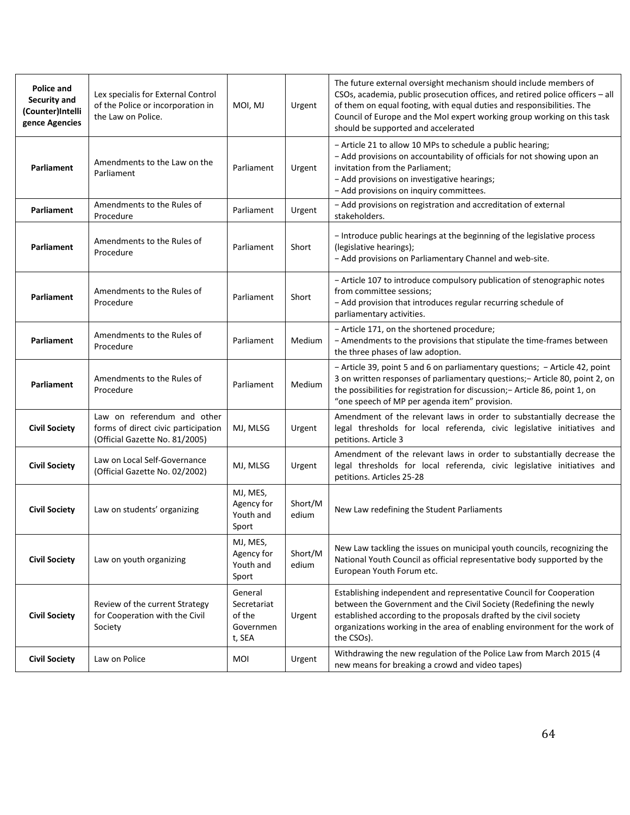| Police and<br>Security and<br>(Counter)Intelli<br>gence Agencies | Lex specialis for External Control<br>of the Police or incorporation in<br>the Law on Police.        | MOI, MJ                                                 | Urgent           | The future external oversight mechanism should include members of<br>CSOs, academia, public prosecution offices, and retired police officers - all<br>of them on equal footing, with equal duties and responsibilities. The<br>Council of Europe and the MoI expert working group working on this task<br>should be supported and accelerated |
|------------------------------------------------------------------|------------------------------------------------------------------------------------------------------|---------------------------------------------------------|------------------|-----------------------------------------------------------------------------------------------------------------------------------------------------------------------------------------------------------------------------------------------------------------------------------------------------------------------------------------------|
| Parliament                                                       | Amendments to the Law on the<br>Parliament                                                           | Parliament                                              | Urgent           | - Article 21 to allow 10 MPs to schedule a public hearing;<br>- Add provisions on accountability of officials for not showing upon an<br>invitation from the Parliament;<br>- Add provisions on investigative hearings;<br>- Add provisions on inquiry committees.                                                                            |
| Parliament                                                       | Amendments to the Rules of<br>Procedure                                                              | Parliament                                              | Urgent           | - Add provisions on registration and accreditation of external<br>stakeholders.                                                                                                                                                                                                                                                               |
| Parliament                                                       | Amendments to the Rules of<br>Procedure                                                              | Parliament                                              | Short            | - Introduce public hearings at the beginning of the legislative process<br>(legislative hearings);<br>- Add provisions on Parliamentary Channel and web-site.                                                                                                                                                                                 |
| Parliament                                                       | Amendments to the Rules of<br>Procedure                                                              | Parliament                                              | Short            | - Article 107 to introduce compulsory publication of stenographic notes<br>from committee sessions;<br>- Add provision that introduces regular recurring schedule of<br>parliamentary activities.                                                                                                                                             |
| Parliament                                                       | Amendments to the Rules of<br>Procedure                                                              | Parliament                                              | Medium           | - Article 171, on the shortened procedure;<br>- Amendments to the provisions that stipulate the time-frames between<br>the three phases of law adoption.                                                                                                                                                                                      |
| Parliament                                                       | Amendments to the Rules of<br>Procedure                                                              | Parliament                                              | Medium           | - Article 39, point 5 and 6 on parliamentary questions; - Article 42, point<br>3 on written responses of parliamentary questions;- Article 80, point 2, on<br>the possibilities for registration for discussion; - Article 86, point 1, on<br>"one speech of MP per agenda item" provision.                                                   |
| <b>Civil Society</b>                                             | Law on referendum and other<br>forms of direct civic participation<br>(Official Gazette No. 81/2005) | MJ, MLSG                                                | Urgent           | Amendment of the relevant laws in order to substantially decrease the<br>legal thresholds for local referenda, civic legislative initiatives and<br>petitions. Article 3                                                                                                                                                                      |
| <b>Civil Society</b>                                             | Law on Local Self-Governance<br>(Official Gazette No. 02/2002)                                       | MJ, MLSG                                                | Urgent           | Amendment of the relevant laws in order to substantially decrease the<br>legal thresholds for local referenda, civic legislative initiatives and<br>petitions. Articles 25-28                                                                                                                                                                 |
| <b>Civil Society</b>                                             | Law on students' organizing                                                                          | MJ, MES,<br>Agency for<br>Youth and<br>Sport            | Short/M<br>edium | New Law redefining the Student Parliaments                                                                                                                                                                                                                                                                                                    |
| <b>Civil Society</b>                                             | Law on youth organizing                                                                              | MJ, MES,<br>Agency for<br>Youth and<br>Sport            | Short/M<br>edium | New Law tackling the issues on municipal youth councils, recognizing the<br>National Youth Council as official representative body supported by the<br>European Youth Forum etc.                                                                                                                                                              |
| <b>Civil Society</b>                                             | Review of the current Strategy<br>for Cooperation with the Civil<br>Society                          | General<br>Secretariat<br>of the<br>Governmen<br>t, SEA | Urgent           | Establishing independent and representative Council for Cooperation<br>between the Government and the Civil Society (Redefining the newly<br>established according to the proposals drafted by the civil society<br>organizations working in the area of enabling environment for the work of<br>the CSOs).                                   |
| <b>Civil Society</b>                                             | Law on Police                                                                                        | MOI                                                     | Urgent           | Withdrawing the new regulation of the Police Law from March 2015 (4<br>new means for breaking a crowd and video tapes)                                                                                                                                                                                                                        |